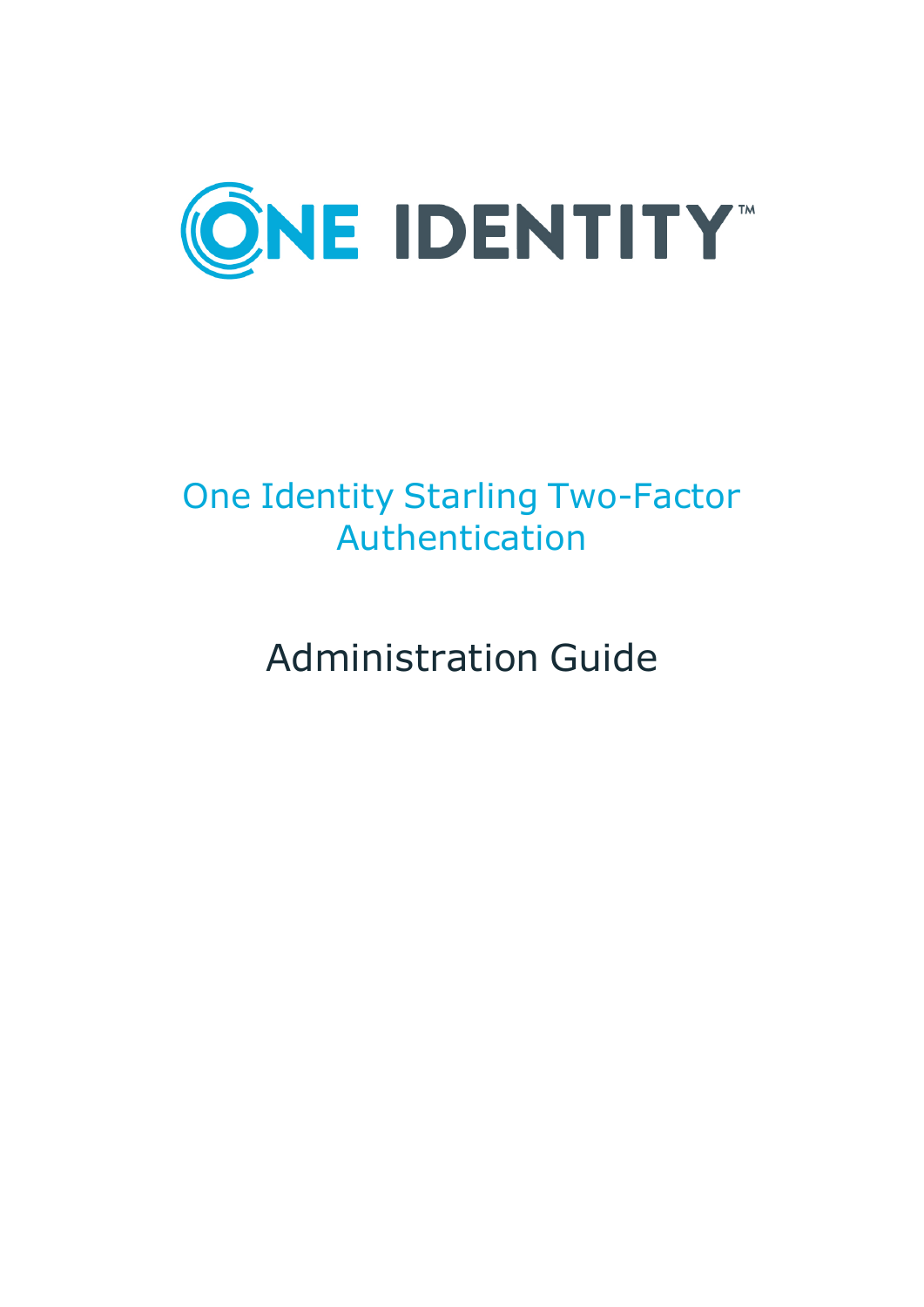

# One Identity Starling Two-Factor Authentication

Administration Guide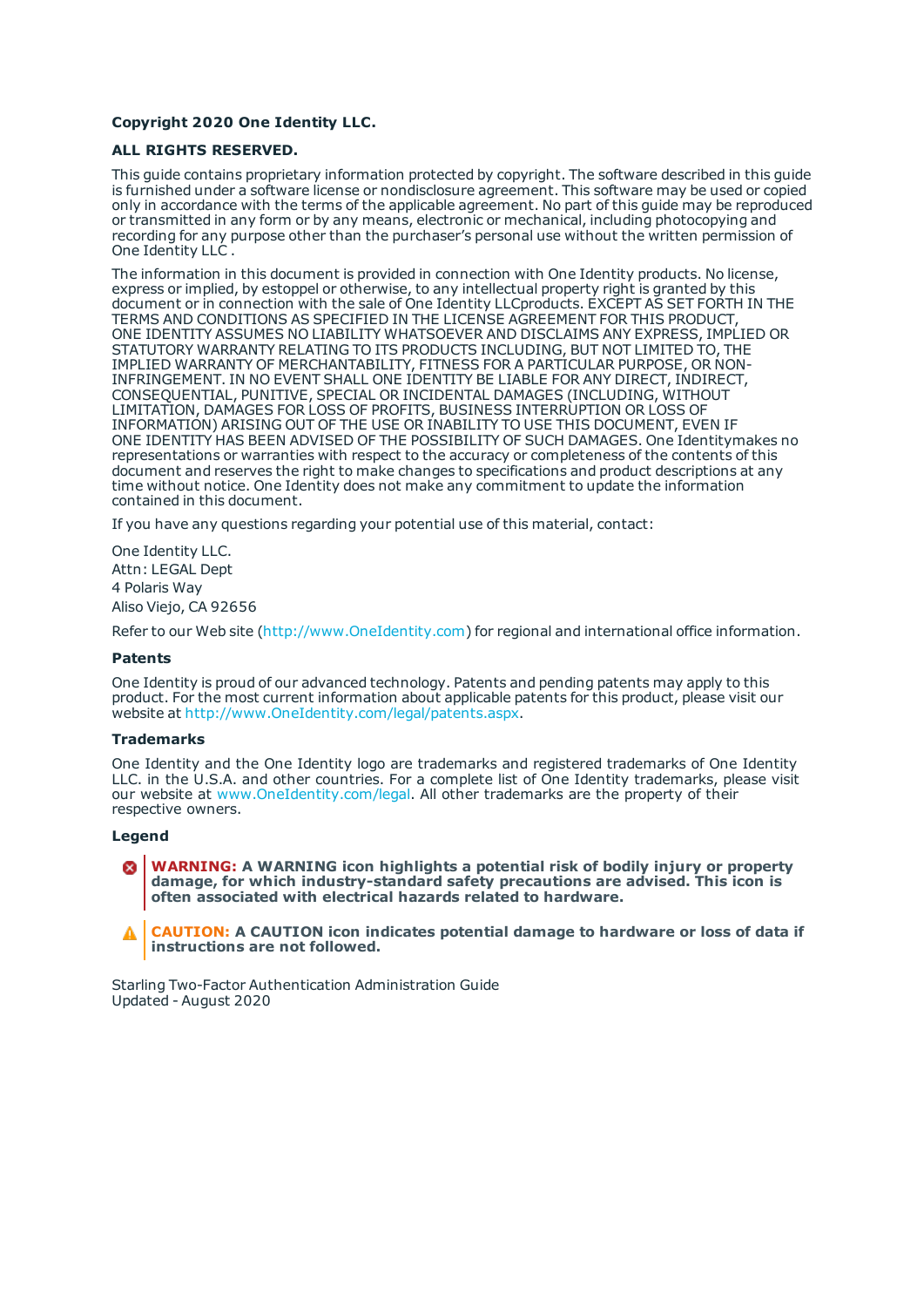#### **Copyright 2020 One Identity LLC.**

#### **ALL RIGHTS RESERVED.**

This guide contains proprietary information protected by copyright. The software described in this guide is furnished under a software license or nondisclosure agreement. This software may be used or copied only in accordance with the terms of the applicable agreement. No part of this guide may be reproduced or transmitted in any form or by any means, electronic or mechanical, including photocopying and recording for any purpose other than the purchaser's personal use without the written permission of One Identity LLC .

The information in this document is provided in connection with One Identity products. No license, express or implied, by estoppel or otherwise, to any intellectual property right is granted by this document or in connection with the sale of One Identity LLCproducts. EXCEPT AS SET FORTH IN THE TERMS AND CONDITIONS AS SPECIFIED IN THE LICENSE AGREEMENT FOR THIS PRODUCT, ONE IDENTITY ASSUMES NO LIABILITY WHATSOEVER AND DISCLAIMS ANY EXPRESS, IMPLIED OR STATUTORY WARRANTY RELATING TO ITS PRODUCTS INCLUDING, BUT NOT LIMITED TO, THE IMPLIED WARRANTY OF MERCHANTABILITY, FITNESS FOR A PARTICULAR PURPOSE, OR NON-INFRINGEMENT. IN NO EVENT SHALL ONE IDENTITY BE LIABLE FOR ANY DIRECT, INDIRECT, CONSEQUENTIAL, PUNITIVE, SPECIAL OR INCIDENTAL DAMAGES (INCLUDING, WITHOUT LIMITATION, DAMAGES FOR LOSS OF PROFITS, BUSINESS INTERRUPTION OR LOSS OF INFORMATION) ARISING OUT OF THE USE OR INABILITY TO USE THIS DOCUMENT, EVEN IF ONE IDENTITY HAS BEEN ADVISED OF THE POSSIBILITY OF SUCH DAMAGES. One Identitymakes no representations or warranties with respect to the accuracy or completeness of the contents of this document and reserves the right to make changes to specifications and product descriptions at any time without notice. One Identity does not make any commitment to update the information contained in this document.

If you have any questions regarding your potential use of this material, contact:

One Identity LLC. Attn: LEGAL Dept 4 Polaris Way Aliso Viejo, CA 92656

Refer to our Web site ([http://www.OneIdentity.com](http://www.oneidentity.com/)) for regional and international office information.

#### **Patents**

One Identity is proud of our advanced technology. Patents and pending patents may apply to this product. For the most current information about applicable patents for this product, please visit our website at [http://www.OneIdentity.com/legal/patents.aspx](http://www.oneidentity.com/legal/patents.aspx).

#### **Trademarks**

One Identity and the One Identity logo are trademarks and registered trademarks of One Identity LLC. in the U.S.A. and other countries. For a complete list of One Identity trademarks, please visit our website at [www.OneIdentity.com/legal](http://www.oneidentity.com/legal). All other trademarks are the property of their respective owners.

#### **Legend**

**WARNING: A WARNING icon highlights a potential risk of bodily injury or property damage, for which industry-standard safety precautions are advised. This icon is often associated with electrical hazards related to hardware.**

**CAUTION: A CAUTION icon indicates potential damage to hardware or loss of data if** A **instructions are not followed.**

Starling Two-Factor Authentication Administration Guide Updated - August 2020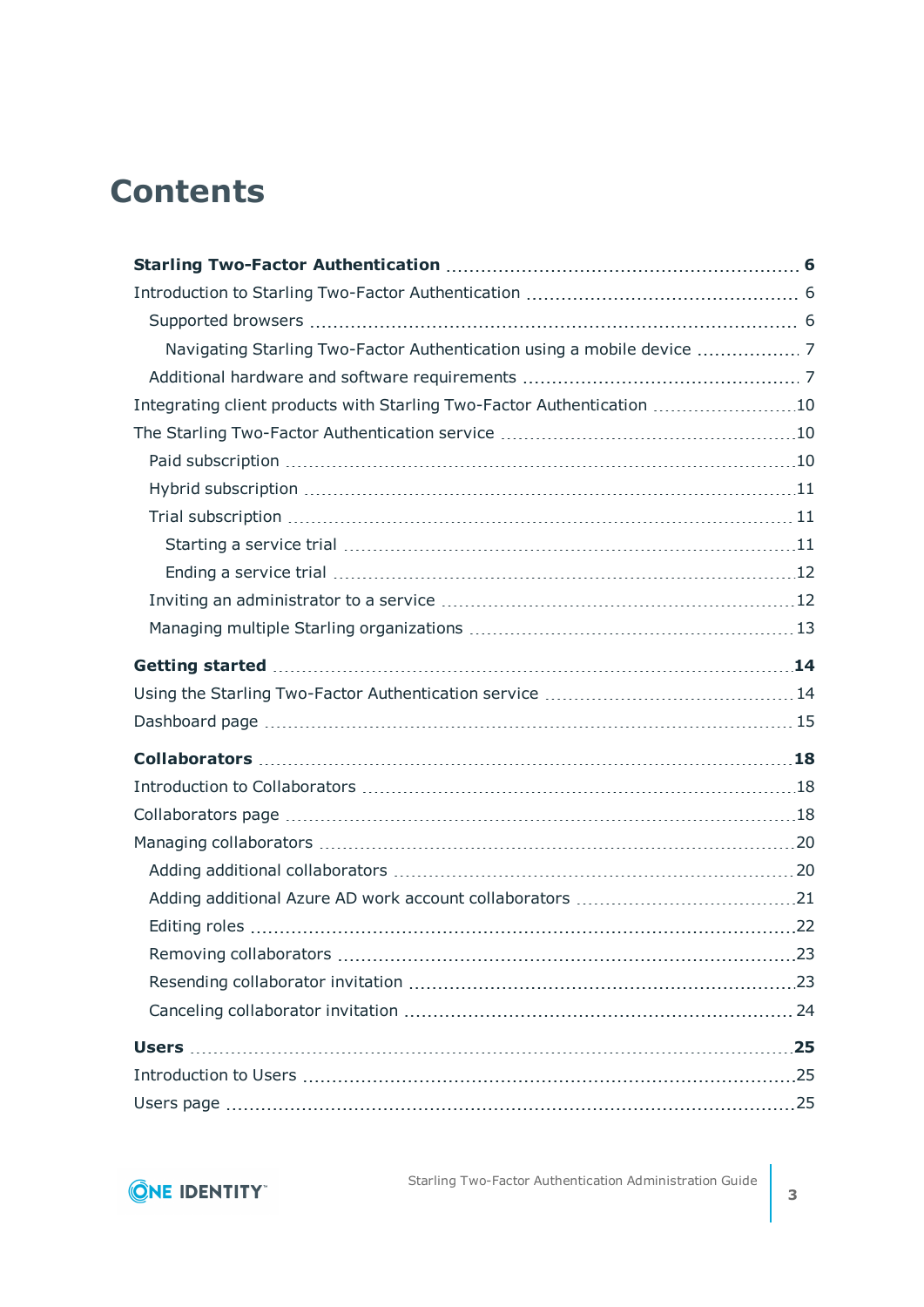# **Contents**

| Navigating Starling Two-Factor Authentication using a mobile device  7 |  |
|------------------------------------------------------------------------|--|
|                                                                        |  |
| Integrating client products with Starling Two-Factor Authentication 10 |  |
|                                                                        |  |
|                                                                        |  |
|                                                                        |  |
|                                                                        |  |
|                                                                        |  |
|                                                                        |  |
|                                                                        |  |
|                                                                        |  |
|                                                                        |  |
|                                                                        |  |
|                                                                        |  |
|                                                                        |  |
|                                                                        |  |
|                                                                        |  |
|                                                                        |  |
|                                                                        |  |
|                                                                        |  |
|                                                                        |  |
|                                                                        |  |
|                                                                        |  |
|                                                                        |  |
|                                                                        |  |
|                                                                        |  |
|                                                                        |  |

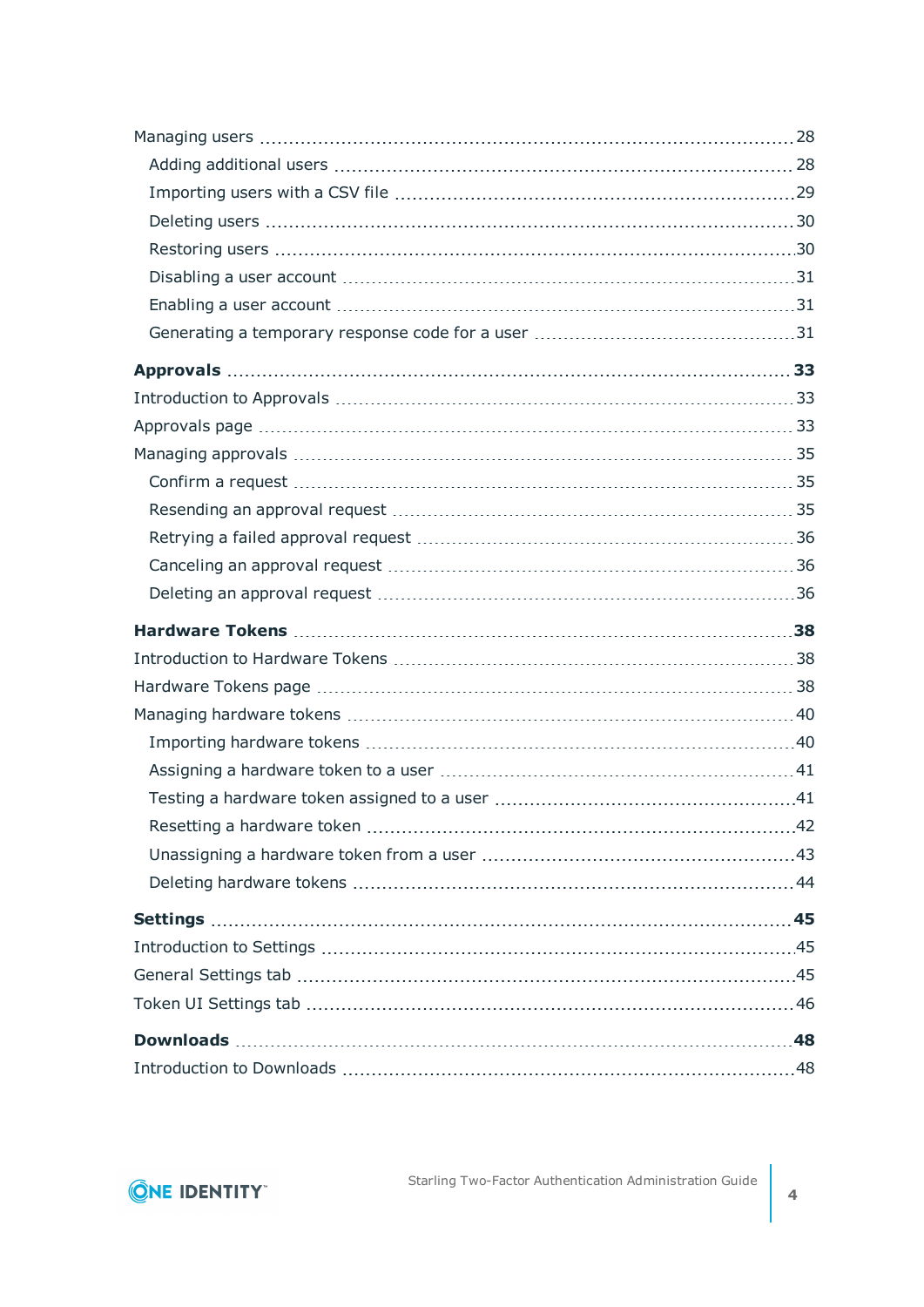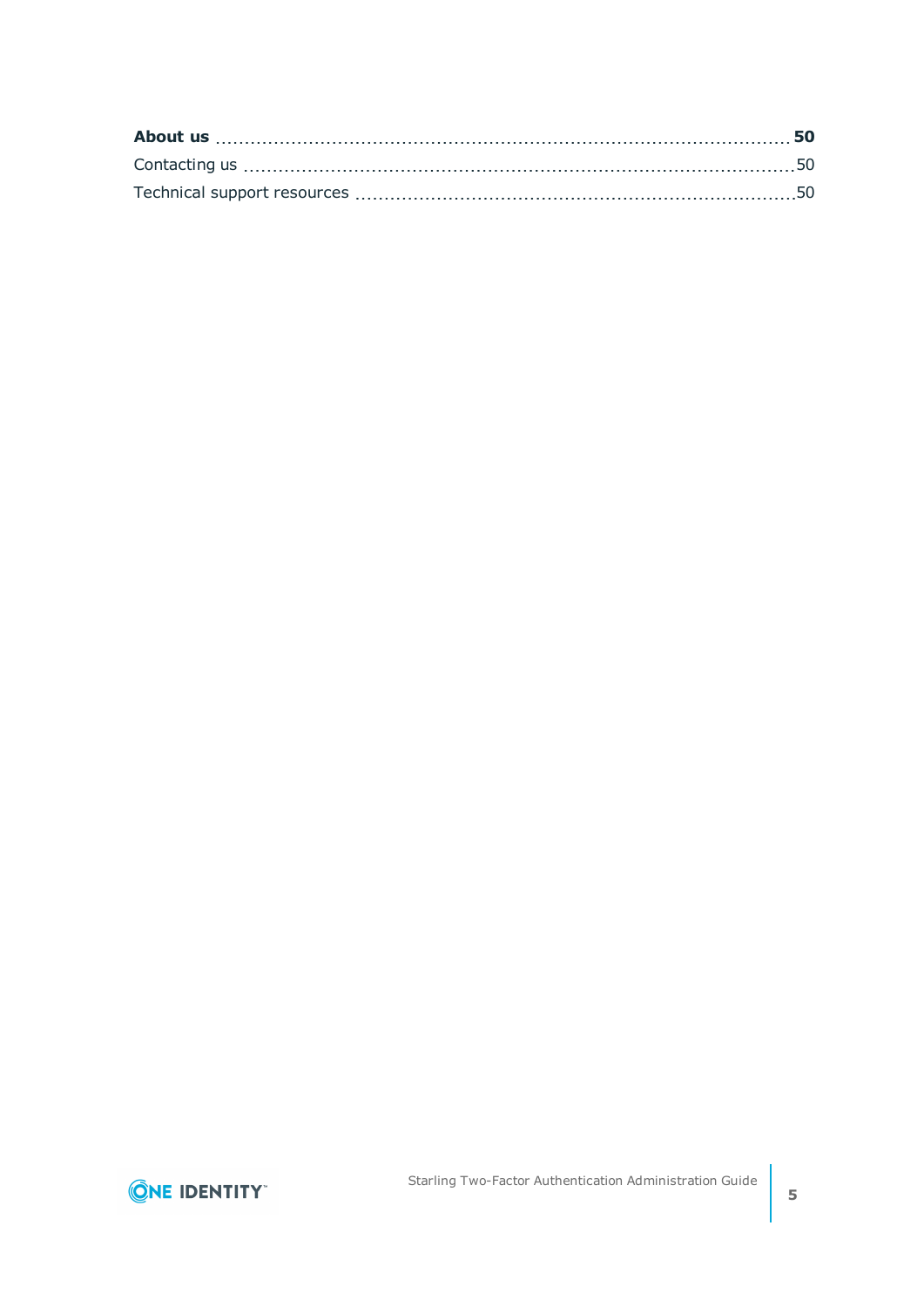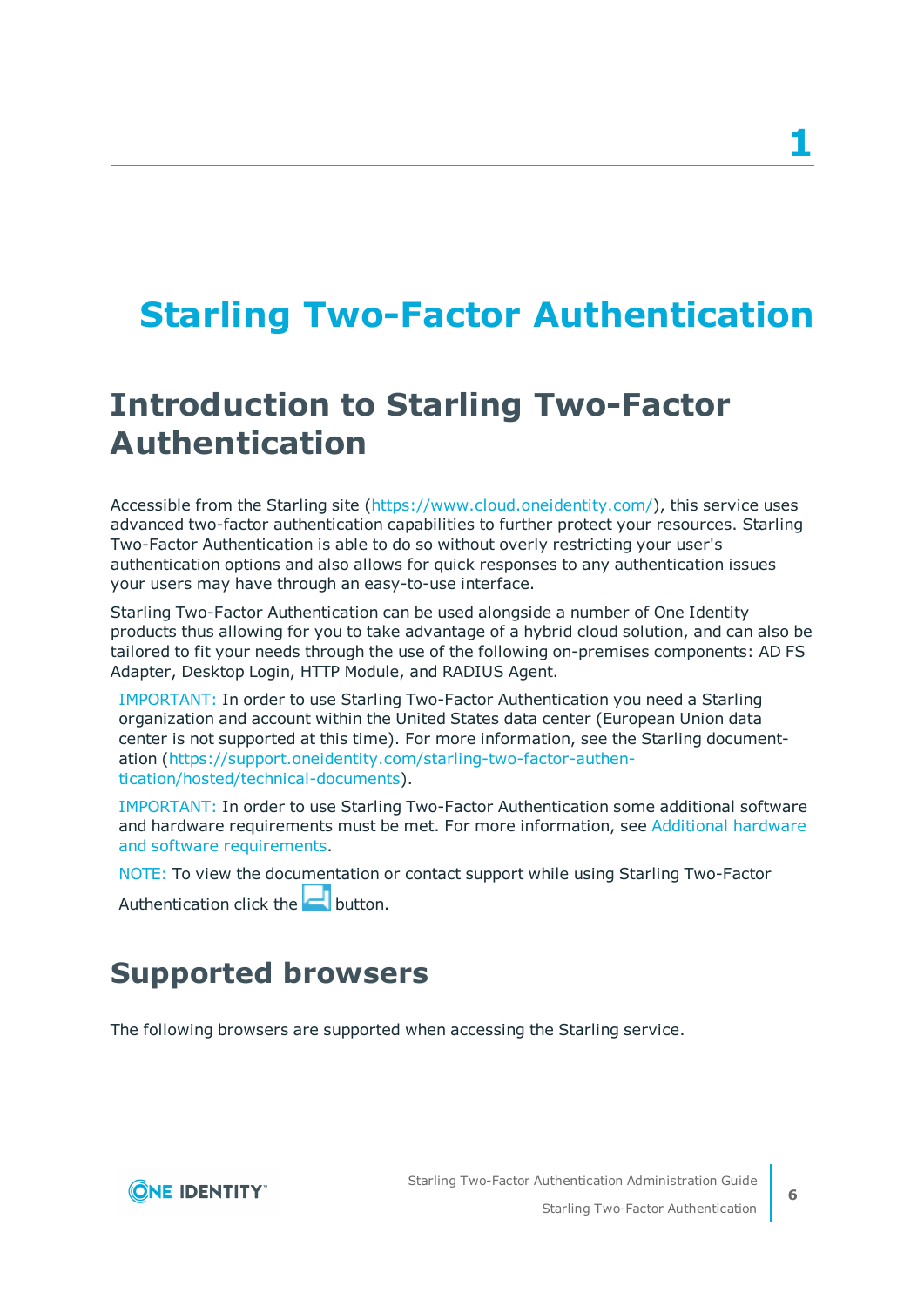# <span id="page-5-0"></span>**Starling Two-Factor Authentication**

# <span id="page-5-1"></span>**Introduction to Starling Two-Factor Authentication**

Accessible from the Starling site [\(https://www.cloud.oneidentity.com/\)](https://www.cloud.oneidentity.com/), this service uses advanced two-factor authentication capabilities to further protect your resources. Starling Two-Factor Authentication is able to do so without overly restricting your user's authentication options and also allows for quick responses to any authentication issues your users may have through an easy-to-use interface.

Starling Two-Factor Authentication can be used alongside a number of One Identity products thus allowing for you to take advantage of a hybrid cloud solution, and can also be tailored to fit your needs through the use of the following on-premises components: AD FS Adapter, Desktop Login, HTTP Module, and RADIUS Agent.

IMPORTANT: In order to use Starling Two-Factor Authentication you need a Starling organization and account within the United States data center (European Union data center is not supported at this time). For more information, see the Starling documentation ([https://support.oneidentity.com/starling-two-factor-authen](https://support.oneidentity.com/starling-two-factor-authentication/hosted/technical-documents)[tication/hosted/technical-documents](https://support.oneidentity.com/starling-two-factor-authentication/hosted/technical-documents)).

IMPORTANT: In order to use Starling Two-Factor Authentication some additional software and hardware requirements must be met. For more information, see [Additional](#page-6-1) hardware and software [requirements.](#page-6-1)

NOTE: To view the documentation or contact support while using Starling Two-Factor Authentication click the  $\Box$  button.

<span id="page-5-2"></span>

# **Supported browsers**

The following browsers are supported when accessing the Starling service.

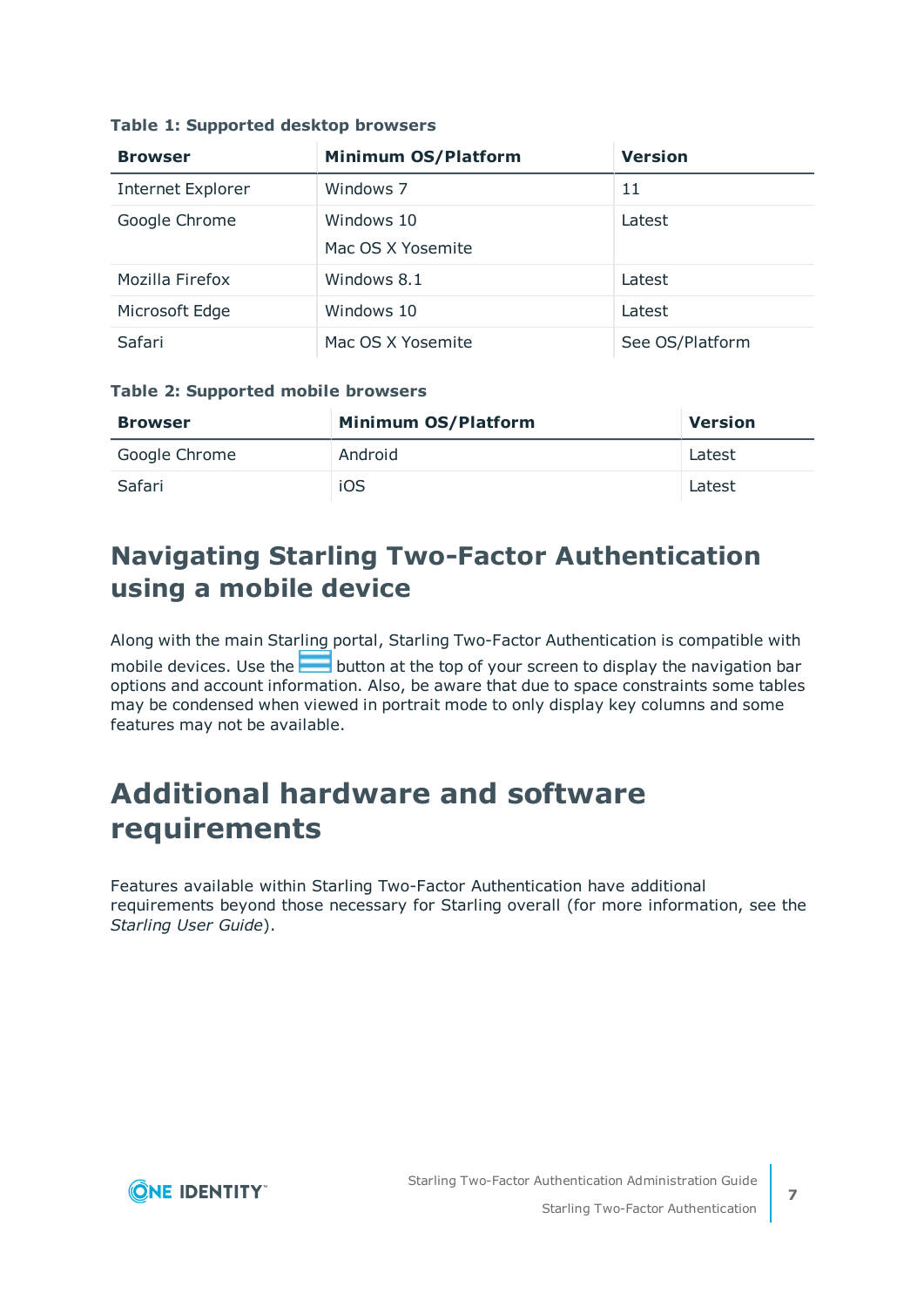| <b>Browser</b>           | <b>Minimum OS/Platform</b>      | <b>Version</b>  |
|--------------------------|---------------------------------|-----------------|
| <b>Internet Explorer</b> | Windows 7                       | 11              |
| Google Chrome            | Windows 10<br>Mac OS X Yosemite | Latest          |
| Mozilla Firefox          | Windows 8.1                     | Latest          |
| Microsoft Edge           | Windows 10                      | Latest          |
| Safari                   | Mac OS X Yosemite               | See OS/Platform |

#### **Table 1: Supported desktop browsers**

### **Table 2: Supported mobile browsers**

| <b>Browser</b> | <b>Minimum OS/Platform</b> | <b>Version</b> |
|----------------|----------------------------|----------------|
| Google Chrome  | Android                    | Latest         |
| Safari         | iOS                        | Latest         |

## <span id="page-6-0"></span>**Navigating Starling Two-Factor Authentication using a mobile device**

Along with the main Starling portal, Starling Two-Factor Authentication is compatible with mobile devices. Use the **button** at the top of your screen to display the navigation bar options and account information. Also, be aware that due to space constraints some tables may be condensed when viewed in portrait mode to only display key columns and some features may not be available.

## <span id="page-6-1"></span>**Additional hardware and software requirements**

Features available within Starling Two-Factor Authentication have additional requirements beyond those necessary for Starling overall (for more information, see the *Starling User Guide*).

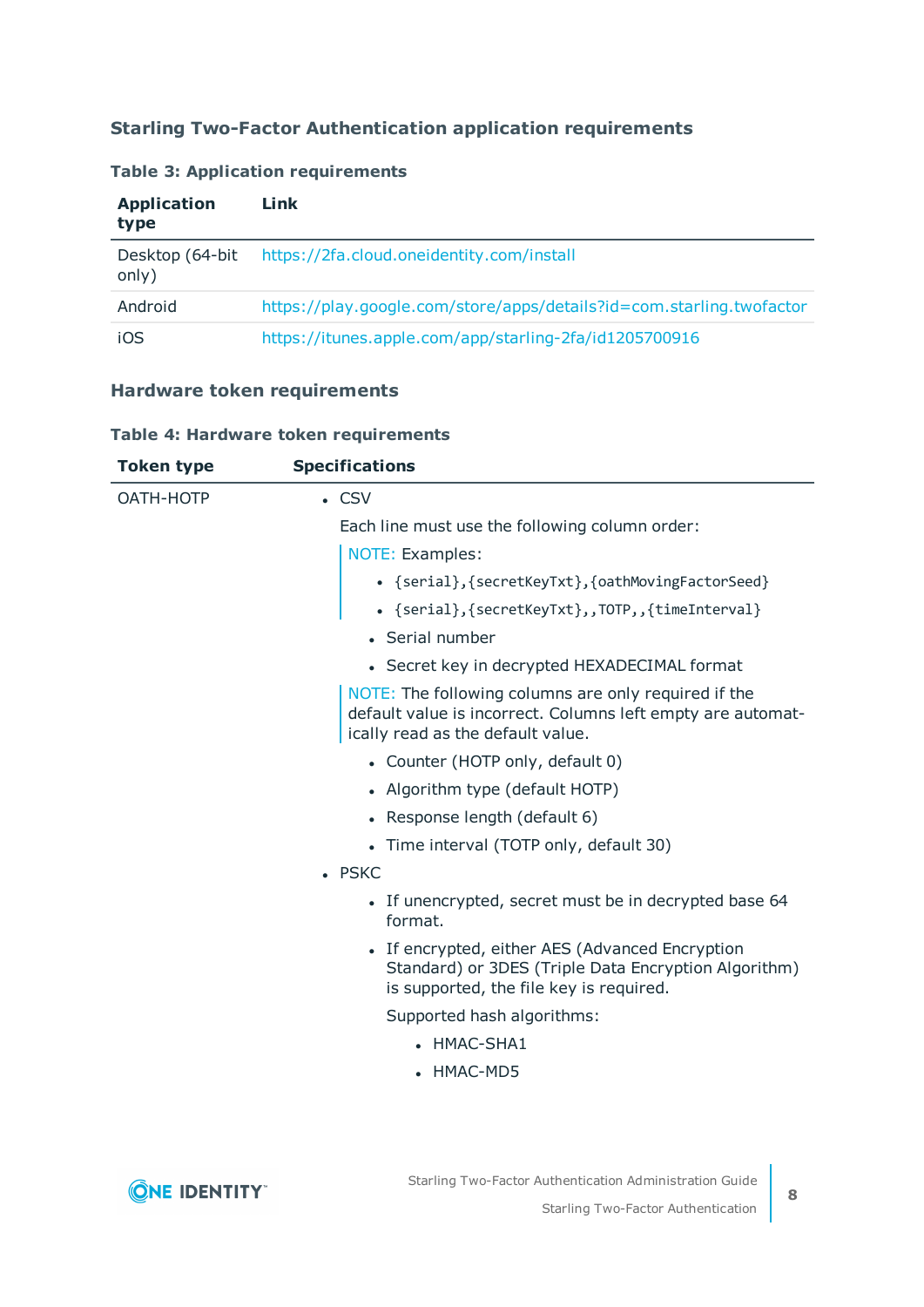## **Starling Two-Factor Authentication application requirements**

#### **Table 3: Application requirements**

| <b>Application</b><br>type | Link                                                                 |
|----------------------------|----------------------------------------------------------------------|
| Desktop (64-bit<br>only)   | https://2fa.cloud.oneidentity.com/install                            |
| Android                    | https://play.google.com/store/apps/details?id=com.starling.twofactor |
| iOS                        | https://itunes.apple.com/app/starling-2fa/id1205700916               |

## **Hardware token requirements**

|  |  |  | Table 4: Hardware token requirements |
|--|--|--|--------------------------------------|
|--|--|--|--------------------------------------|

| <b>Token type</b> | <b>Specifications</b>                                                                                                                                    |
|-------------------|----------------------------------------------------------------------------------------------------------------------------------------------------------|
| OATH-HOTP         | $\cdot$ CSV                                                                                                                                              |
|                   | Each line must use the following column order:                                                                                                           |
|                   | NOTE: Examples:                                                                                                                                          |
|                   | • {serial}, {secretKeyTxt}, {oathMovingFactorSeed}                                                                                                       |
|                   | . {serial}, {secretKeyTxt}, , TOTP, , {timeInterval}                                                                                                     |
|                   | • Serial number                                                                                                                                          |
|                   | • Secret key in decrypted HEXADECIMAL format                                                                                                             |
|                   | NOTE: The following columns are only required if the<br>default value is incorrect. Columns left empty are automat-<br>ically read as the default value. |
|                   | • Counter (HOTP only, default 0)                                                                                                                         |
|                   | • Algorithm type (default HOTP)                                                                                                                          |
|                   | • Response length (default 6)                                                                                                                            |
|                   | • Time interval (TOTP only, default 30)                                                                                                                  |
|                   | • PSKC                                                                                                                                                   |
|                   | • If unencrypted, secret must be in decrypted base 64<br>format.                                                                                         |
|                   | • If encrypted, either AES (Advanced Encryption<br>Standard) or 3DES (Triple Data Encryption Algorithm)<br>is supported, the file key is required.       |
|                   | Supported hash algorithms:                                                                                                                               |
|                   | • HMAC-SHA1                                                                                                                                              |
|                   | • HMAC-MD5                                                                                                                                               |
|                   |                                                                                                                                                          |
|                   |                                                                                                                                                          |

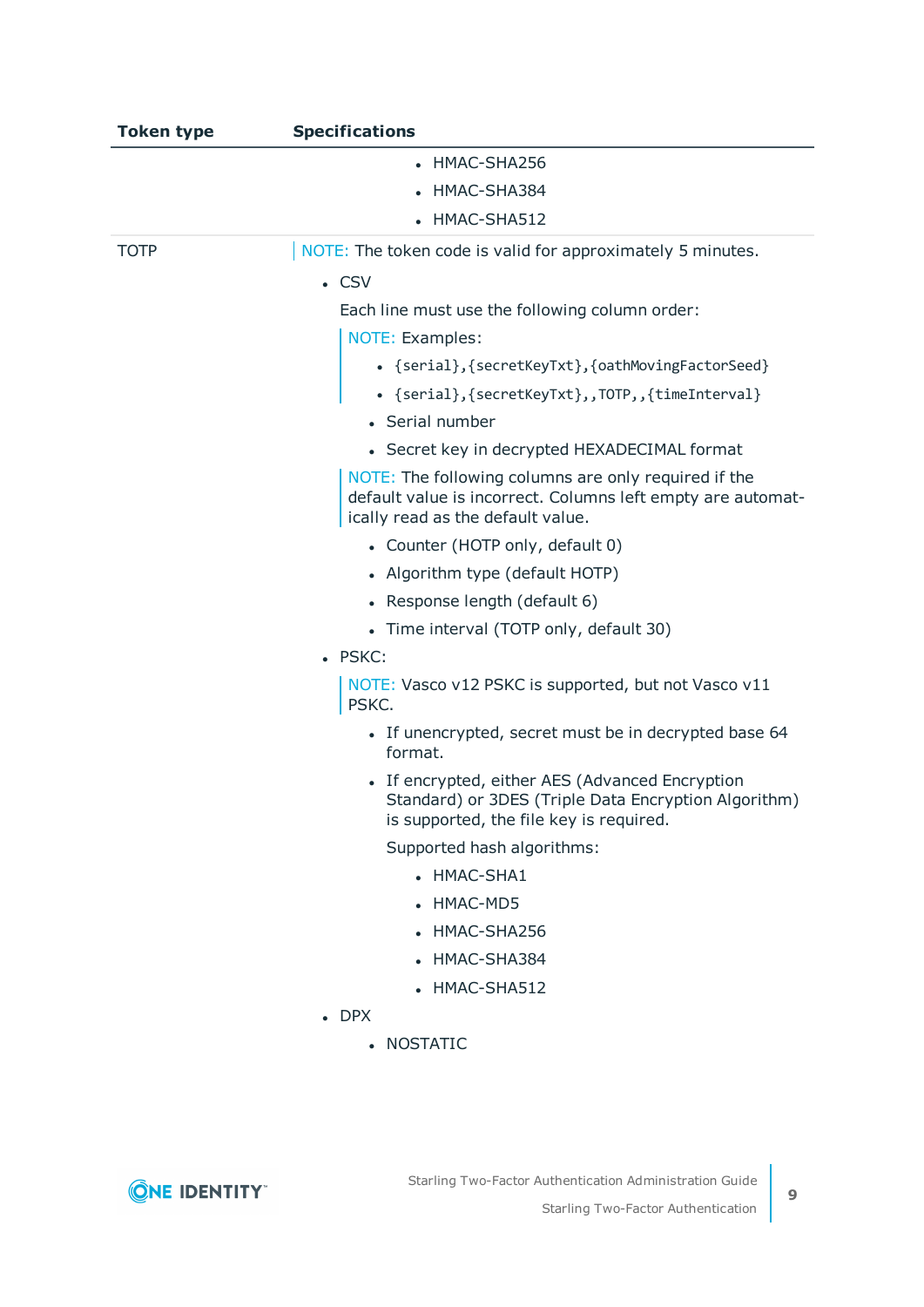| <b>Token type</b> | <b>Specifications</b>                                                                                                                                    |
|-------------------|----------------------------------------------------------------------------------------------------------------------------------------------------------|
|                   | • HMAC-SHA256                                                                                                                                            |
|                   | HMAC-SHA384                                                                                                                                              |
|                   | • HMAC-SHA512                                                                                                                                            |
| <b>TOTP</b>       | NOTE: The token code is valid for approximately 5 minutes.                                                                                               |
|                   | $\cdot$ CSV                                                                                                                                              |
|                   | Each line must use the following column order:                                                                                                           |
|                   | NOTE: Examples:                                                                                                                                          |
|                   | • {serial}, {secretKeyTxt}, {oathMovingFactorSeed}                                                                                                       |
|                   | . {serial}, {secretKeyTxt}, , TOTP, , {timeInterval}                                                                                                     |
|                   | • Serial number                                                                                                                                          |
|                   | • Secret key in decrypted HEXADECIMAL format                                                                                                             |
|                   | NOTE: The following columns are only required if the<br>default value is incorrect. Columns left empty are automat-<br>ically read as the default value. |
|                   | • Counter (HOTP only, default 0)                                                                                                                         |
|                   | • Algorithm type (default HOTP)                                                                                                                          |
|                   | • Response length (default 6)                                                                                                                            |
|                   | • Time interval (TOTP only, default 30)                                                                                                                  |
|                   | · PSKC:                                                                                                                                                  |
|                   | NOTE: Vasco v12 PSKC is supported, but not Vasco v11<br>PSKC.                                                                                            |
|                   | • If unencrypted, secret must be in decrypted base 64<br>format.                                                                                         |
|                   | If encrypted, either AES (Advanced Encryption<br>Standard) or 3DES (Triple Data Encryption Algorithm)<br>is supported, the file key is required.         |
|                   | Supported hash algorithms:                                                                                                                               |
|                   | • HMAC-SHA1                                                                                                                                              |
|                   | • HMAC-MD5                                                                                                                                               |
|                   | • HMAC-SHA256                                                                                                                                            |
|                   | • HMAC-SHA384                                                                                                                                            |
|                   | • HMAC-SHA512                                                                                                                                            |
|                   | $\bullet$ DPX                                                                                                                                            |
|                   | • NOSTATIC                                                                                                                                               |
|                   |                                                                                                                                                          |
|                   |                                                                                                                                                          |

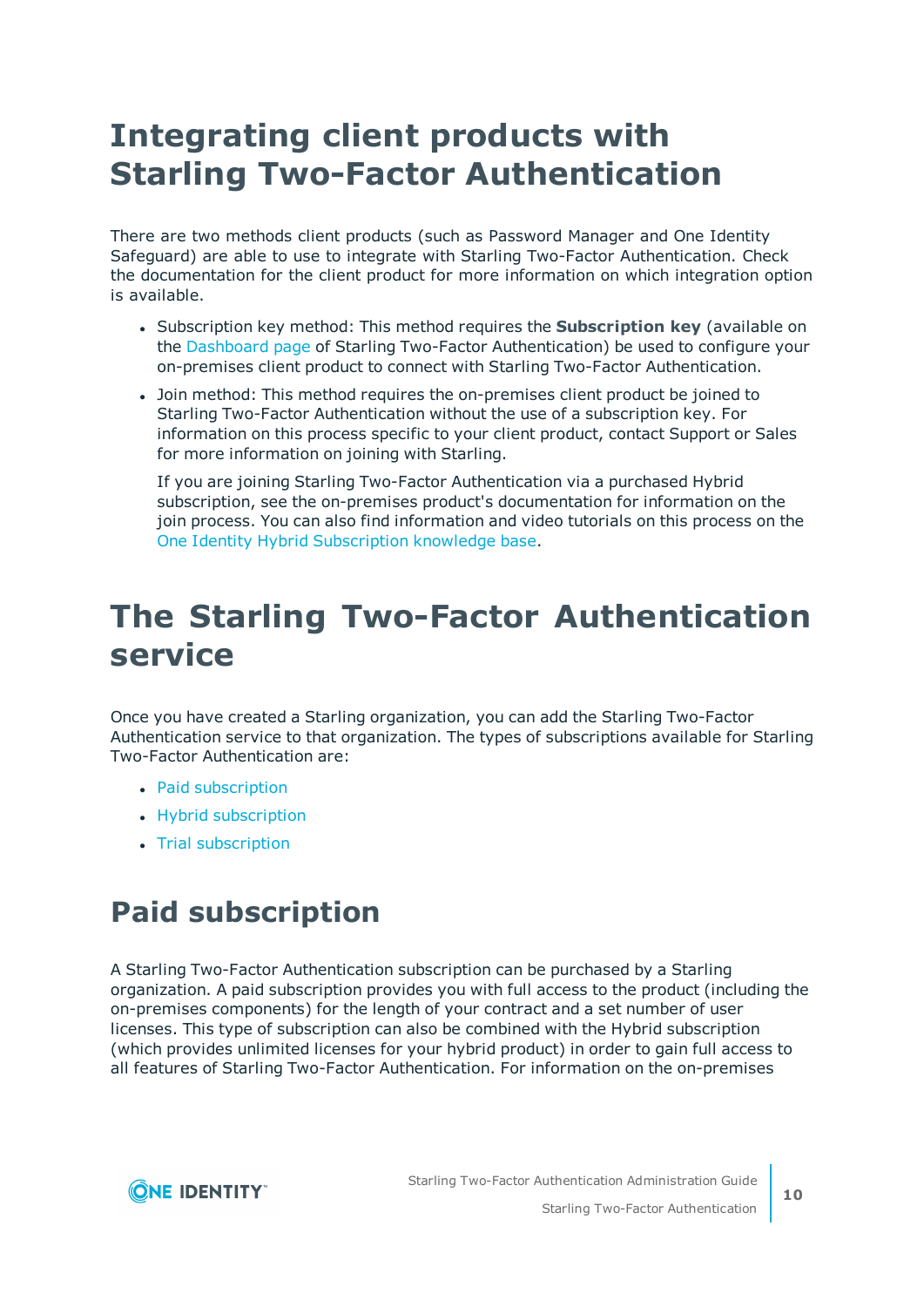# <span id="page-9-0"></span>**Integrating client products with Starling Two-Factor Authentication**

There are two methods client products (such as Password Manager and One Identity Safeguard) are able to use to integrate with Starling Two-Factor Authentication. Check the documentation for the client product for more information on which integration option is available.

- **.** Subscription key method: This method requires the **Subscription key** (available on the [Dashboard](#page-14-0) page of Starling Two-Factor Authentication) be used to configure your on-premises client product to connect with Starling Two-Factor Authentication.
- Join method: This method requires the on-premises client product be joined to Starling Two-Factor Authentication without the use of a subscription key. For information on this process specific to your client product, contact Support or Sales for more information on joining with Starling.

If you are joining Starling Two-Factor Authentication via a purchased Hybrid subscription, see the on-premises product's documentation for information on the join process. You can also find information and video tutorials on this process on the One Identity Hybrid [Subscription](https://support.oneidentity.com/one-identity-hybrid-subscription/kb) knowledge base.

# <span id="page-9-1"></span>**The Starling Two-Factor Authentication service**

Once you have created a Starling organization, you can add the Starling Two-Factor Authentication service to that organization. The types of subscriptions available for Starling Two-Factor Authentication are:

- Paid [subscription](#page-9-2)
- Hybrid [subscription](#page-10-0)
- Trial [subscription](#page-10-1)

# <span id="page-9-2"></span>**Paid subscription**

A Starling Two-Factor Authentication subscription can be purchased by a Starling organization. A paid subscription provides you with full access to the product (including the on-premises components) for the length of your contract and a set number of user licenses. This type of subscription can also be combined with the Hybrid subscription (which provides unlimited licenses for your hybrid product) in order to gain full access to all features of Starling Two-Factor Authentication. For information on the on-premises

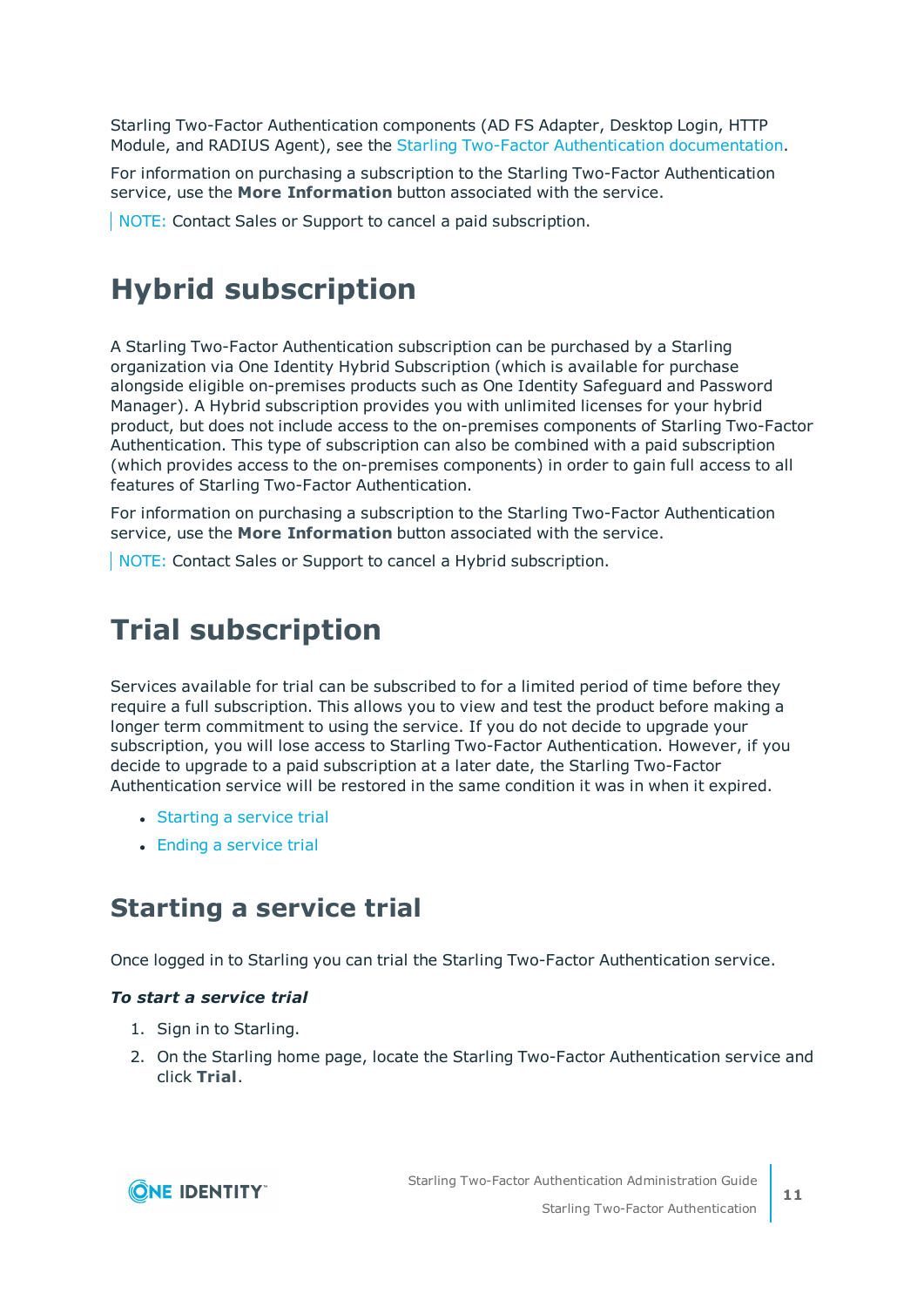Starling Two-Factor Authentication components (AD FS Adapter, Desktop Login, HTTP Module, and RADIUS Agent), see the Starling Two-Factor Authentication [documentation.](https://support.oneidentity.com/starling-two-factor-authentication/hosted/technical-documents)

For information on purchasing a subscription to the Starling Two-Factor Authentication service, use the **More Information** button associated with the service.

<span id="page-10-0"></span>NOTE: Contact Sales or Support to cancel a paid subscription.

# **Hybrid subscription**

A Starling Two-Factor Authentication subscription can be purchased by a Starling organization via One Identity Hybrid Subscription (which is available for purchase alongside eligible on-premises products such as One Identity Safeguard and Password Manager). A Hybrid subscription provides you with unlimited licenses for your hybrid product, but does not include access to the on-premises components of Starling Two-Factor Authentication. This type of subscription can also be combined with a paid subscription (which provides access to the on-premises components) in order to gain full access to all features of Starling Two-Factor Authentication.

For information on purchasing a subscription to the Starling Two-Factor Authentication service, use the **More Information** button associated with the service.

<span id="page-10-1"></span>NOTE: Contact Sales or Support to cancel a Hybrid subscription.

## **Trial subscription**

Services available for trial can be subscribed to for a limited period of time before they require a full subscription. This allows you to view and test the product before making a longer term commitment to using the service. If you do not decide to upgrade your subscription, you will lose access to Starling Two-Factor Authentication. However, if you decide to upgrade to a paid subscription at a later date, the Starling Two-Factor Authentication service will be restored in the same condition it was in when it expired.

- [Starting](#page-10-2) a service trial
- $\bullet$  Ending a [service](#page-11-0) trial

## <span id="page-10-2"></span>**Starting a service trial**

Once logged in to Starling you can trial the Starling Two-Factor Authentication service.

### *To start a service trial*

- 1. Sign in to Starling.
- 2. On the Starling home page, locate the Starling Two-Factor Authentication service and click **Trial**.

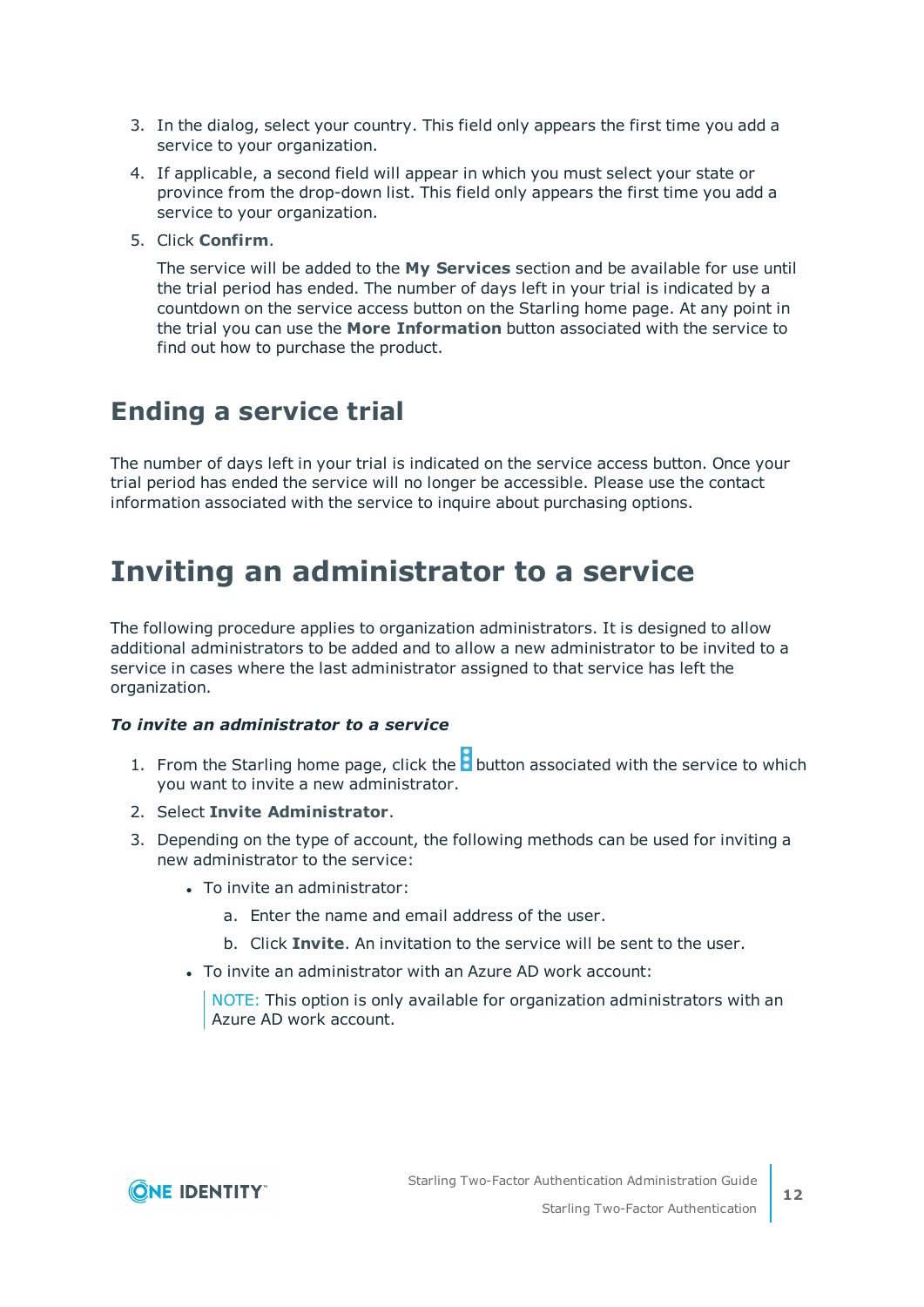- 3. In the dialog, select your country. This field only appears the first time you add a service to your organization.
- 4. If applicable, a second field will appear in which you must select your state or province from the drop-down list. This field only appears the first time you add a service to your organization.
- 5. Click **Confirm**.

The service will be added to the **My Services** section and be available for use until the trial period has ended. The number of days left in your trial is indicated by a countdown on the service access button on the Starling home page. At any point in the trial you can use the **More Information** button associated with the service to find out how to purchase the product.

## <span id="page-11-0"></span>**Ending a service trial**

The number of days left in your trial is indicated on the service access button. Once your trial period has ended the service will no longer be accessible. Please use the contact information associated with the service to inquire about purchasing options.

## <span id="page-11-1"></span>**Inviting an administrator to a service**

The following procedure applies to organization administrators. It is designed to allow additional administrators to be added and to allow a new administrator to be invited to a service in cases where the last administrator assigned to that service has left the organization.

### *To invite an administrator to a service*

- 1. From the Starling home page, click the  $\mathbf b$  button associated with the service to which you want to invite a new administrator.
- 2. Select **Invite Administrator**.
- 3. Depending on the type of account, the following methods can be used for inviting a new administrator to the service:
	- To invite an administrator:
		- a. Enter the name and email address of the user.
		- b. Click **Invite**. An invitation to the service will be sent to the user.
	- To invite an administrator with an Azure AD work account:

NOTE: This option is only available for organization administrators with an Azure AD work account.

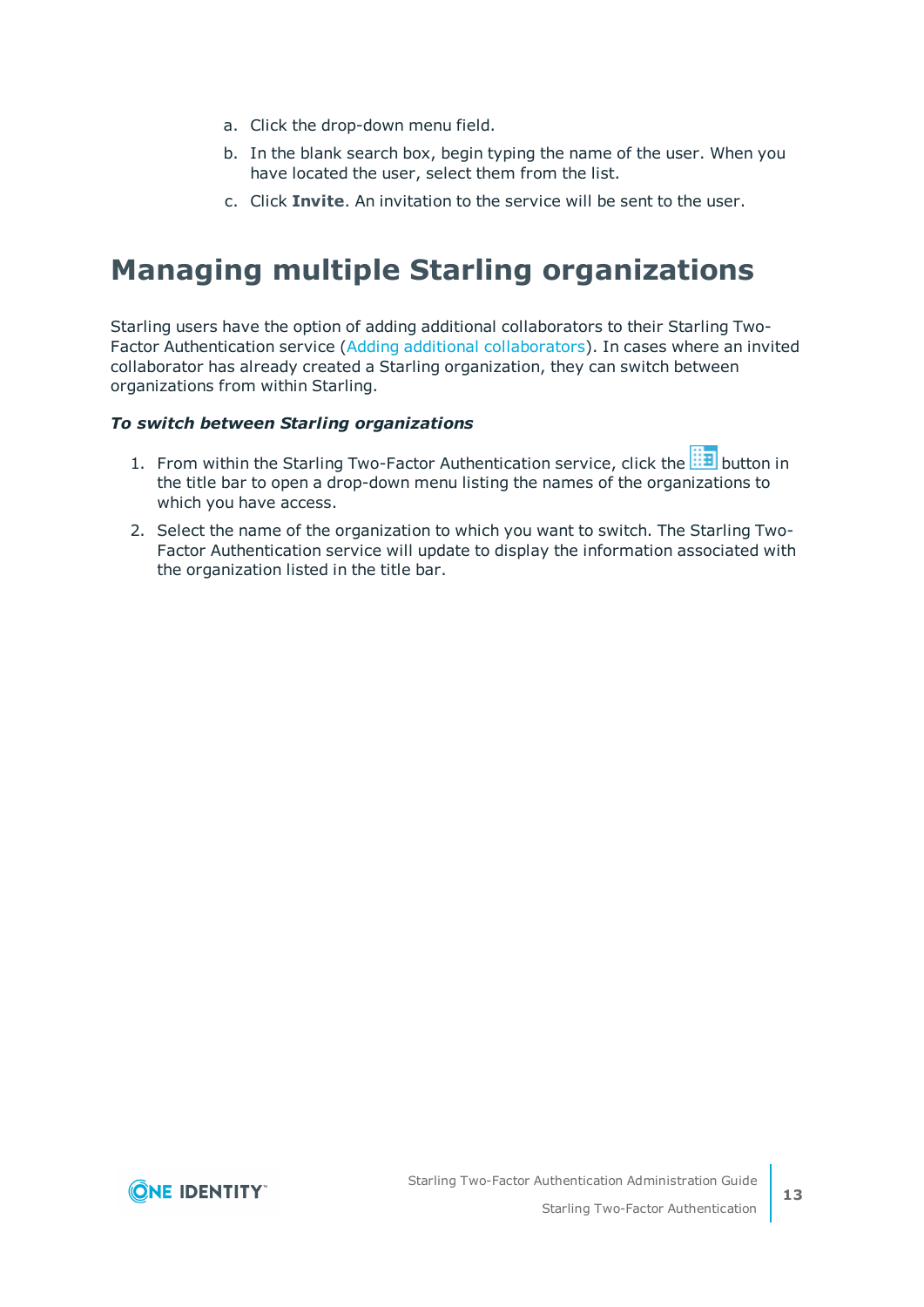- a. Click the drop-down menu field.
- b. In the blank search box, begin typing the name of the user. When you have located the user, select them from the list.
- c. Click **Invite**. An invitation to the service will be sent to the user.

## <span id="page-12-0"></span>**Managing multiple Starling organizations**

Starling users have the option of adding additional collaborators to their Starling Two-Factor Authentication service (Adding additional [collaborators](#page-19-1)). In cases where an invited collaborator has already created a Starling organization, they can switch between organizations from within Starling.

#### *To switch between Starling organizations*

- 1. From within the Starling Two-Factor Authentication service, click the **industry** button in the title bar to open a drop-down menu listing the names of the organizations to which you have access.
- 2. Select the name of the organization to which you want to switch. The Starling Two-Factor Authentication service will update to display the information associated with the organization listed in the title bar.

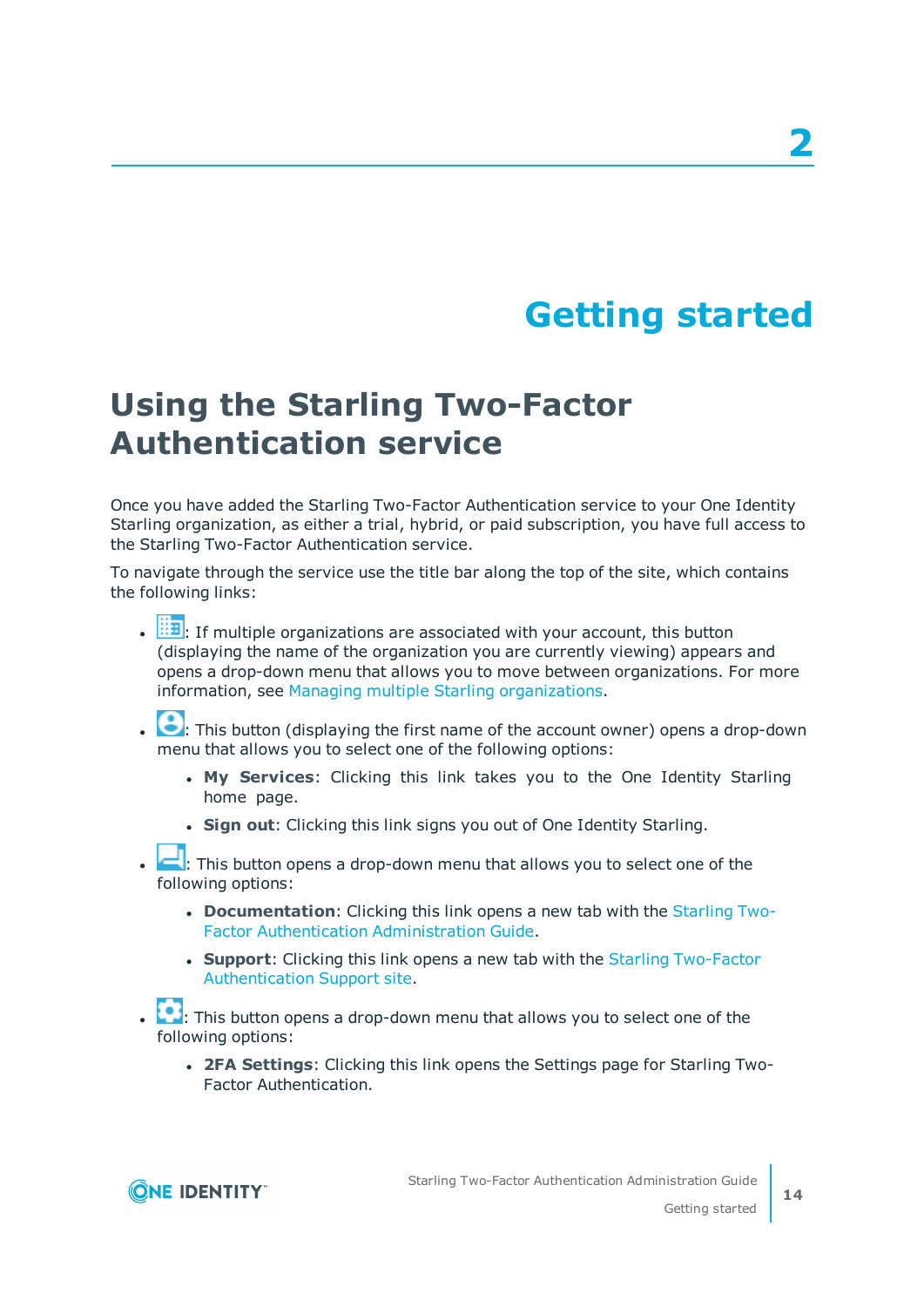# **Getting started**

# <span id="page-13-1"></span><span id="page-13-0"></span>**Using the Starling Two-Factor Authentication service**

Once you have added the Starling Two-Factor Authentication service to your One Identity Starling organization, as either a trial, hybrid, or paid subscription, you have full access to the Starling Two-Factor Authentication service.

To navigate through the service use the title bar along the top of the site, which contains the following links:

- $\cdot$   $\overline{H}$ : If multiple organizations are associated with your account, this button (displaying the name of the organization you are currently viewing) appears and opens a drop-down menu that allows you to move between organizations. For more information, see Managing multiple Starling [organizations](#page-12-0).
- .  $\bullet$ : This button (displaying the first name of the account owner) opens a drop-down menu that allows you to select one of the following options:
	- **. My Services:** Clicking this link takes you to the One Identity Starling home page.
	- **Sign out:** Clicking this link signs you out of One Identity Starling.
- . **1**: This button opens a drop-down menu that allows you to select one of the following options:
	- **. Documentation**: Clicking this link opens a new tab with the [Starling](https://support-2fa.cloud.oneidentity.com/technical-documents/starling-two-factor-authentication/hosted/starling-two-factor-authentication-administration-guide) Two-Factor Authentication [Administration](https://support-2fa.cloud.oneidentity.com/technical-documents/starling-two-factor-authentication/hosted/starling-two-factor-authentication-administration-guide) Guide.
	- **. Support:** Clicking this link opens a new tab with the Starling [Two-Factor](https://support-2fa.cloud.oneidentity.com/) [Authentication](https://support-2fa.cloud.oneidentity.com/) Support site.
- **1**: This button opens a drop-down menu that allows you to select one of the following options:
	- <sup>l</sup> **2FA Settings**: Clicking this link opens the Settings page for Starling Two-Factor Authentication.

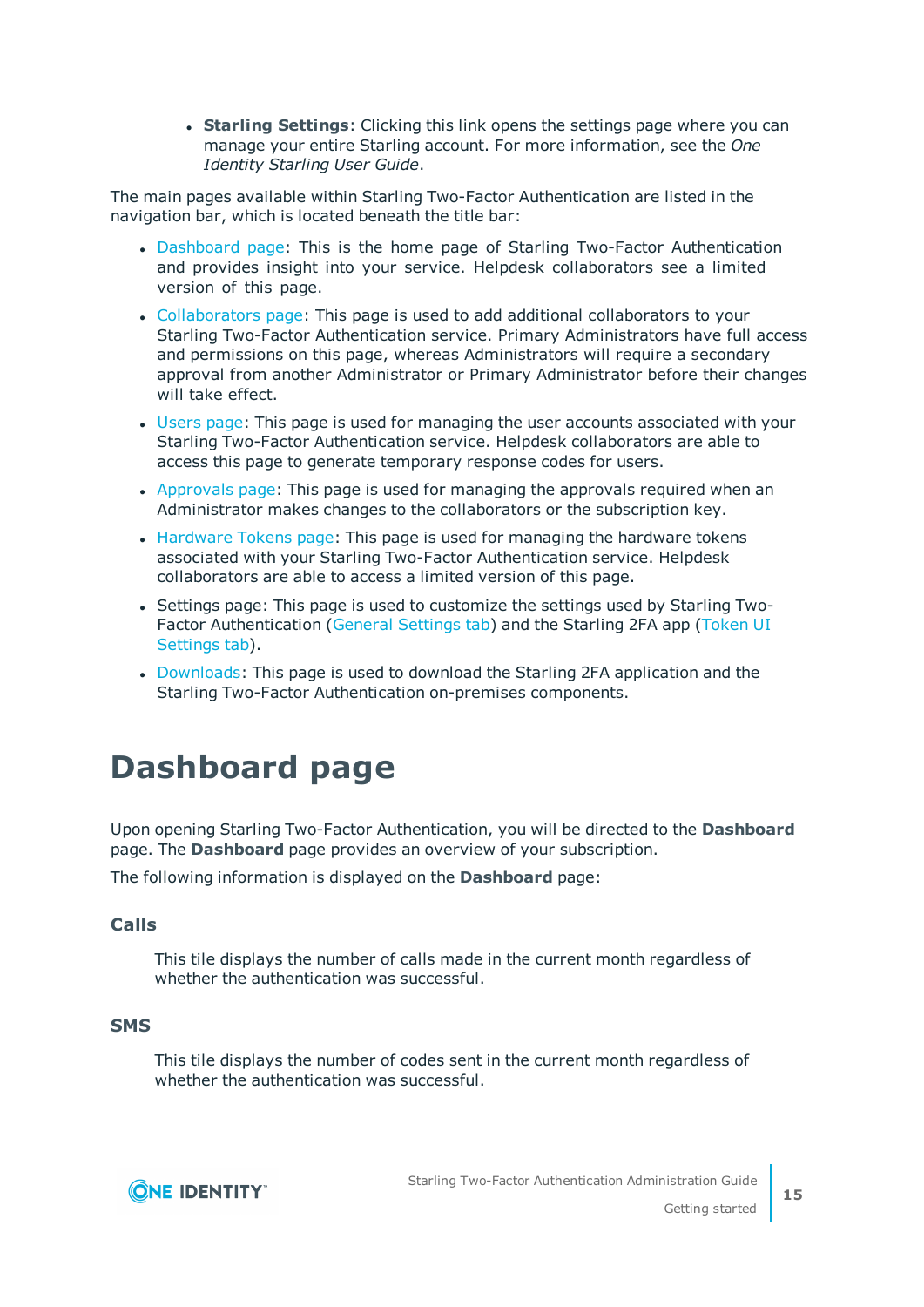**. Starling Settings:** Clicking this link opens the settings page where you can manage your entire Starling account. For more information, see the *One Identity Starling User Guide*.

The main pages available within Starling Two-Factor Authentication are listed in the navigation bar, which is located beneath the title bar:

- [Dashboard](#page-14-0) page: This is the home page of Starling Two-Factor Authentication and provides insight into your service. Helpdesk collaborators see a limited version of this page.
- [Collaborators](#page-17-2) page: This page is used to add additional collaborators to your Starling Two-Factor Authentication service. Primary Administrators have full access and permissions on this page, whereas Administrators will require a secondary approval from another Administrator or Primary Administrator before their changes will take effect.
- [Users](#page-24-2) page: This page is used for managing the user accounts associated with your Starling Two-Factor Authentication service. Helpdesk collaborators are able to access this page to generate temporary response codes for users.
- [Approvals](#page-32-2) page: This page is used for managing the approvals required when an Administrator makes changes to the collaborators or the subscription key.
- [Hardware](#page-37-2) Tokens page: This page is used for managing the hardware tokens associated with your Starling Two-Factor Authentication service. Helpdesk collaborators are able to access a limited version of this page.
- Settings page: This page is used to customize the settings used by Starling Two-Factor Authentication (General [Settings](#page-44-2) tab) and the Starling 2FA app [\(Token](#page-45-0) UI [Settings](#page-45-0) tab).
- [Downloads](#page-47-0): This page is used to download the Starling 2FA application and the Starling Two-Factor Authentication on-premises components.

# <span id="page-14-0"></span>**Dashboard page**

Upon opening Starling Two-Factor Authentication, you will be directed to the **Dashboard** page. The **Dashboard** page provides an overview of your subscription.

The following information is displayed on the **Dashboard** page:

### **Calls**

This tile displays the number of calls made in the current month regardless of whether the authentication was successful.

#### **SMS**

This tile displays the number of codes sent in the current month regardless of whether the authentication was successful.

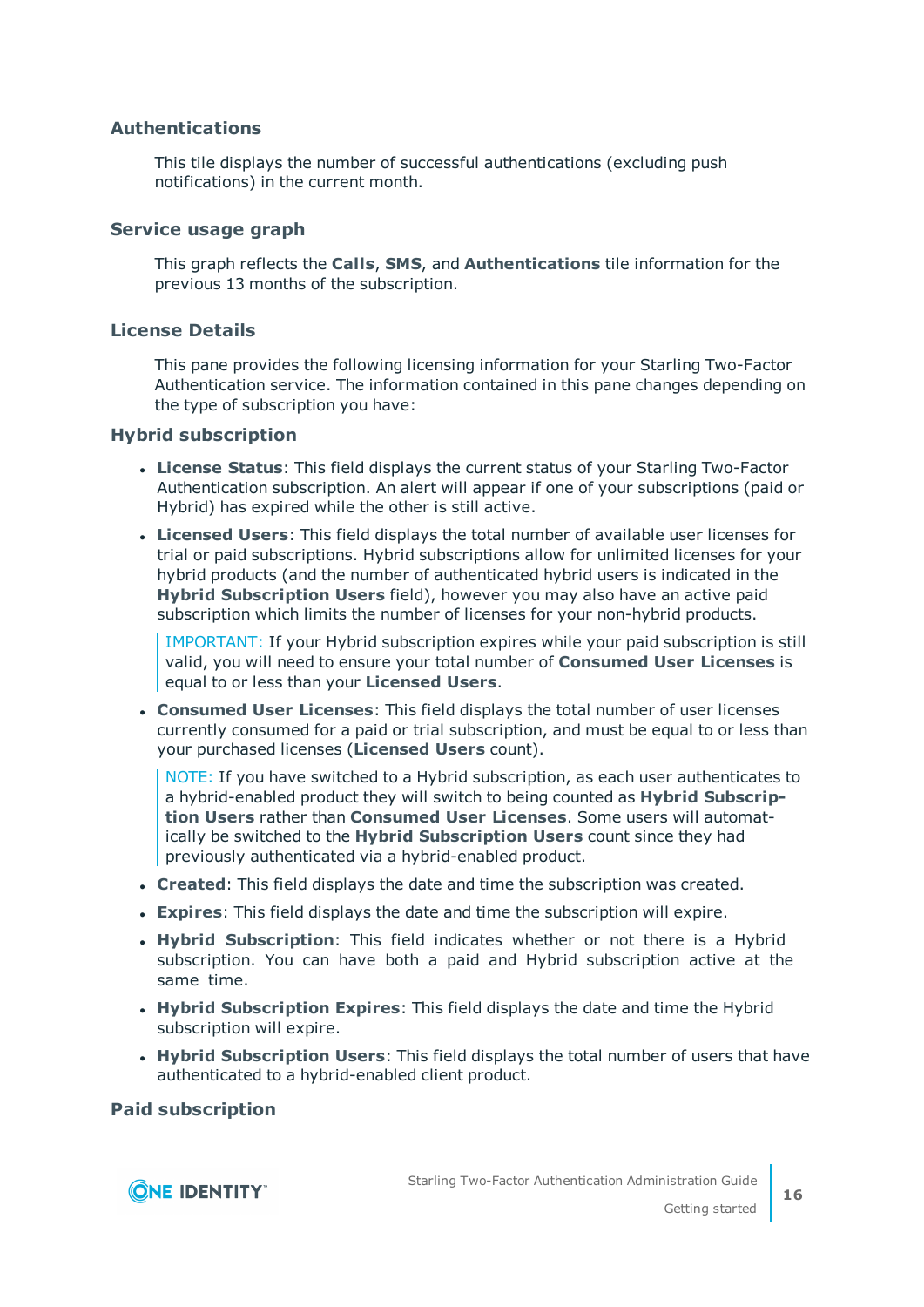### **Authentications**

This tile displays the number of successful authentications (excluding push notifications) in the current month.

#### **Service usage graph**

This graph reflects the **Calls**, **SMS**, and **Authentications** tile information for the previous 13 months of the subscription.

#### **License Details**

This pane provides the following licensing information for your Starling Two-Factor Authentication service. The information contained in this pane changes depending on the type of subscription you have:

#### **Hybrid subscription**

- **License Status**: This field displays the current status of your Starling Two-Factor Authentication subscription. An alert will appear if one of your subscriptions (paid or Hybrid) has expired while the other is still active.
- **Licensed Users**: This field displays the total number of available user licenses for trial or paid subscriptions. Hybrid subscriptions allow for unlimited licenses for your hybrid products (and the number of authenticated hybrid users is indicated in the **Hybrid Subscription Users** field), however you may also have an active paid subscription which limits the number of licenses for your non-hybrid products.

IMPORTANT: If your Hybrid subscription expires while your paid subscription is still valid, you will need to ensure your total number of **Consumed User Licenses** is equal to or less than your **Licensed Users**.

<sup>l</sup> **Consumed User Licenses**: This field displays the total number of user licenses currently consumed for a paid or trial subscription, and must be equal to or less than your purchased licenses (**Licensed Users** count).

NOTE: If you have switched to a Hybrid subscription, as each user authenticates to a hybrid-enabled product they will switch to being counted as **Hybrid Subscription Users** rather than **Consumed User Licenses**. Some users will automatically be switched to the **Hybrid Subscription Users** count since they had previously authenticated via a hybrid-enabled product.

- **Created:** This field displays the date and time the subscription was created.
- <sup>l</sup> **Expires**: This field displays the date and time the subscription will expire.
- **. Hybrid Subscription**: This field indicates whether or not there is a Hybrid subscription. You can have both a paid and Hybrid subscription active at the same time.
- <sup>l</sup> **Hybrid Subscription Expires**: This field displays the date and time the Hybrid subscription will expire.
- <sup>l</sup> **Hybrid Subscription Users**: This field displays the total number of users that have authenticated to a hybrid-enabled client product.

#### **Paid subscription**

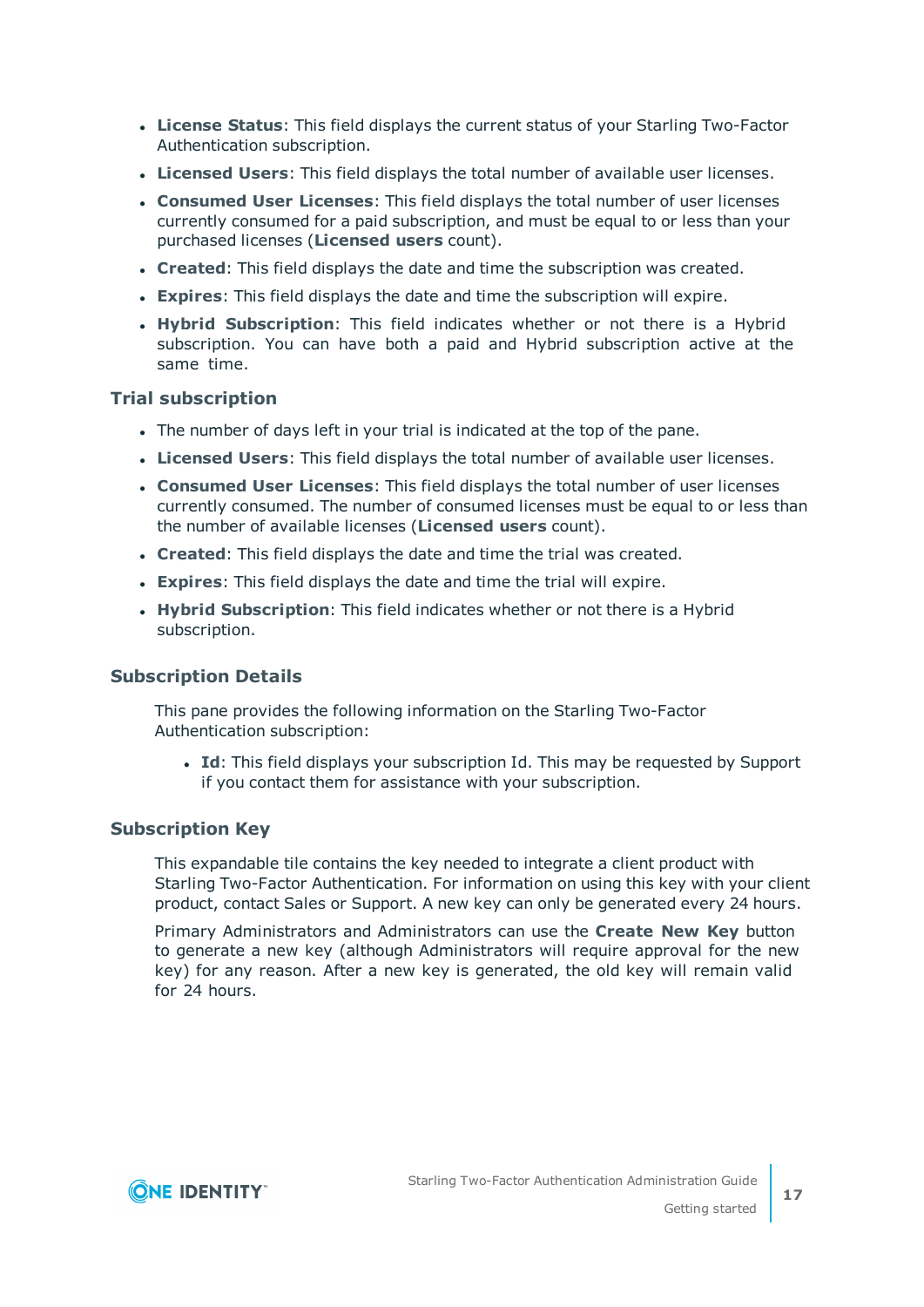- **License Status**: This field displays the current status of your Starling Two-Factor Authentication subscription.
- **Licensed Users**: This field displays the total number of available user licenses.
- <sup>l</sup> **Consumed User Licenses**: This field displays the total number of user licenses currently consumed for a paid subscription, and must be equal to or less than your purchased licenses (**Licensed users** count).
- **Created:** This field displays the date and time the subscription was created.
- **Expires**: This field displays the date and time the subscription will expire.
- **. Hybrid Subscription**: This field indicates whether or not there is a Hybrid subscription. You can have both a paid and Hybrid subscription active at the same time.

#### **Trial subscription**

- The number of days left in your trial is indicated at the top of the pane.
- **Licensed Users**: This field displays the total number of available user licenses.
- <sup>l</sup> **Consumed User Licenses**: This field displays the total number of user licenses currently consumed. The number of consumed licenses must be equal to or less than the number of available licenses (**Licensed users** count).
- **Created:** This field displays the date and time the trial was created.
- **Expires**: This field displays the date and time the trial will expire.
- **. Hybrid Subscription**: This field indicates whether or not there is a Hybrid subscription.

#### **Subscription Details**

This pane provides the following information on the Starling Two-Factor Authentication subscription:

• **Id**: This field displays your subscription Id. This may be requested by Support if you contact them for assistance with your subscription.

#### **Subscription Key**

This expandable tile contains the key needed to integrate a client product with Starling Two-Factor Authentication. For information on using this key with your client product, contact Sales or Support. A new key can only be generated every 24 hours.

Primary Administrators and Administrators can use the **Create New Key** button to generate a new key (although Administrators will require approval for the new key) for any reason. After a new key is generated, the old key will remain valid for 24 hours.



**17**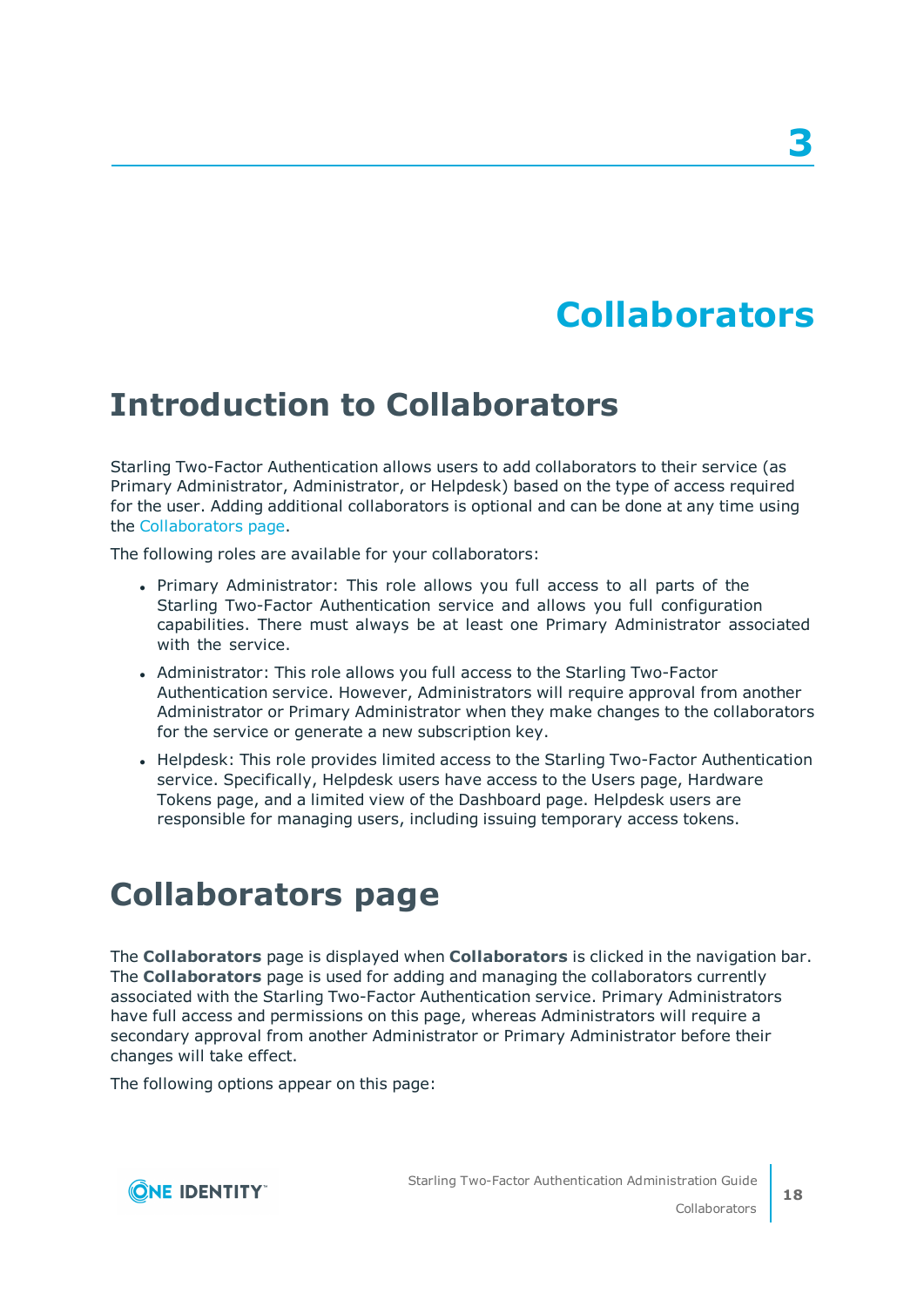# **Collaborators**

# <span id="page-17-1"></span><span id="page-17-0"></span>**Introduction to Collaborators**

Starling Two-Factor Authentication allows users to add collaborators to their service (as Primary Administrator, Administrator, or Helpdesk) based on the type of access required for the user. Adding additional collaborators is optional and can be done at any time using the [Collaborators](#page-17-2) page.

The following roles are available for your collaborators:

- Primary Administrator: This role allows you full access to all parts of the Starling Two-Factor Authentication service and allows you full configuration capabilities. There must always be at least one Primary Administrator associated with the service.
- Administrator: This role allows you full access to the Starling Two-Factor Authentication service. However, Administrators will require approval from another Administrator or Primary Administrator when they make changes to the collaborators for the service or generate a new subscription key.
- Helpdesk: This role provides limited access to the Starling Two-Factor Authentication service. Specifically, Helpdesk users have access to the Users page, Hardware Tokens page, and a limited view of the Dashboard page. Helpdesk users are responsible for managing users, including issuing temporary access tokens.

# <span id="page-17-2"></span>**Collaborators page**

The **Collaborators** page is displayed when **Collaborators** is clicked in the navigation bar. The **Collaborators** page is used for adding and managing the collaborators currently associated with the Starling Two-Factor Authentication service. Primary Administrators have full access and permissions on this page, whereas Administrators will require a secondary approval from another Administrator or Primary Administrator before their changes will take effect.

The following options appear on this page:

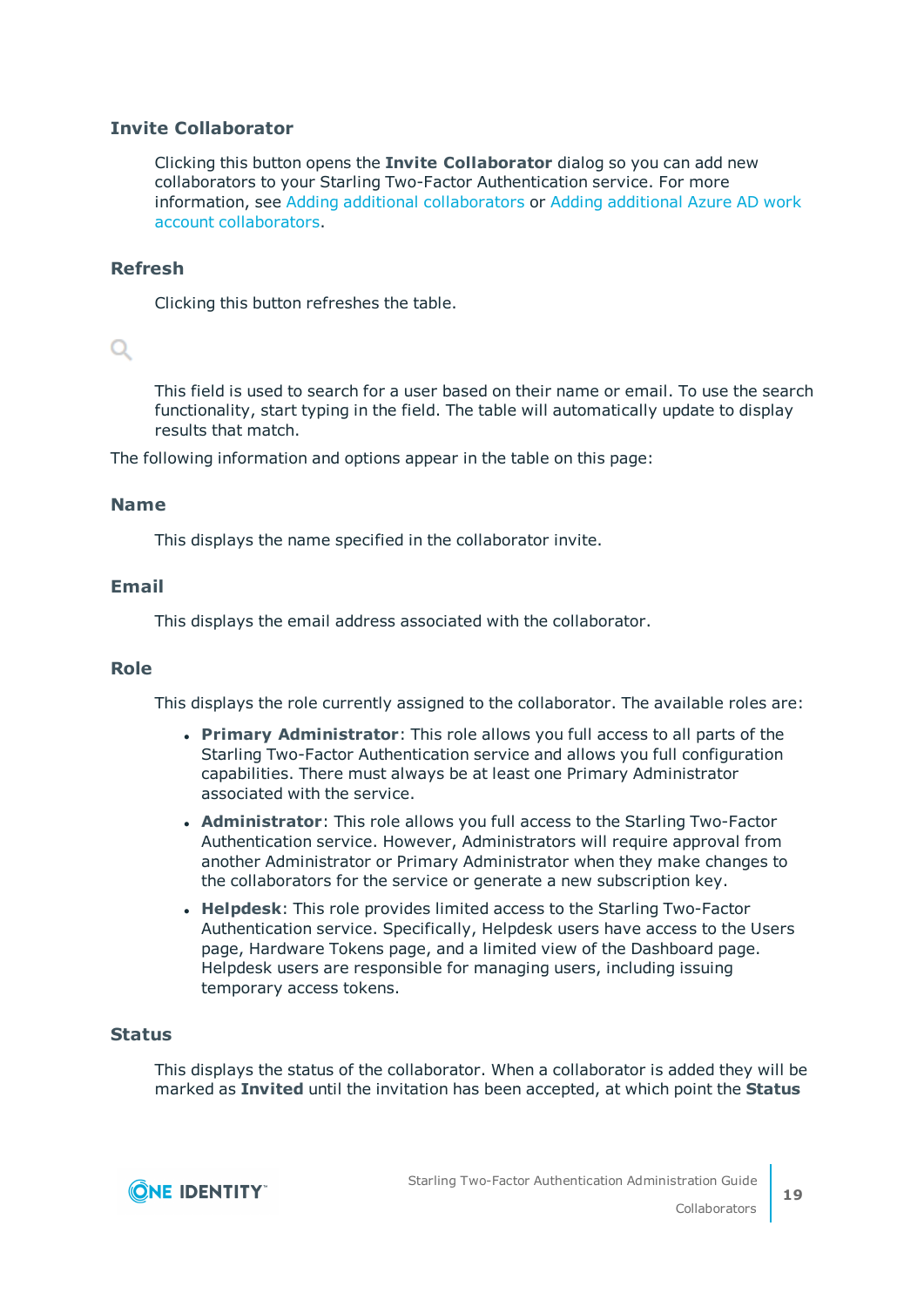## **Invite Collaborator**

Clicking this button opens the **Invite Collaborator** dialog so you can add new collaborators to your Starling Two-Factor Authentication service. For more information, see Adding additional [collaborators](#page-19-1) or Adding [additional](#page-20-0) Azure AD work account [collaborators](#page-20-0).

### **Refresh**

Clicking this button refreshes the table.

## $\alpha$

This field is used to search for a user based on their name or email. To use the search functionality, start typing in the field. The table will automatically update to display results that match.

The following information and options appear in the table on this page:

#### **Name**

This displays the name specified in the collaborator invite.

#### **Email**

This displays the email address associated with the collaborator.

#### **Role**

This displays the role currently assigned to the collaborator. The available roles are:

- <sup>l</sup> **Primary Administrator**: This role allows you full access to all parts of the Starling Two-Factor Authentication service and allows you full configuration capabilities. There must always be at least one Primary Administrator associated with the service.
- **. Administrator**: This role allows you full access to the Starling Two-Factor Authentication service. However, Administrators will require approval from another Administrator or Primary Administrator when they make changes to the collaborators for the service or generate a new subscription key.
- **. Helpdesk:** This role provides limited access to the Starling Two-Factor Authentication service. Specifically, Helpdesk users have access to the Users page, Hardware Tokens page, and a limited view of the Dashboard page. Helpdesk users are responsible for managing users, including issuing temporary access tokens.

### **Status**

This displays the status of the collaborator. When a collaborator is added they will be marked as **Invited** until the invitation has been accepted, at which point the **Status**

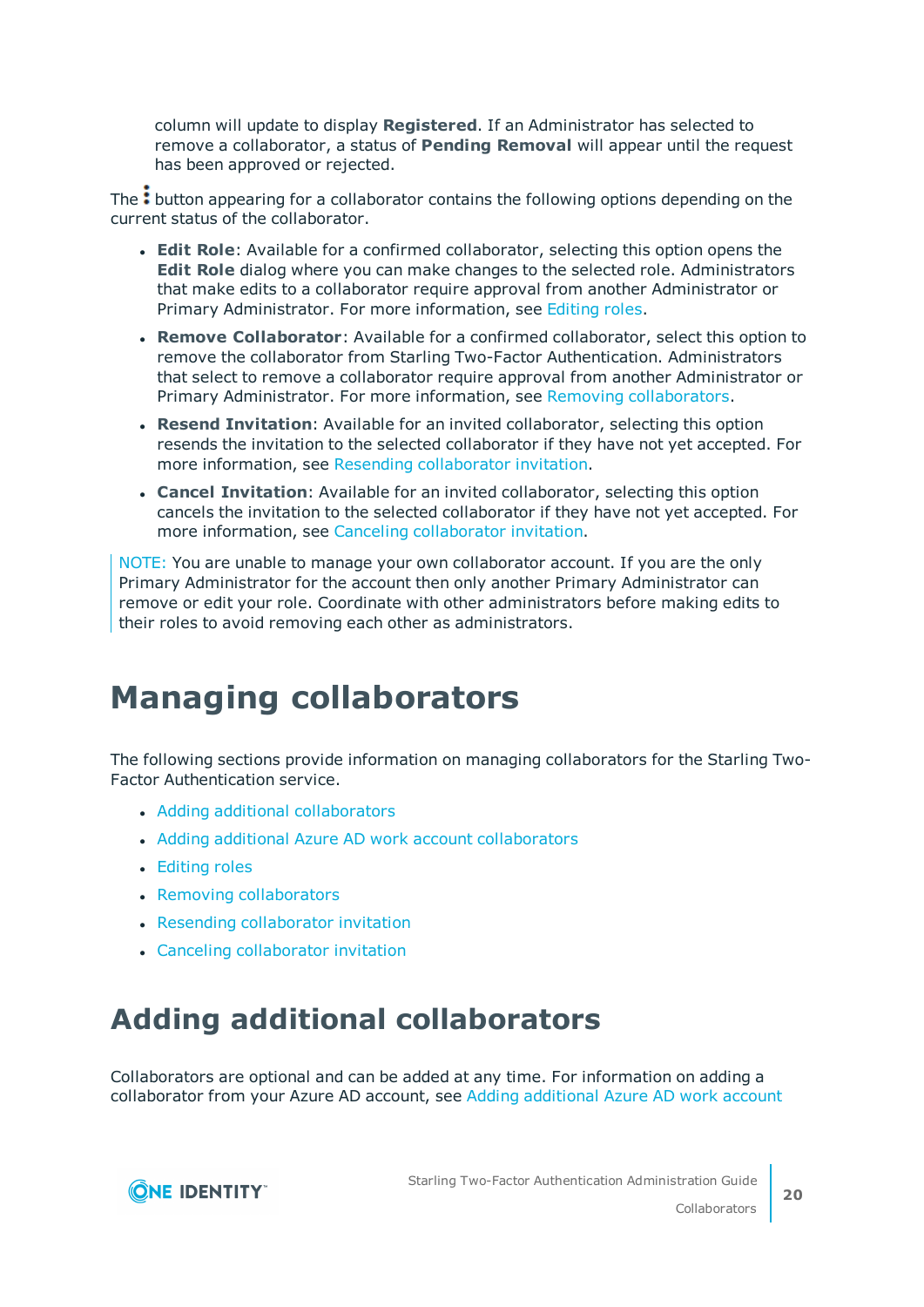column will update to display **Registered**. If an Administrator has selected to remove a collaborator, a status of **Pending Removal** will appear until the request has been approved or rejected.

The: button appearing for a collaborator contains the following options depending on the current status of the collaborator.

- **Edit Role**: Available for a confirmed collaborator, selecting this option opens the **Edit Role** dialog where you can make changes to the selected role. Administrators that make edits to a collaborator require approval from another Administrator or Primary Administrator. For more information, see [Editing](#page-21-0) roles.
- **Remove Collaborator**: Available for a confirmed collaborator, select this option to remove the collaborator from Starling Two-Factor Authentication. Administrators that select to remove a collaborator require approval from another Administrator or Primary Administrator. For more information, see Removing [collaborators](#page-22-0).
- <sup>l</sup> **Resend Invitation**: Available for an invited collaborator, selecting this option resends the invitation to the selected collaborator if they have not yet accepted. For more information, see Resending [collaborator](#page-22-1) invitation.
- <sup>l</sup> **Cancel Invitation**: Available for an invited collaborator, selecting this option cancels the invitation to the selected collaborator if they have not yet accepted. For more information, see Canceling [collaborator](#page-23-0) invitation.

NOTE: You are unable to manage your own collaborator account. If you are the only Primary Administrator for the account then only another Primary Administrator can remove or edit your role. Coordinate with other administrators before making edits to their roles to avoid removing each other as administrators.

# <span id="page-19-0"></span>**Managing collaborators**

The following sections provide information on managing collaborators for the Starling Two-Factor Authentication service.

- Adding additional [collaborators](#page-19-1)
- Adding additional Azure AD work account [collaborators](#page-20-0)
- [Editing](#page-21-0) roles
- Removing [collaborators](#page-22-0)
- Resending [collaborator](#page-22-1) invitation
- Canceling [collaborator](#page-23-0) invitation

## <span id="page-19-1"></span>**Adding additional collaborators**

Collaborators are optional and can be added at any time. For information on adding a collaborator from your Azure AD account, see Adding [additional](#page-20-0) Azure AD work account

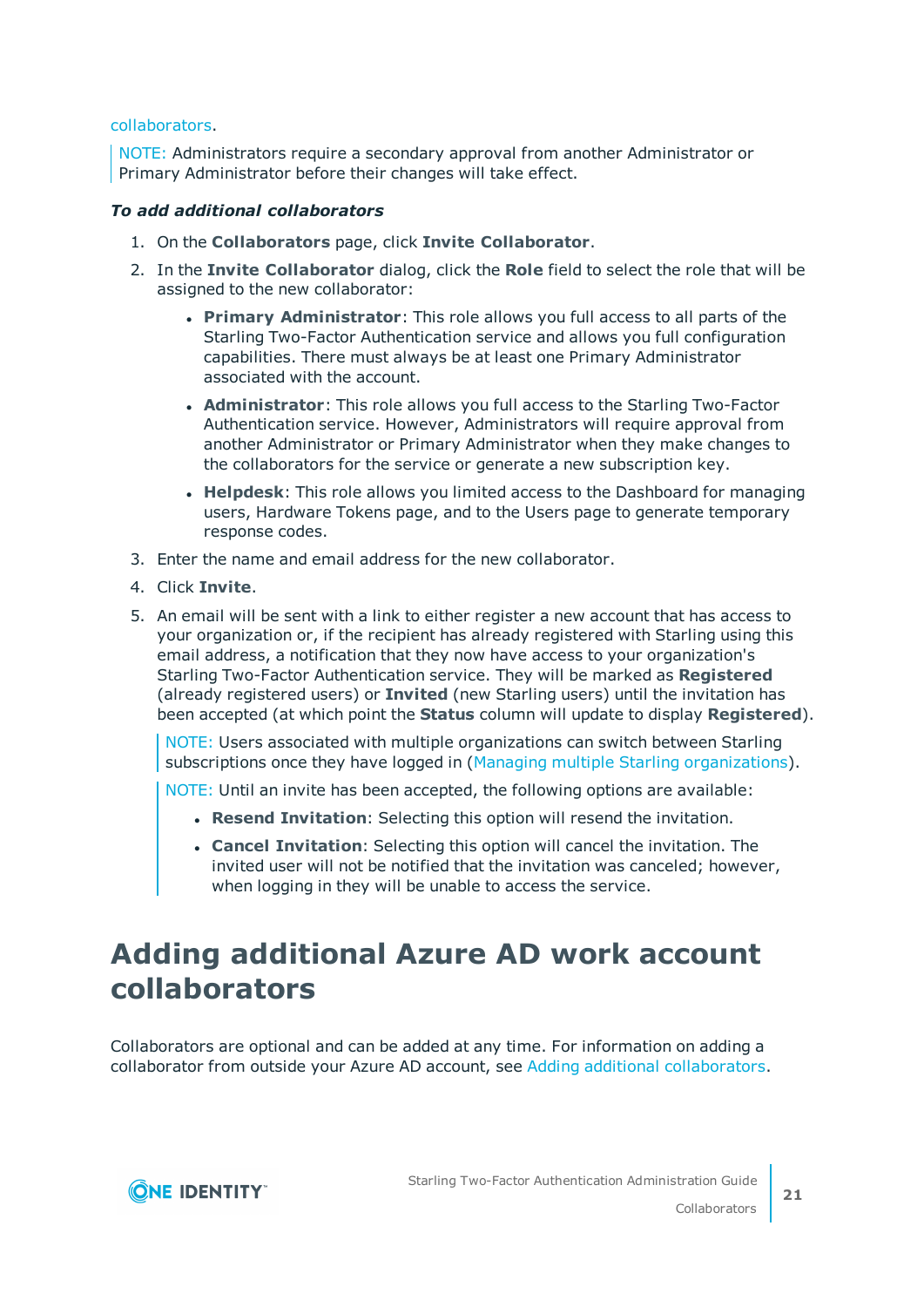#### [collaborators](#page-20-0).

NOTE: Administrators require a secondary approval from another Administrator or Primary Administrator before their changes will take effect.

#### *To add additional collaborators*

- 1. On the **Collaborators** page, click **Invite Collaborator**.
- 2. In the **Invite Collaborator** dialog, click the **Role** field to select the role that will be assigned to the new collaborator:
	- <sup>l</sup> **Primary Administrator**: This role allows you full access to all parts of the Starling Two-Factor Authentication service and allows you full configuration capabilities. There must always be at least one Primary Administrator associated with the account.
	- **Administrator**: This role allows you full access to the Starling Two-Factor Authentication service. However, Administrators will require approval from another Administrator or Primary Administrator when they make changes to the collaborators for the service or generate a new subscription key.
	- **Helpdesk**: This role allows you limited access to the Dashboard for managing users, Hardware Tokens page, and to the Users page to generate temporary response codes.
- 3. Enter the name and email address for the new collaborator.
- 4. Click **Invite**.
- 5. An email will be sent with a link to either register a new account that has access to your organization or, if the recipient has already registered with Starling using this email address, a notification that they now have access to your organization's Starling Two-Factor Authentication service. They will be marked as **Registered** (already registered users) or **Invited** (new Starling users) until the invitation has been accepted (at which point the **Status** column will update to display **Registered**).

NOTE: Users associated with multiple organizations can switch between Starling subscriptions once they have logged in (Managing multiple Starling [organizations\)](#page-12-0).

NOTE: Until an invite has been accepted, the following options are available:

- **. Resend Invitation**: Selecting this option will resend the invitation.
- **Cancel Invitation**: Selecting this option will cancel the invitation. The invited user will not be notified that the invitation was canceled; however, when logging in they will be unable to access the service.

# <span id="page-20-0"></span>**Adding additional Azure AD work account collaborators**

Collaborators are optional and can be added at any time. For information on adding a collaborator from outside your Azure AD account, see Adding additional [collaborators.](#page-19-1)

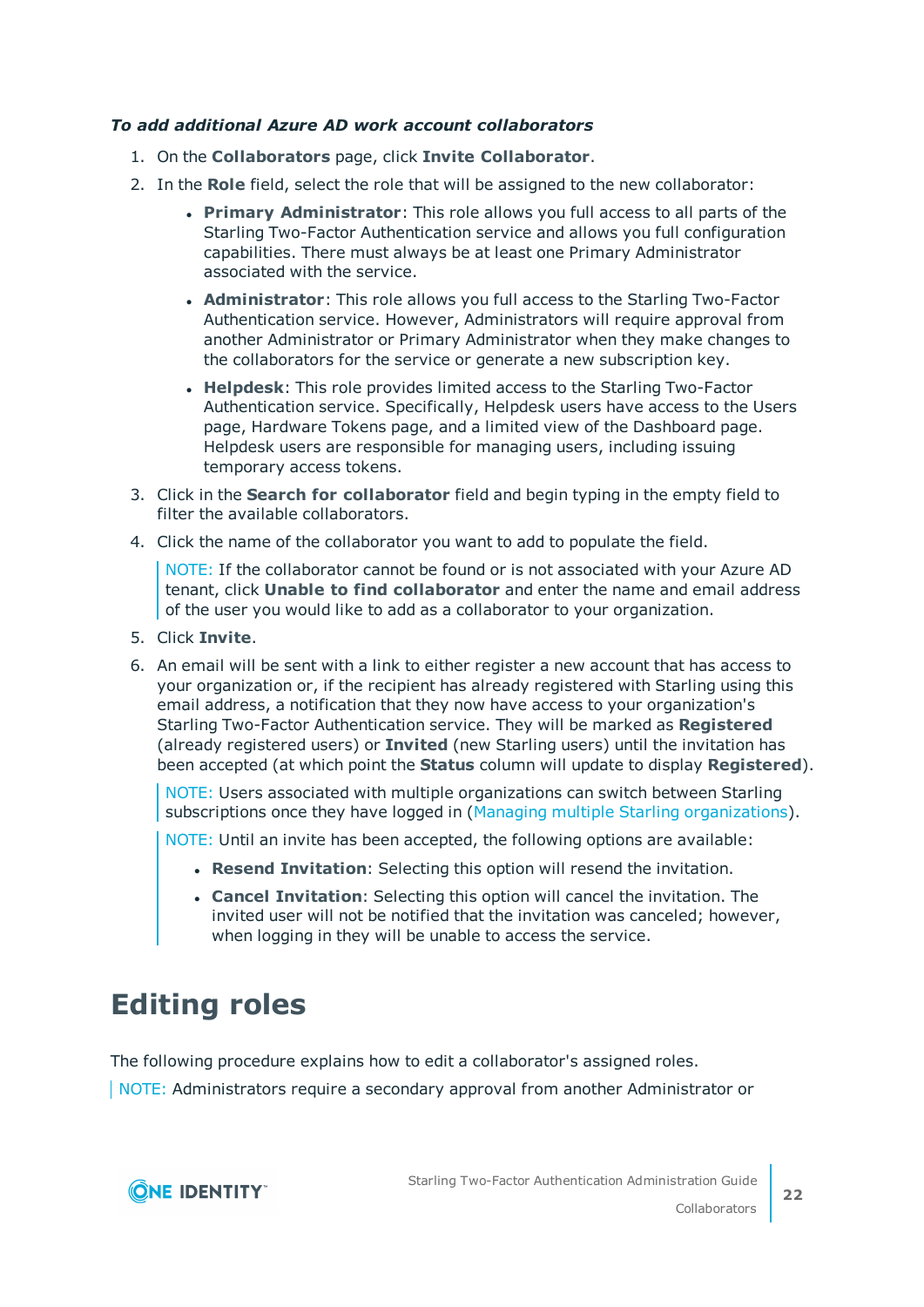### *To add additional Azure AD work account collaborators*

- 1. On the **Collaborators** page, click **Invite Collaborator**.
- 2. In the **Role** field, select the role that will be assigned to the new collaborator:
	- <sup>l</sup> **Primary Administrator**: This role allows you full access to all parts of the Starling Two-Factor Authentication service and allows you full configuration capabilities. There must always be at least one Primary Administrator associated with the service.
	- **Administrator**: This role allows you full access to the Starling Two-Factor Authentication service. However, Administrators will require approval from another Administrator or Primary Administrator when they make changes to the collaborators for the service or generate a new subscription key.
	- <sup>l</sup> **Helpdesk**: This role provides limited access to the Starling Two-Factor Authentication service. Specifically, Helpdesk users have access to the Users page, Hardware Tokens page, and a limited view of the Dashboard page. Helpdesk users are responsible for managing users, including issuing temporary access tokens.
- 3. Click in the **Search for collaborator** field and begin typing in the empty field to filter the available collaborators.
- 4. Click the name of the collaborator you want to add to populate the field.

NOTE: If the collaborator cannot be found or is not associated with your Azure AD tenant, click **Unable to find collaborator** and enter the name and email address of the user you would like to add as a collaborator to your organization.

- 5. Click **Invite**.
- 6. An email will be sent with a link to either register a new account that has access to your organization or, if the recipient has already registered with Starling using this email address, a notification that they now have access to your organization's Starling Two-Factor Authentication service. They will be marked as **Registered** (already registered users) or **Invited** (new Starling users) until the invitation has been accepted (at which point the **Status** column will update to display **Registered**).

NOTE: Users associated with multiple organizations can switch between Starling subscriptions once they have logged in (Managing multiple Starling [organizations\)](#page-12-0).

NOTE: Until an invite has been accepted, the following options are available:

- **. Resend Invitation**: Selecting this option will resend the invitation.
- **Cancel Invitation**: Selecting this option will cancel the invitation. The invited user will not be notified that the invitation was canceled; however, when logging in they will be unable to access the service.

## <span id="page-21-0"></span>**Editing roles**

The following procedure explains how to edit a collaborator's assigned roles.

NOTE: Administrators require a secondary approval from another Administrator or

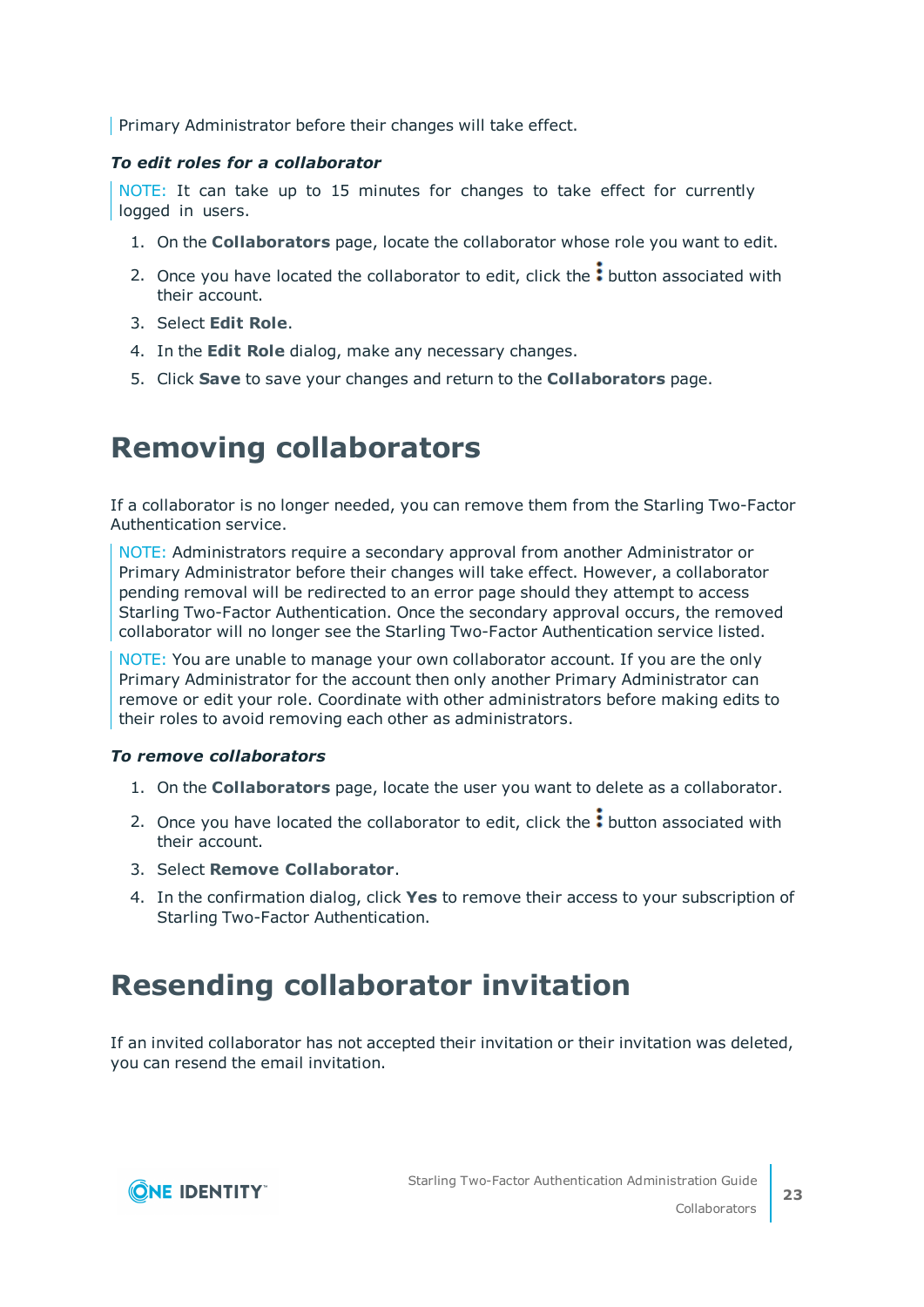Primary Administrator before their changes will take effect.

#### *To edit roles for a collaborator*

NOTE: It can take up to 15 minutes for changes to take effect for currently logged in users.

- 1. On the **Collaborators** page, locate the collaborator whose role you want to edit.
- 2. Once you have located the collaborator to edit, click the: button associated with their account.
- 3. Select **Edit Role**.
- 4. In the **Edit Role** dialog, make any necessary changes.
- <span id="page-22-0"></span>5. Click **Save** to save your changes and return to the **Collaborators** page.

## **Removing collaborators**

If a collaborator is no longer needed, you can remove them from the Starling Two-Factor Authentication service.

NOTE: Administrators require a secondary approval from another Administrator or Primary Administrator before their changes will take effect. However, a collaborator pending removal will be redirected to an error page should they attempt to access Starling Two-Factor Authentication. Once the secondary approval occurs, the removed collaborator will no longer see the Starling Two-Factor Authentication service listed.

NOTE: You are unable to manage your own collaborator account. If you are the only Primary Administrator for the account then only another Primary Administrator can remove or edit your role. Coordinate with other administrators before making edits to their roles to avoid removing each other as administrators.

### *To remove collaborators*

- 1. On the **Collaborators** page, locate the user you want to delete as a collaborator.
- 2. Once you have located the collaborator to edit, click the  $\cdot$  button associated with their account.
- 3. Select **Remove Collaborator**.
- 4. In the confirmation dialog, click **Yes** to remove their access to your subscription of Starling Two-Factor Authentication.

# <span id="page-22-1"></span>**Resending collaborator invitation**

If an invited collaborator has not accepted their invitation or their invitation was deleted, you can resend the email invitation.

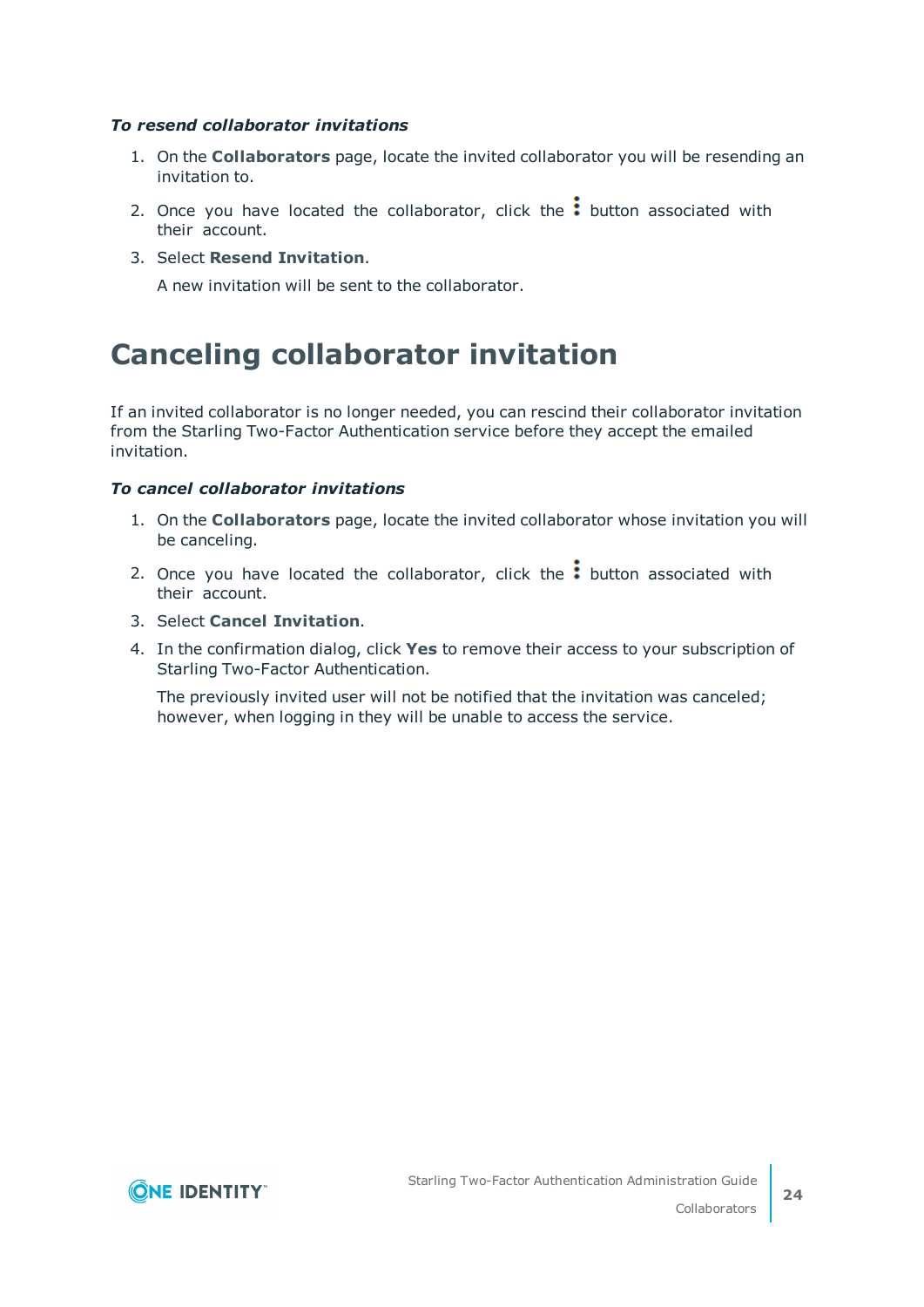#### *To resend collaborator invitations*

- 1. On the **Collaborators** page, locate the invited collaborator you will be resending an invitation to.
- 2. Once you have located the collaborator, click the  $\frac{1}{2}$  button associated with their account.
- 3. Select **Resend Invitation**.

A new invitation will be sent to the collaborator.

## <span id="page-23-0"></span>**Canceling collaborator invitation**

If an invited collaborator is no longer needed, you can rescind their collaborator invitation from the Starling Two-Factor Authentication service before they accept the emailed invitation.

#### *To cancel collaborator invitations*

- 1. On the **Collaborators** page, locate the invited collaborator whose invitation you will be canceling.
- 2. Once you have located the collaborator, click the  $\colon$  button associated with their account.
- 3. Select **Cancel Invitation**.
- 4. In the confirmation dialog, click **Yes** to remove their access to your subscription of Starling Two-Factor Authentication.

The previously invited user will not be notified that the invitation was canceled; however, when logging in they will be unable to access the service.

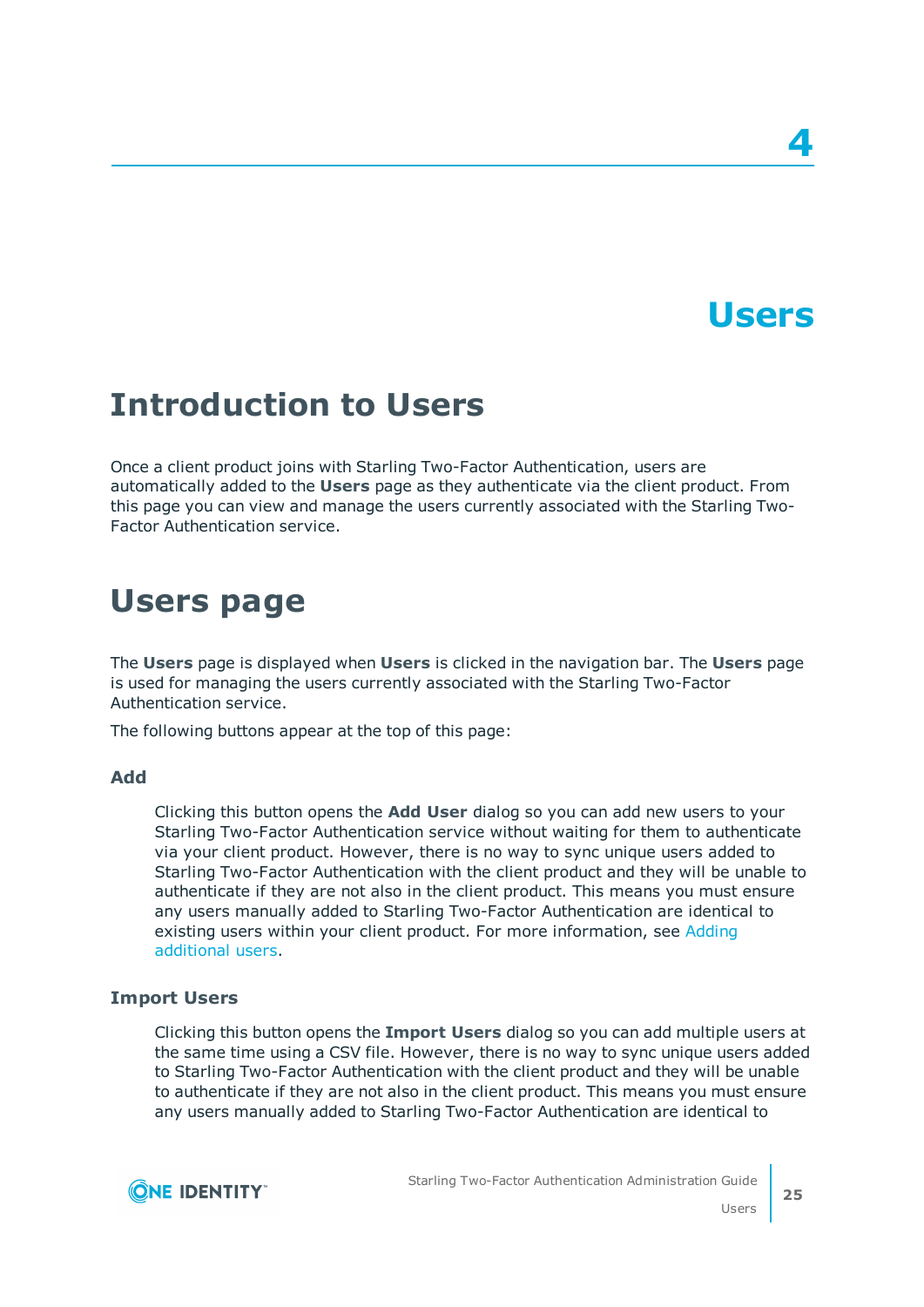# **Users**

# <span id="page-24-1"></span><span id="page-24-0"></span>**Introduction to Users**

Once a client product joins with Starling Two-Factor Authentication, users are automatically added to the **Users** page as they authenticate via the client product. From this page you can view and manage the users currently associated with the Starling Two-Factor Authentication service.

# <span id="page-24-2"></span>**Users page**

The **Users** page is displayed when **Users** is clicked in the navigation bar. The **Users** page is used for managing the users currently associated with the Starling Two-Factor Authentication service.

The following buttons appear at the top of this page:

### **Add**

Clicking this button opens the **Add User** dialog so you can add new users to your Starling Two-Factor Authentication service without waiting for them to authenticate via your client product. However, there is no way to sync unique users added to Starling Two-Factor Authentication with the client product and they will be unable to authenticate if they are not also in the client product. This means you must ensure any users manually added to Starling Two-Factor Authentication are identical to existing users within your client product. For more information, see [Adding](#page-27-1) [additional](#page-27-1) users.

### **Import Users**

Clicking this button opens the **Import Users** dialog so you can add multiple users at the same time using a CSV file. However, there is no way to sync unique users added to Starling Two-Factor Authentication with the client product and they will be unable to authenticate if they are not also in the client product. This means you must ensure any users manually added to Starling Two-Factor Authentication are identical to

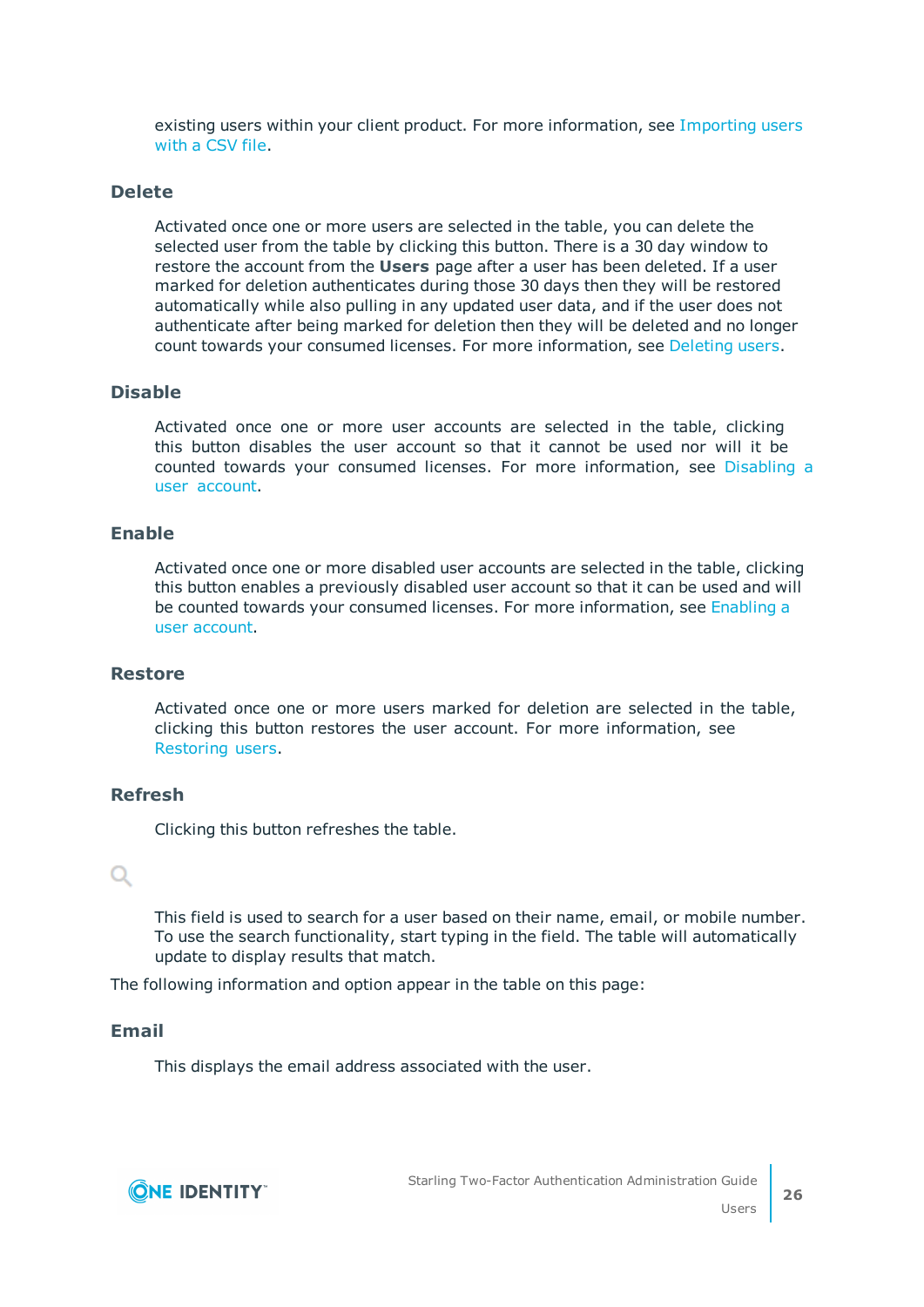existing users within your client product. For more information, see [Importing](#page-28-0) users [with](#page-28-0) a CSV file.

#### **Delete**

Activated once one or more users are selected in the table, you can delete the selected user from the table by clicking this button. There is a 30 day window to restore the account from the **Users** page after a user has been deleted. If a user marked for deletion authenticates during those 30 days then they will be restored automatically while also pulling in any updated user data, and if the user does not authenticate after being marked for deletion then they will be deleted and no longer count towards your consumed licenses. For more information, see [Deleting](#page-29-0) users.

### **Disable**

Activated once one or more user accounts are selected in the table, clicking this button disables the user account so that it cannot be used nor will it be counted towards your consumed licenses. For more information, see [Disabling](#page-30-0) a user [account](#page-30-0).

#### **Enable**

Activated once one or more disabled user accounts are selected in the table, clicking this button enables a previously disabled user account so that it can be used and will be counted towards your consumed licenses. For more information, see [Enabling](#page-30-1) a user [account.](#page-30-1)

#### **Restore**

Activated once one or more users marked for deletion are selected in the table, clicking this button restores the user account. For more information, see [Restoring](#page-29-1) users.

#### **Refresh**

Clicking this button refreshes the table.

## $\Omega$

This field is used to search for a user based on their name, email, or mobile number. To use the search functionality, start typing in the field. The table will automatically update to display results that match.

The following information and option appear in the table on this page:

#### **Email**

This displays the email address associated with the user.

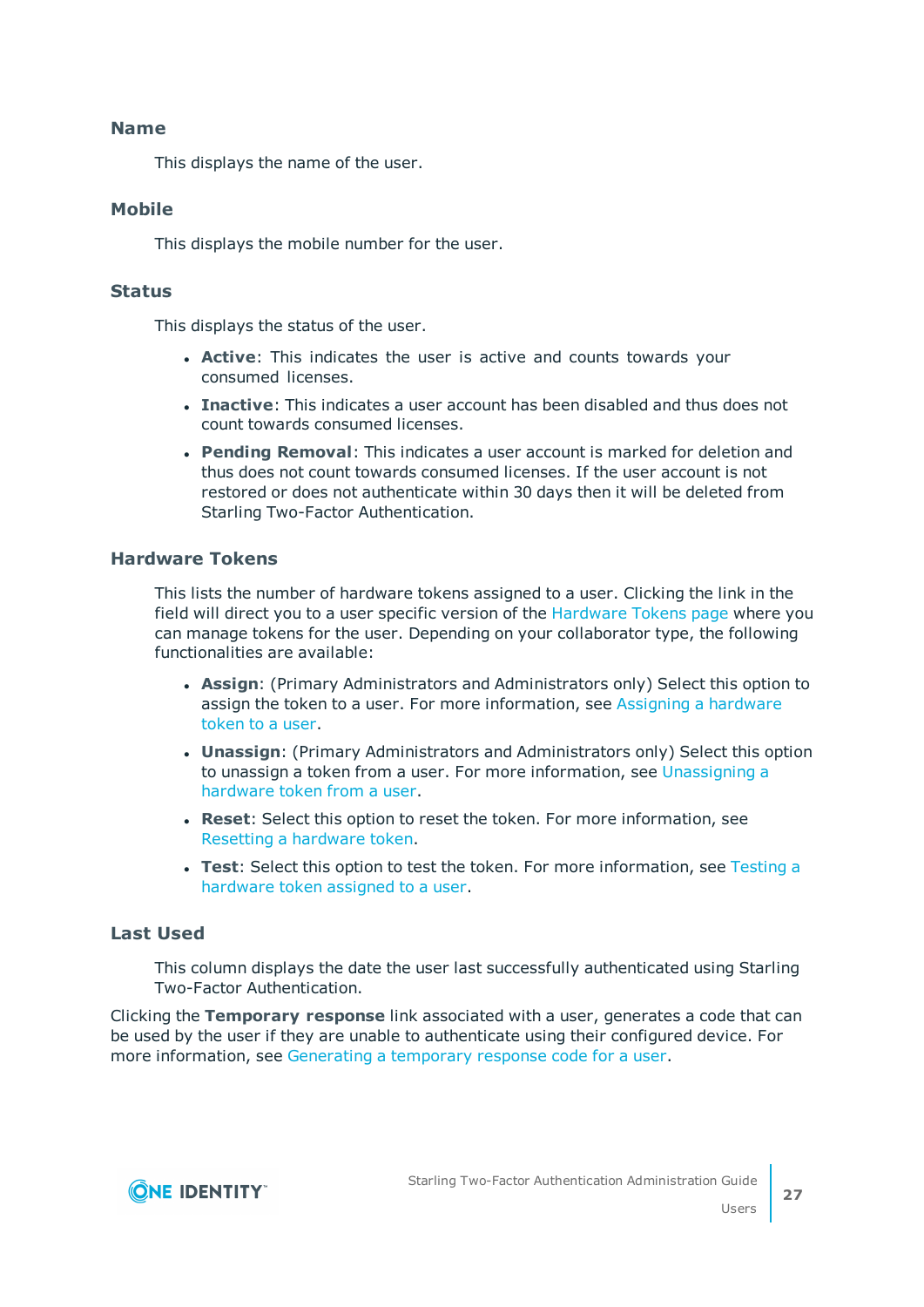#### **Name**

This displays the name of the user.

#### **Mobile**

This displays the mobile number for the user.

#### **Status**

This displays the status of the user.

- **. Active:** This indicates the user is active and counts towards your consumed licenses.
- **Inactive**: This indicates a user account has been disabled and thus does not count towards consumed licenses.
- <sup>l</sup> **Pending Removal**: This indicates a user account is marked for deletion and thus does not count towards consumed licenses. If the user account is not restored or does not authenticate within 30 days then it will be deleted from Starling Two-Factor Authentication.

#### **Hardware Tokens**

This lists the number of hardware tokens assigned to a user. Clicking the link in the field will direct you to a user specific version of the [Hardware](#page-37-2) Tokens page where you can manage tokens for the user. Depending on your collaborator type, the following functionalities are available:

- **Assign:** (Primary Administrators and Administrators only) Select this option to assign the token to a user. For more information, see Assigning a [hardware](#page-40-0) [token](#page-40-0) to a user.
- **Unassign:** (Primary Administrators and Administrators only) Select this option to unassign a token from a user. For more information, see [Unassigning](#page-42-0) a [hardware](#page-42-0) token from a user.
- **Reset**: Select this option to reset the token. For more information, see Resetting a [hardware](#page-41-0) token.
- **Test**: Select this option to test the token. For more information, see [Testing](#page-40-1) a [hardware](#page-40-1) token assigned to a user.

### **Last Used**

This column displays the date the user last successfully authenticated using Starling Two-Factor Authentication.

Clicking the **Temporary response** link associated with a user, generates a code that can be used by the user if they are unable to authenticate using their configured device. For more information, see [Generating](#page-30-2) a temporary response code for a user.

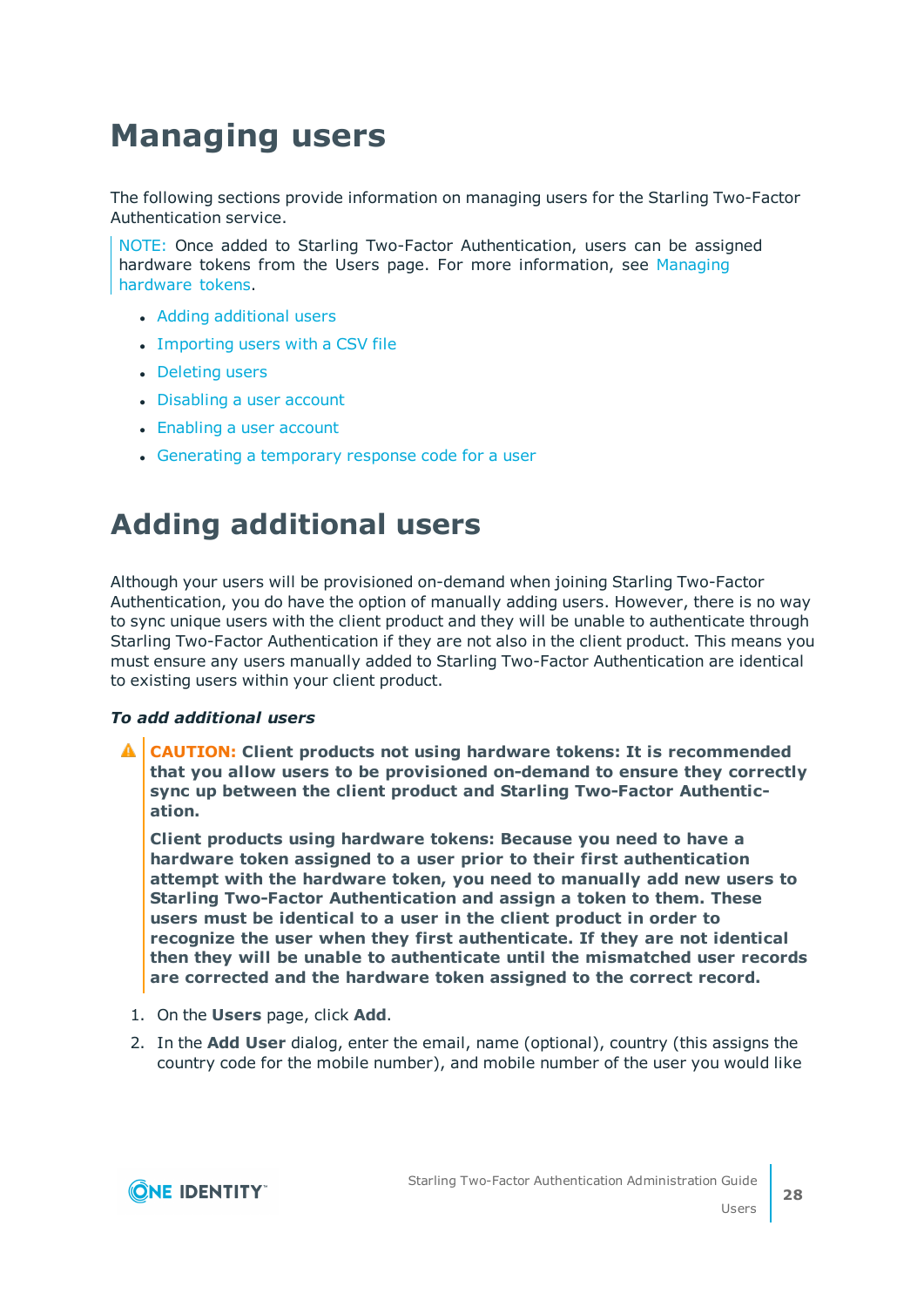# <span id="page-27-0"></span>**Managing users**

The following sections provide information on managing users for the Starling Two-Factor Authentication service.

NOTE: Once added to Starling Two-Factor Authentication, users can be assigned hardware tokens from the Users page. For more information, see [Managing](#page-39-0) [hardware](#page-39-0) tokens.

- Adding [additional](#page-27-1) users
- [Importing](#page-28-0) users with a CSV file
- [Deleting](#page-29-0) users
- [Disabling](#page-30-0) a user account
- [Enabling](#page-30-1) a user account
- [Generating](#page-30-2) a temporary response code for a user

# <span id="page-27-1"></span>**Adding additional users**

Although your users will be provisioned on-demand when joining Starling Two-Factor Authentication, you do have the option of manually adding users. However, there is no way to sync unique users with the client product and they will be unable to authenticate through Starling Two-Factor Authentication if they are not also in the client product. This means you must ensure any users manually added to Starling Two-Factor Authentication are identical to existing users within your client product.

#### *To add additional users*

**CAUTION: Client products not using hardware tokens: It is recommended that you allow users to be provisioned on-demand to ensure they correctly sync up between the client product and Starling Two-Factor Authentication.**

**Client products using hardware tokens: Because you need to have a hardware token assigned to a user prior to their first authentication attempt with the hardware token, you need to manually add new users to Starling Two-Factor Authentication and assign a token to them. These users must be identical to a user in the client product in order to recognize the user when they first authenticate. If they are not identical then they will be unable to authenticate until the mismatched user records are corrected and the hardware token assigned to the correct record.**

- 1. On the **Users** page, click **Add**.
- 2. In the **Add User** dialog, enter the email, name (optional), country (this assigns the country code for the mobile number), and mobile number of the user you would like

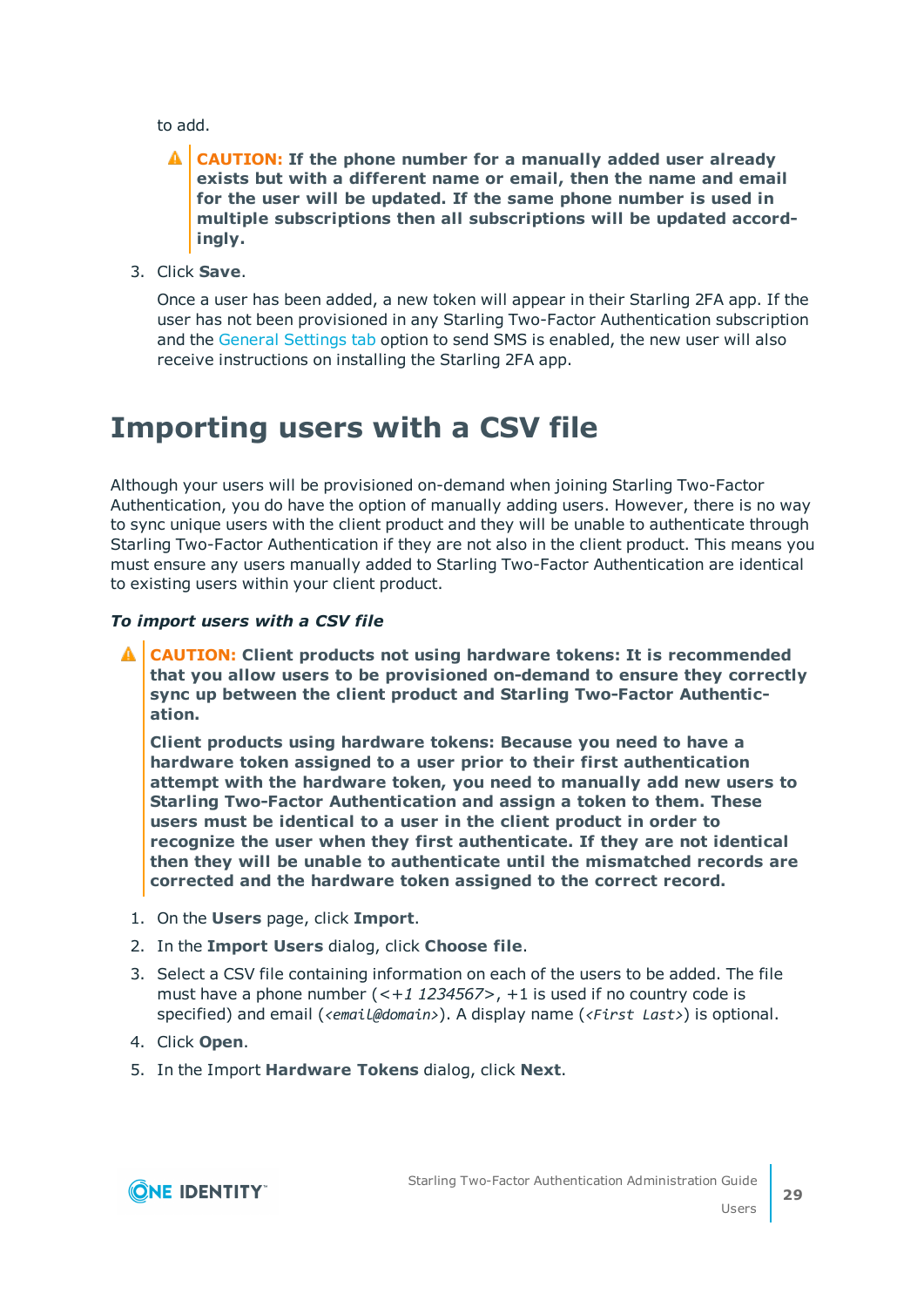to add.

### **CAUTION: If the phone number for a manually added user already exists but with a different name or email, then the name and email for the user will be updated. If the same phone number is used in multiple subscriptions then all subscriptions will be updated accordingly.**

3. Click **Save**.

Once a user has been added, a new token will appear in their Starling 2FA app. If the user has not been provisioned in any Starling Two-Factor Authentication subscription and the General [Settings](#page-44-2) tab option to send SMS is enabled, the new user will also receive instructions on installing the Starling 2FA app.

# <span id="page-28-0"></span>**Importing users with a CSV file**

Although your users will be provisioned on-demand when joining Starling Two-Factor Authentication, you do have the option of manually adding users. However, there is no way to sync unique users with the client product and they will be unable to authenticate through Starling Two-Factor Authentication if they are not also in the client product. This means you must ensure any users manually added to Starling Two-Factor Authentication are identical to existing users within your client product.

#### *To import users with a CSV file*

**CAUTION: Client products not using hardware tokens: It is recommended that you allow users to be provisioned on-demand to ensure they correctly sync up between the client product and Starling Two-Factor Authentication.**

**Client products using hardware tokens: Because you need to have a hardware token assigned to a user prior to their first authentication attempt with the hardware token, you need to manually add new users to Starling Two-Factor Authentication and assign a token to them. These users must be identical to a user in the client product in order to recognize the user when they first authenticate. If they are not identical then they will be unable to authenticate until the mismatched records are corrected and the hardware token assigned to the correct record.**

- 1. On the **Users** page, click **Import**.
- 2. In the **Import Users** dialog, click **Choose file**.
- 3. Select a CSV file containing information on each of the users to be added. The file must have a phone number (*<+1 1234567>*, +1 is used if no country code is specified) and email (*<email@domain>*). A display name (*<First Last>*) is optional.
- 4. Click **Open**.
- 5. In the Import **Hardware Tokens** dialog, click **Next**.

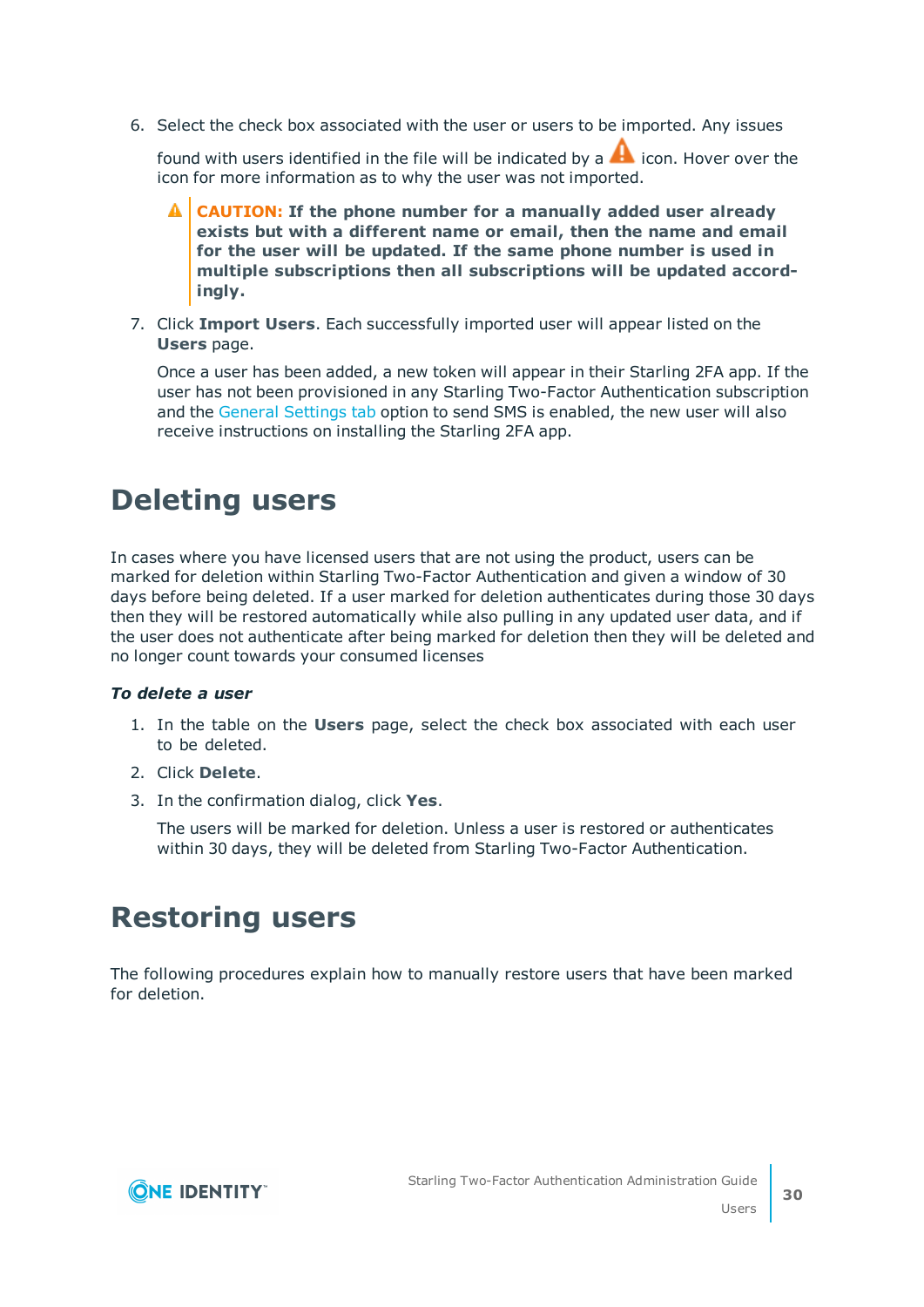6. Select the check box associated with the user or users to be imported. Any issues

found with users identified in the file will be indicated by a  $\blacktriangle$  icon. Hover over the icon for more information as to why the user was not imported.

- **CAUTION: If the phone number for a manually added user already exists but with a different name or email, then the name and email for the user will be updated. If the same phone number is used in multiple subscriptions then all subscriptions will be updated accordingly.**
- 7. Click **Import Users**. Each successfully imported user will appear listed on the **Users** page.

Once a user has been added, a new token will appear in their Starling 2FA app. If the user has not been provisioned in any Starling Two-Factor Authentication subscription and the General [Settings](#page-44-2) tab option to send SMS is enabled, the new user will also receive instructions on installing the Starling 2FA app.

## <span id="page-29-0"></span>**Deleting users**

In cases where you have licensed users that are not using the product, users can be marked for deletion within Starling Two-Factor Authentication and given a window of 30 days before being deleted. If a user marked for deletion authenticates during those 30 days then they will be restored automatically while also pulling in any updated user data, and if the user does not authenticate after being marked for deletion then they will be deleted and no longer count towards your consumed licenses

#### *To delete a user*

- 1. In the table on the **Users** page, select the check box associated with each user to be deleted.
- 2. Click **Delete**.
- 3. In the confirmation dialog, click **Yes**.

The users will be marked for deletion. Unless a user is restored or authenticates within 30 days, they will be deleted from Starling Two-Factor Authentication.

## <span id="page-29-1"></span>**Restoring users**

The following procedures explain how to manually restore users that have been marked for deletion.

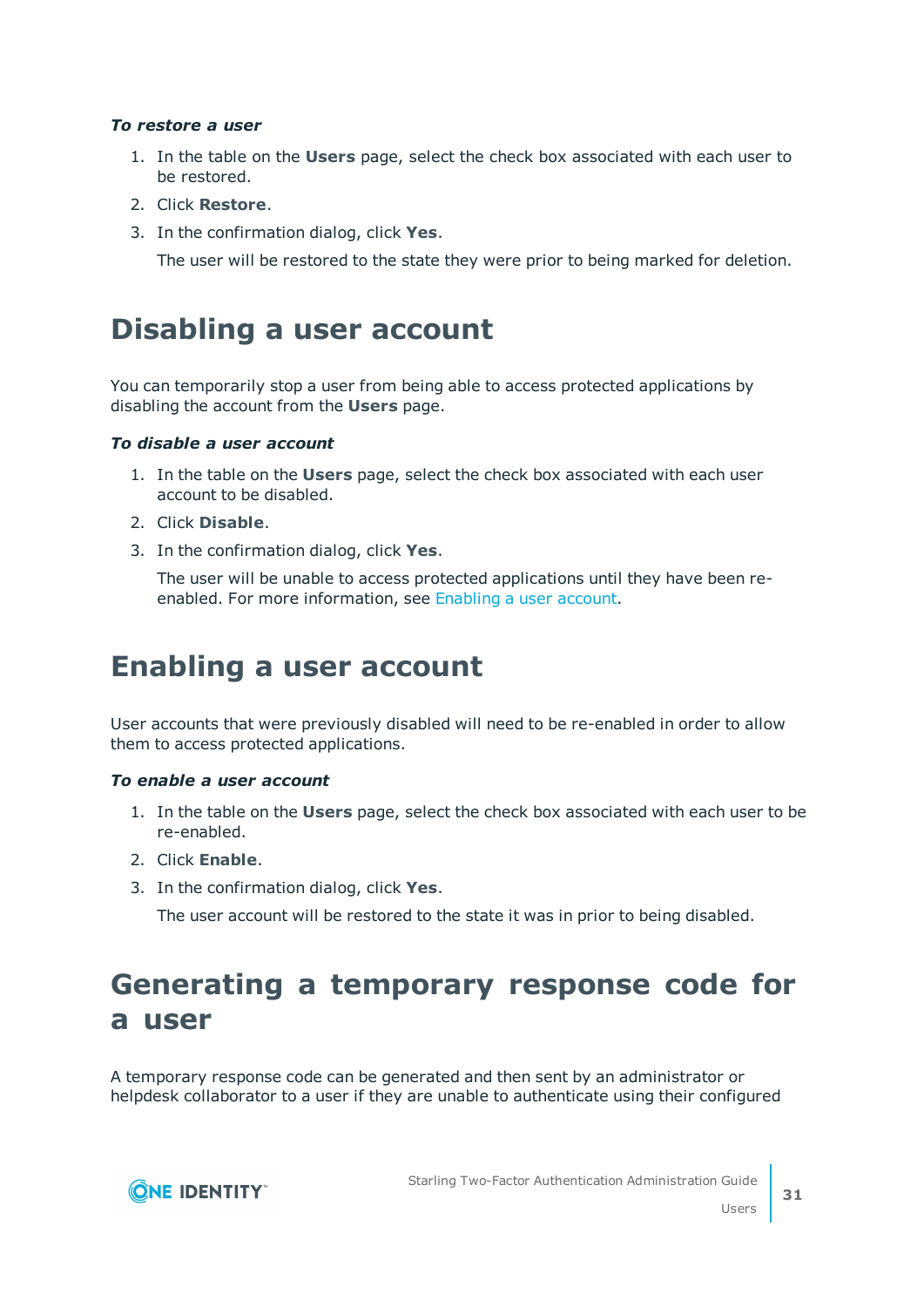#### *To restore a user*

- 1. In the table on the **Users** page, select the check box associated with each user to be restored.
- 2. Click **Restore**.
- 3. In the confirmation dialog, click **Yes**.

The user will be restored to the state they were prior to being marked for deletion.

## <span id="page-30-0"></span>**Disabling a user account**

You can temporarily stop a user from being able to access protected applications by disabling the account from the **Users** page.

#### *To disable a user account*

- 1. In the table on the **Users** page, select the check box associated with each user account to be disabled.
- 2. Click **Disable**.
- 3. In the confirmation dialog, click **Yes**.

The user will be unable to access protected applications until they have been reenabled. For more information, see [Enabling](#page-30-1) a user account.

## <span id="page-30-1"></span>**Enabling a user account**

User accounts that were previously disabled will need to be re-enabled in order to allow them to access protected applications.

#### *To enable a user account*

- 1. In the table on the **Users** page, select the check box associated with each user to be re-enabled.
- 2. Click **Enable**.
- 3. In the confirmation dialog, click **Yes**.

The user account will be restored to the state it was in prior to being disabled.

# <span id="page-30-2"></span>**Generating a temporary response code for a user**

A temporary response code can be generated and then sent by an administrator or helpdesk collaborator to a user if they are unable to authenticate using their configured

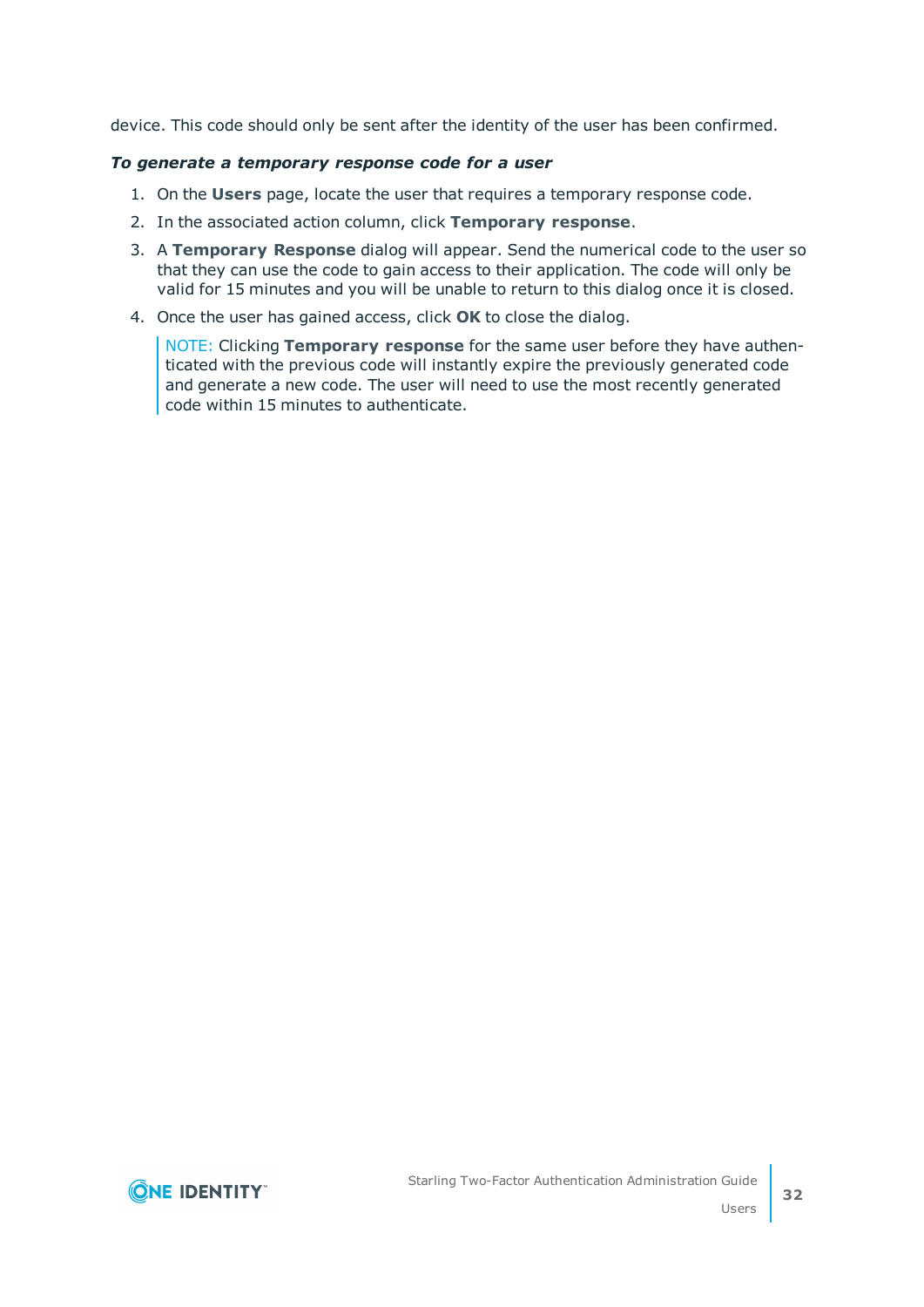device. This code should only be sent after the identity of the user has been confirmed.

#### *To generate a temporary response code for a user*

- 1. On the **Users** page, locate the user that requires a temporary response code.
- 2. In the associated action column, click **Temporary response**.
- 3. A **Temporary Response** dialog will appear. Send the numerical code to the user so that they can use the code to gain access to their application. The code will only be valid for 15 minutes and you will be unable to return to this dialog once it is closed.
- 4. Once the user has gained access, click **OK** to close the dialog.

NOTE: Clicking **Temporary response** for the same user before they have authenticated with the previous code will instantly expire the previously generated code and generate a new code. The user will need to use the most recently generated code within 15 minutes to authenticate.

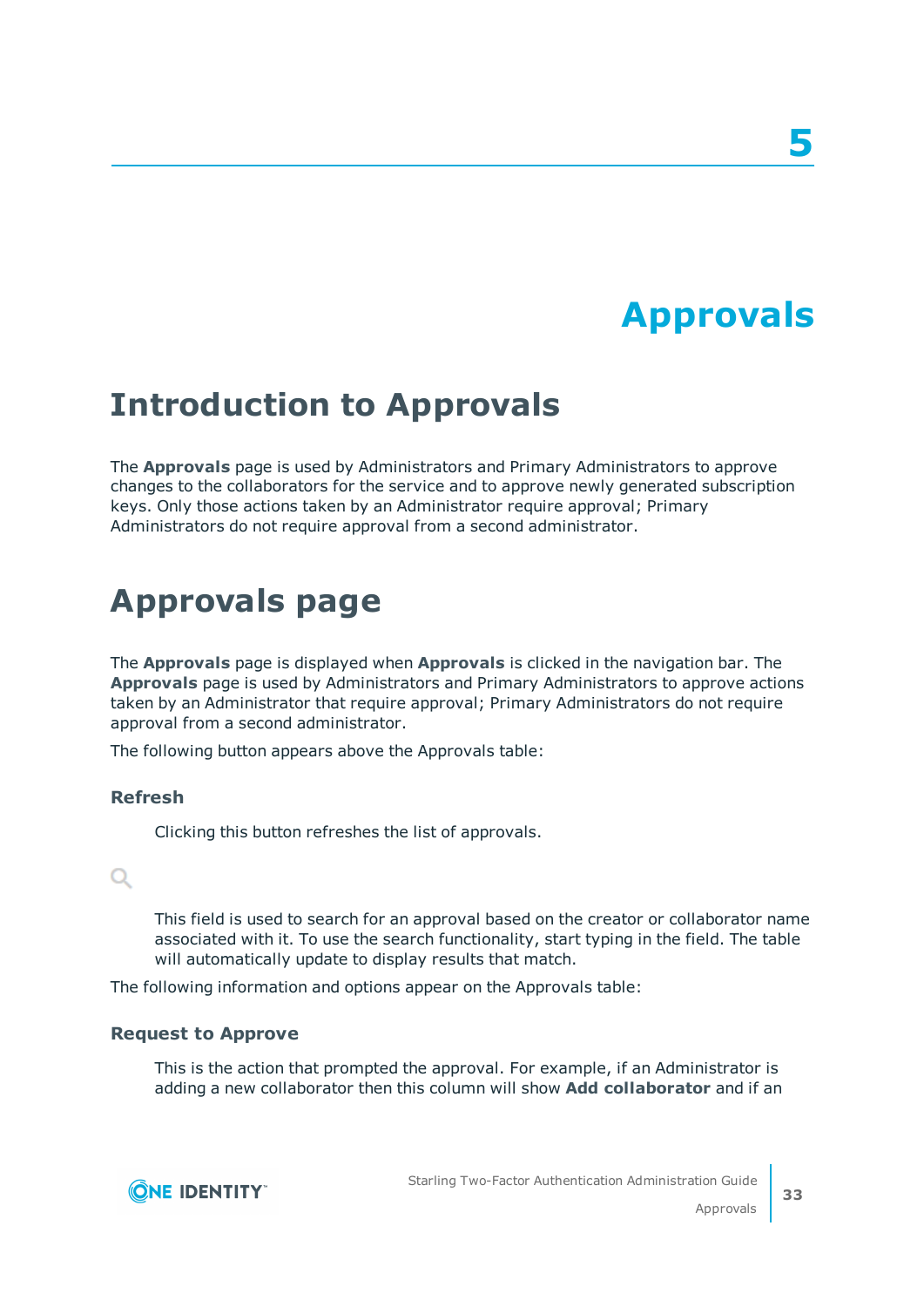# **Approvals**

# <span id="page-32-1"></span><span id="page-32-0"></span>**Introduction to Approvals**

The **Approvals** page is used by Administrators and Primary Administrators to approve changes to the collaborators for the service and to approve newly generated subscription keys. Only those actions taken by an Administrator require approval; Primary Administrators do not require approval from a second administrator.

# <span id="page-32-2"></span>**Approvals page**

The **Approvals** page is displayed when **Approvals** is clicked in the navigation bar. The **Approvals** page is used by Administrators and Primary Administrators to approve actions taken by an Administrator that require approval; Primary Administrators do not require approval from a second administrator.

The following button appears above the Approvals table:

#### **Refresh**

Clicking this button refreshes the list of approvals.

## Q

This field is used to search for an approval based on the creator or collaborator name associated with it. To use the search functionality, start typing in the field. The table will automatically update to display results that match.

The following information and options appear on the Approvals table:

#### **Request to Approve**

This is the action that prompted the approval. For example, if an Administrator is adding a new collaborator then this column will show **Add collaborator** and if an

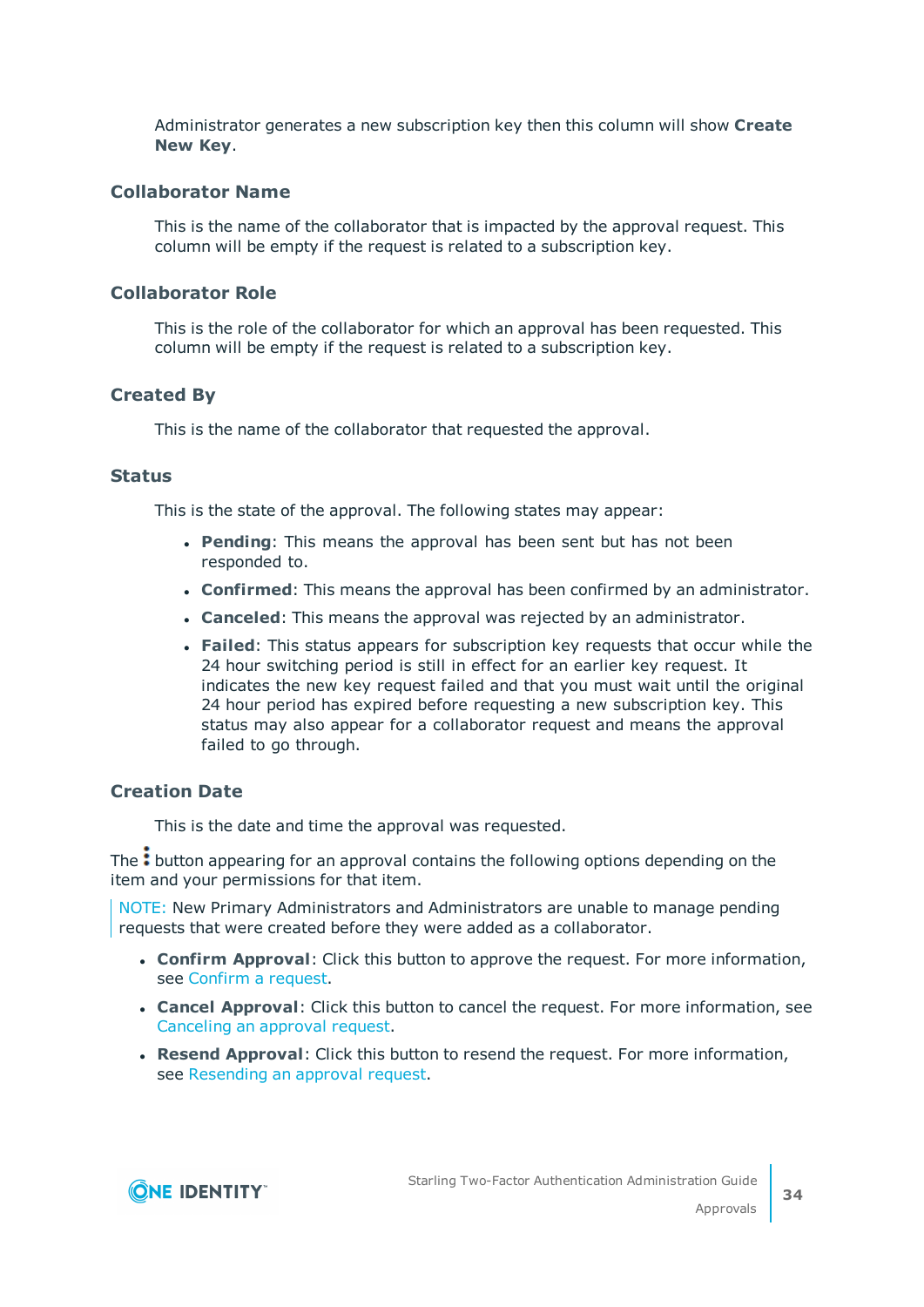Administrator generates a new subscription key then this column will show **Create New Key**.

### **Collaborator Name**

This is the name of the collaborator that is impacted by the approval request. This column will be empty if the request is related to a subscription key.

### **Collaborator Role**

This is the role of the collaborator for which an approval has been requested. This column will be empty if the request is related to a subscription key.

## **Created By**

This is the name of the collaborator that requested the approval.

#### **Status**

This is the state of the approval. The following states may appear:

- **Pending**: This means the approval has been sent but has not been responded to.
- **Confirmed**: This means the approval has been confirmed by an administrator.
- <sup>l</sup> **Canceled**: This means the approval was rejected by an administrator.
- <sup>l</sup> **Failed**: This status appears for subscription key requests that occur while the 24 hour switching period is still in effect for an earlier key request. It indicates the new key request failed and that you must wait until the original 24 hour period has expired before requesting a new subscription key. This status may also appear for a collaborator request and means the approval failed to go through.

### **Creation Date**

This is the date and time the approval was requested.

The  $\cdot$  button appearing for an approval contains the following options depending on the item and your permissions for that item.

NOTE: New Primary Administrators and Administrators are unable to manage pending requests that were created before they were added as a collaborator.

- **. Confirm Approval**: Click this button to approve the request. For more information, see [Confirm](#page-34-1) a request.
- **. Cancel Approval**: Click this button to cancel the request. For more information, see [Canceling](#page-35-1) an approval request.
- <sup>l</sup> **Resend Approval**: Click this button to resend the request. For more information, see [Resending](#page-34-2) an approval request.

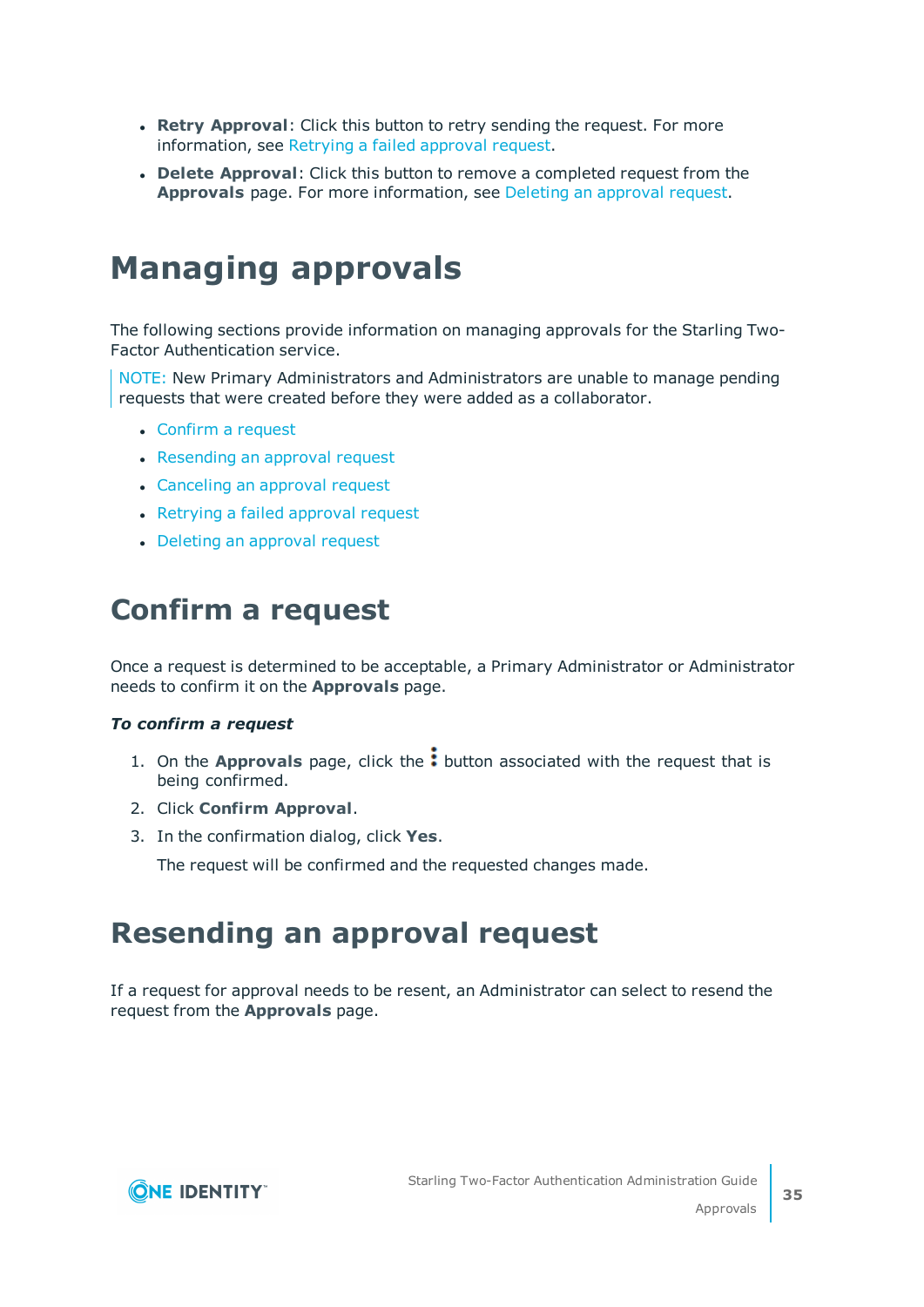- **Retry Approval:** Click this button to retry sending the request. For more information, see Retrying a failed [approval](#page-35-0) request.
- **.** Delete Approval: Click this button to remove a completed request from the **Approvals** page. For more information, see Deleting an [approval](#page-35-2) request.

# <span id="page-34-0"></span>**Managing approvals**

The following sections provide information on managing approvals for the Starling Two-Factor Authentication service.

NOTE: New Primary Administrators and Administrators are unable to manage pending requests that were created before they were added as a collaborator.

- $\bullet$  [Confirm](#page-34-1) a request
- [Resending](#page-34-2) an approval request
- [Canceling](#page-35-1) an approval request
- Retrying a failed [approval](#page-35-0) request
- Deleting an [approval](#page-35-2) request

## <span id="page-34-1"></span>**Confirm a request**

Once a request is determined to be acceptable, a Primary Administrator or Administrator needs to confirm it on the **Approvals** page.

#### *To confirm a request*

- 1. On the **Approvals** page, click the: button associated with the request that is being confirmed.
- 2. Click **Confirm Approval**.
- 3. In the confirmation dialog, click **Yes**.

The request will be confirmed and the requested changes made.

## <span id="page-34-2"></span>**Resending an approval request**

If a request for approval needs to be resent, an Administrator can select to resend the request from the **Approvals** page.

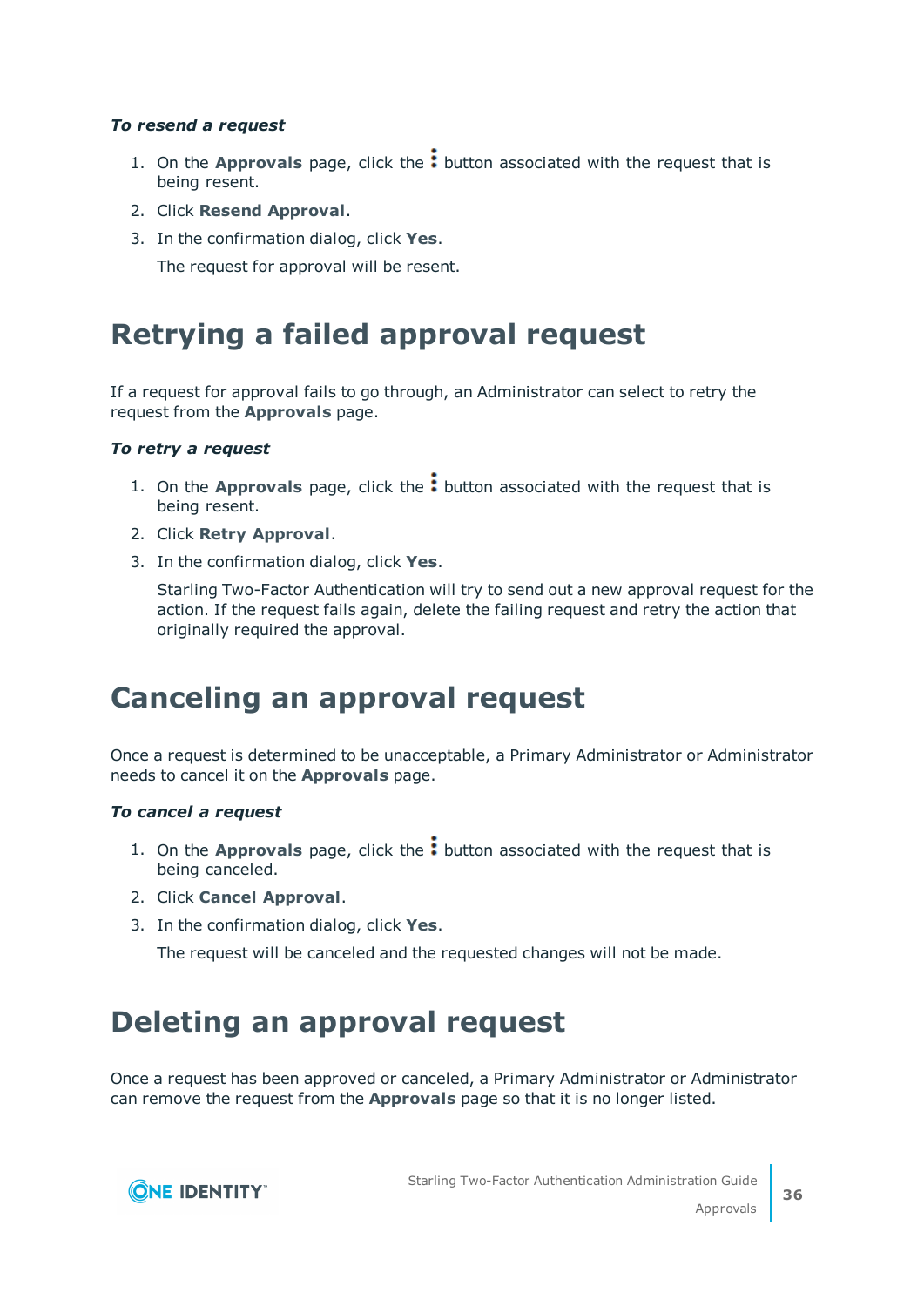### *To resend a request*

- 1. On the **Approvals** page, click the: button associated with the request that is being resent.
- 2. Click **Resend Approval**.
- 3. In the confirmation dialog, click **Yes**.

The request for approval will be resent.

## <span id="page-35-0"></span>**Retrying a failed approval request**

If a request for approval fails to go through, an Administrator can select to retry the request from the **Approvals** page.

#### *To retry a request*

- 1. On the **Approvals** page, click the: button associated with the request that is being resent.
- 2. Click **Retry Approval**.
- 3. In the confirmation dialog, click **Yes**.

Starling Two-Factor Authentication will try to send out a new approval request for the action. If the request fails again, delete the failing request and retry the action that originally required the approval.

## <span id="page-35-1"></span>**Canceling an approval request**

Once a request is determined to be unacceptable, a Primary Administrator or Administrator needs to cancel it on the **Approvals** page.

#### *To cancel a request*

- 1. On the **Approvals** page, click the: button associated with the request that is being canceled.
- 2. Click **Cancel Approval**.
- 3. In the confirmation dialog, click **Yes**.

The request will be canceled and the requested changes will not be made.

# <span id="page-35-2"></span>**Deleting an approval request**

Once a request has been approved or canceled, a Primary Administrator or Administrator can remove the request from the **Approvals** page so that it is no longer listed.

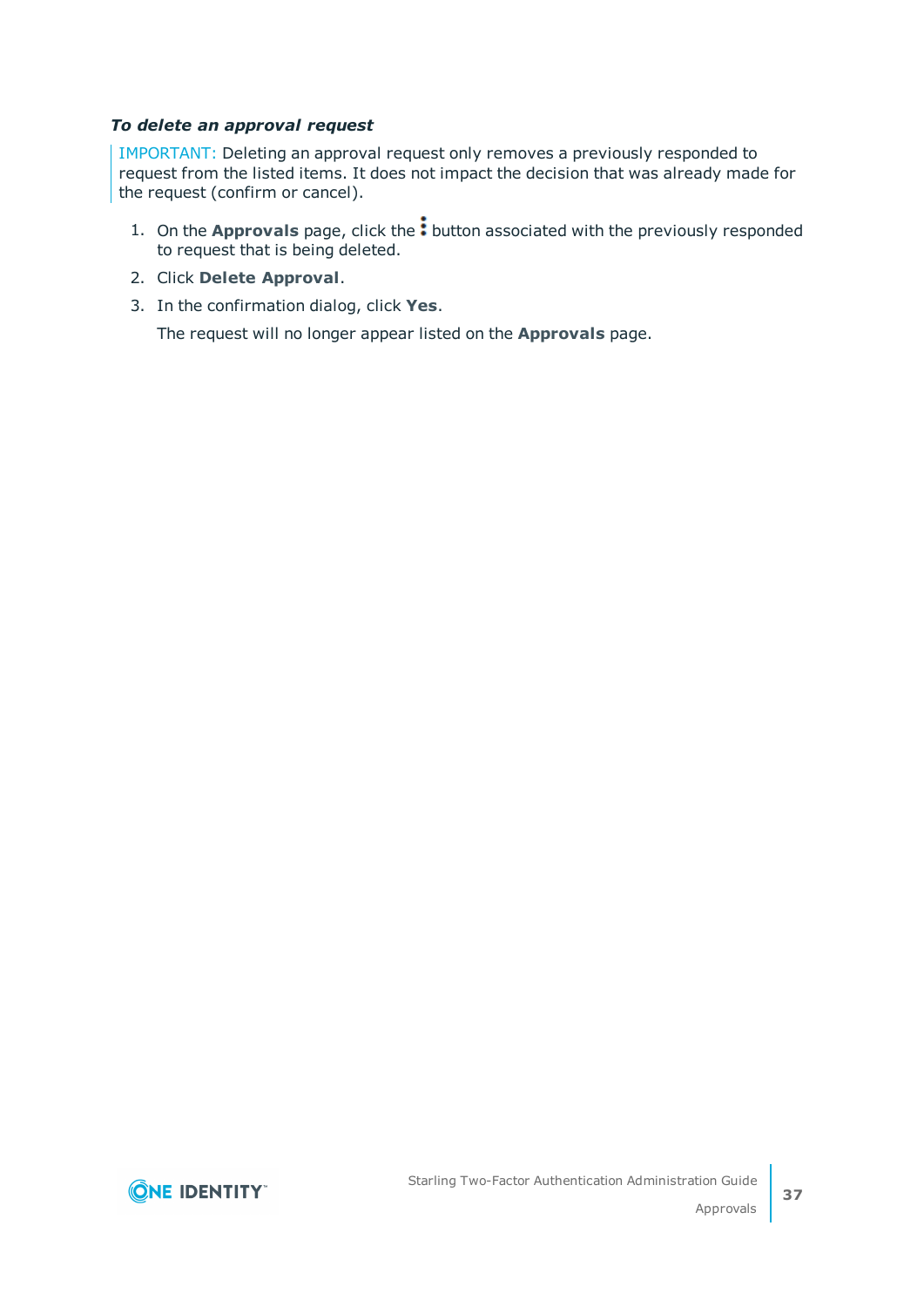#### *To delete an approval request*

IMPORTANT: Deleting an approval request only removes a previously responded to request from the listed items. It does not impact the decision that was already made for the request (confirm or cancel).

- 1. On the **Approvals** page, click the: button associated with the previously responded to request that is being deleted.
- 2. Click **Delete Approval**.
- 3. In the confirmation dialog, click **Yes**.

The request will no longer appear listed on the **Approvals** page.

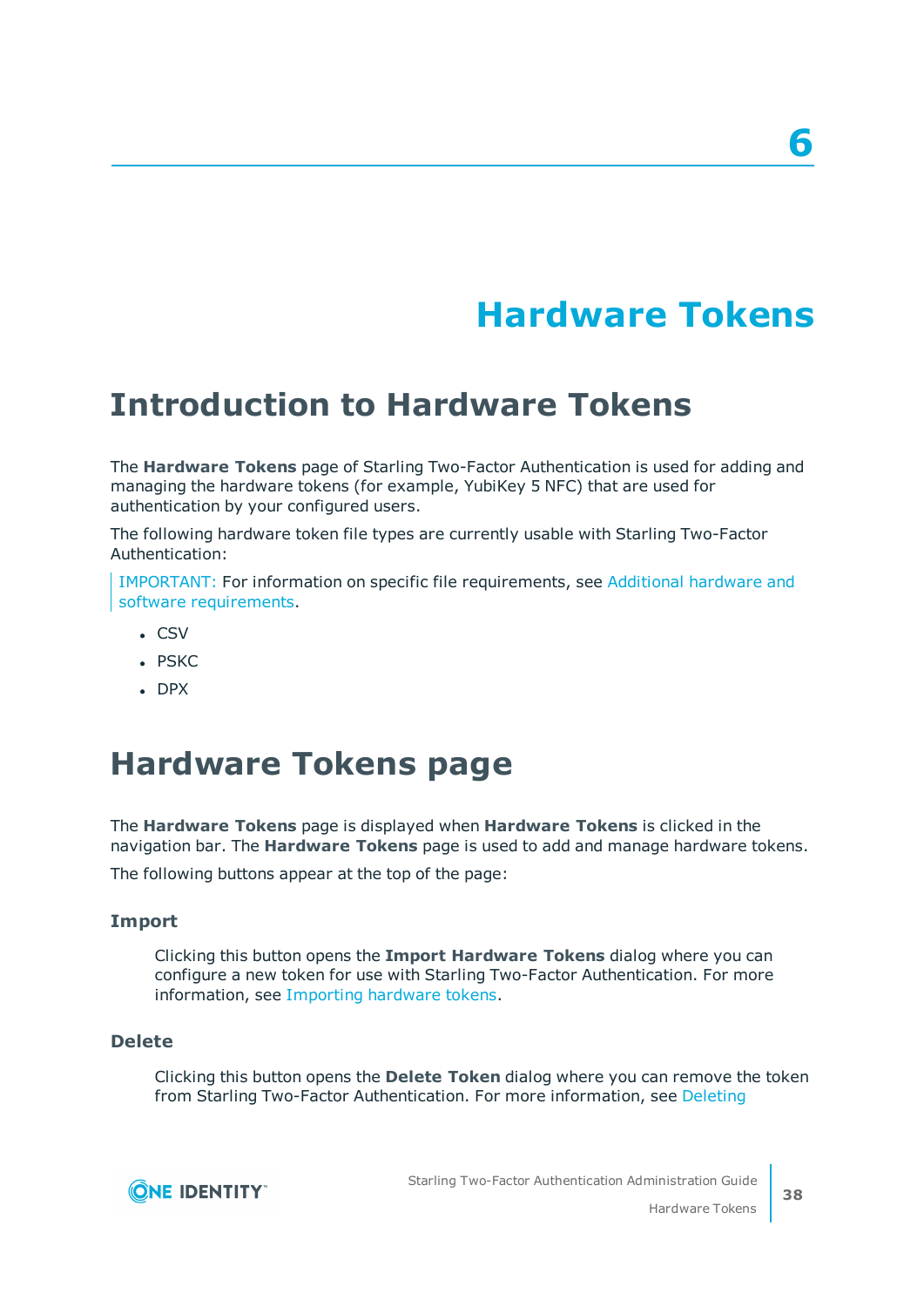# **Hardware Tokens**

# <span id="page-37-1"></span><span id="page-37-0"></span>**Introduction to Hardware Tokens**

The **Hardware Tokens** page of Starling Two-Factor Authentication is used for adding and managing the hardware tokens (for example, YubiKey 5 NFC) that are used for authentication by your configured users.

The following hardware token file types are currently usable with Starling Two-Factor Authentication:

IMPORTANT: For information on specific file requirements, see [Additional](#page-6-1) hardware and software [requirements.](#page-6-1)

- $CSV$
- . PSKC
- <span id="page-37-2"></span> $\cdot$  DPX

# **Hardware Tokens page**

The **Hardware Tokens** page is displayed when **Hardware Tokens** is clicked in the navigation bar. The **Hardware Tokens** page is used to add and manage hardware tokens.

The following buttons appear at the top of the page:

#### **Import**

Clicking this button opens the **Import Hardware Tokens** dialog where you can configure a new token for use with Starling Two-Factor Authentication. For more information, see [Importing](#page-39-1) hardware tokens.

#### **Delete**

Clicking this button opens the **Delete Token** dialog where you can remove the token from Starling Two-Factor Authentication. For more information, see [Deleting](#page-43-0)

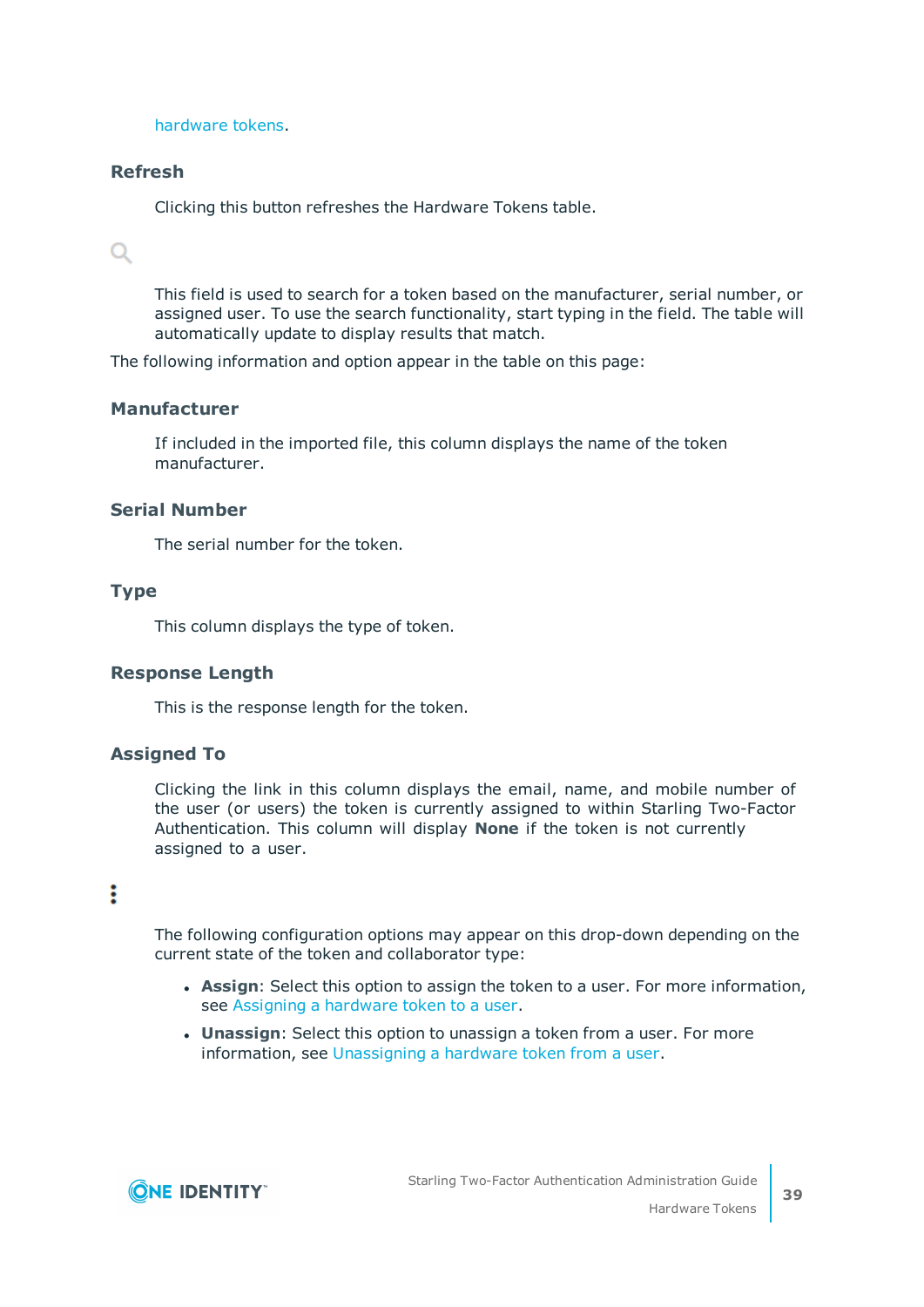[hardware](#page-43-0) tokens.

### **Refresh**

Clicking this button refreshes the Hardware Tokens table.

## $\alpha$

This field is used to search for a token based on the manufacturer, serial number, or assigned user. To use the search functionality, start typing in the field. The table will automatically update to display results that match.

The following information and option appear in the table on this page:

#### **Manufacturer**

If included in the imported file, this column displays the name of the token manufacturer.

#### **Serial Number**

The serial number for the token.

#### **Type**

This column displays the type of token.

### **Response Length**

This is the response length for the token.

### **Assigned To**

Clicking the link in this column displays the email, name, and mobile number of the user (or users) the token is currently assigned to within Starling Two-Factor Authentication. This column will display **None** if the token is not currently assigned to a user.

## ÷

The following configuration options may appear on this drop-down depending on the current state of the token and collaborator type:

- **Assign**: Select this option to assign the token to a user. For more information, see [Assigning](#page-40-0) a hardware token to a user.
- **· Unassign:** Select this option to unassign a token from a user. For more information, see [Unassigning](#page-42-0) a hardware token from a user.

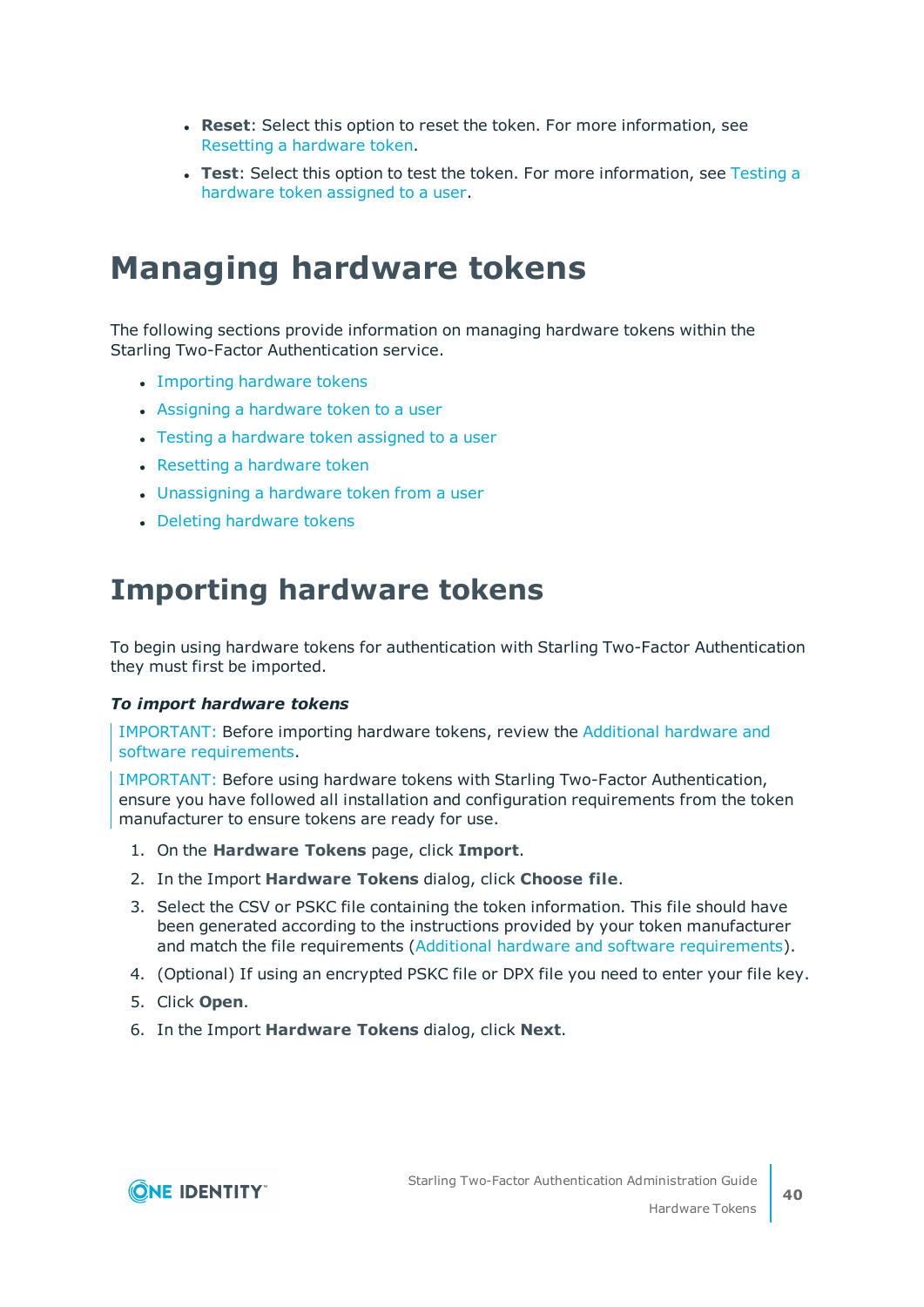- **Reset**: Select this option to reset the token. For more information, see Resetting a [hardware](#page-41-0) token.
- **Test**: Select this option to test the token. For more information, see [Testing](#page-40-1) a [hardware](#page-40-1) token assigned to a user.

# <span id="page-39-0"></span>**Managing hardware tokens**

The following sections provide information on managing hardware tokens within the Starling Two-Factor Authentication service.

- [Importing](#page-39-1) hardware tokens
- [Assigning](#page-40-0) a hardware token to a user
- Testing a [hardware](#page-40-1) token assigned to a user
- Resetting a [hardware](#page-41-0) token
- [Unassigning](#page-42-0) a hardware token from a user
- <span id="page-39-1"></span>• Deleting [hardware](#page-43-0) tokens

## **Importing hardware tokens**

To begin using hardware tokens for authentication with Starling Two-Factor Authentication they must first be imported.

#### *To import hardware tokens*

IMPORTANT: Before importing hardware tokens, review the [Additional](#page-6-1) hardware and software [requirements.](#page-6-1)

IMPORTANT: Before using hardware tokens with Starling Two-Factor Authentication, ensure you have followed all installation and configuration requirements from the token manufacturer to ensure tokens are ready for use.

- 1. On the **Hardware Tokens** page, click **Import**.
- 2. In the Import **Hardware Tokens** dialog, click **Choose file**.
- 3. Select the CSV or PSKC file containing the token information. This file should have been generated according to the instructions provided by your token manufacturer and match the file requirements (Additional hardware and software [requirements\)](#page-6-1).
- 4. (Optional) If using an encrypted PSKC file or DPX file you need to enter your file key.
- 5. Click **Open**.
- 6. In the Import **Hardware Tokens** dialog, click **Next**.

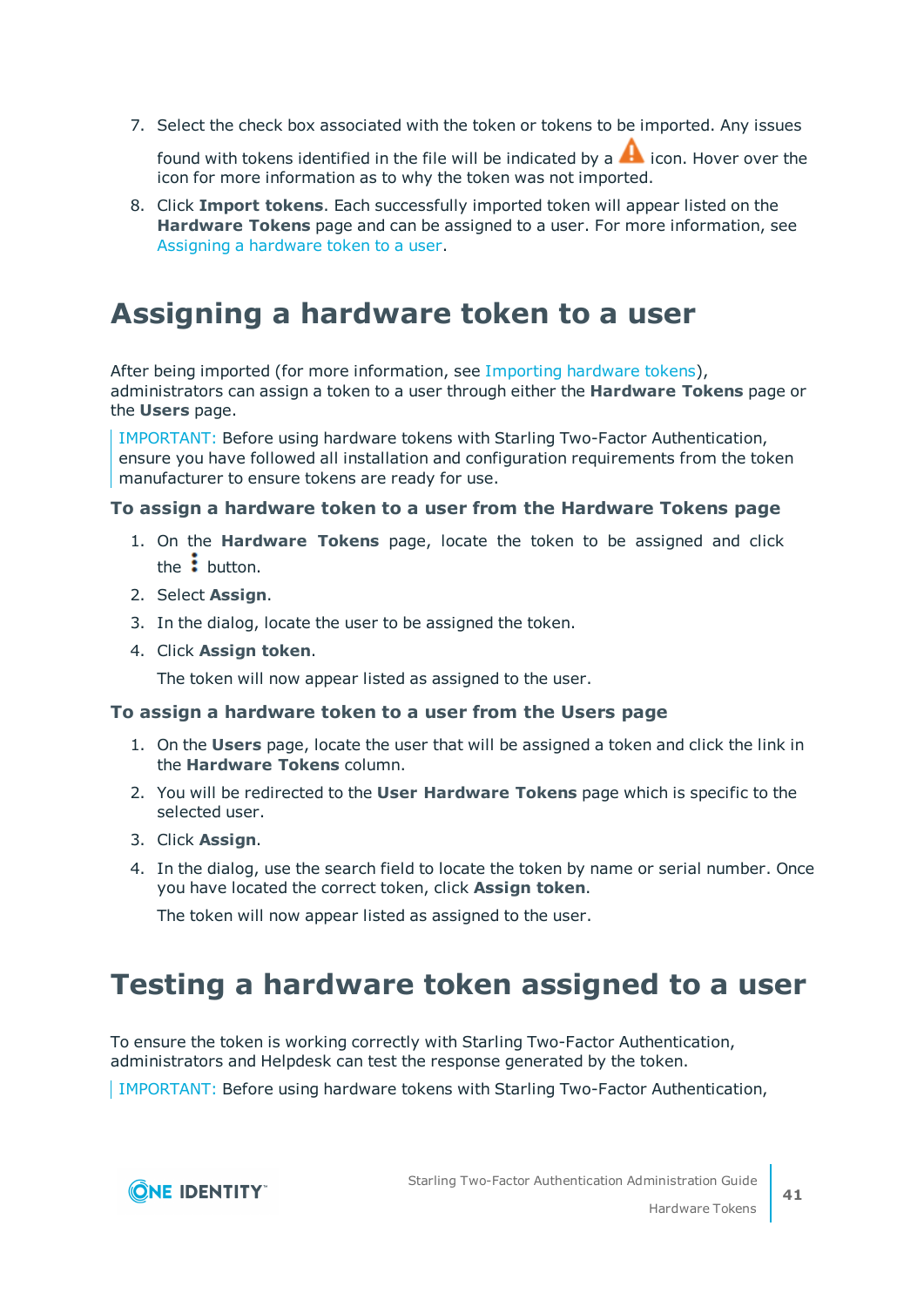7. Select the check box associated with the token or tokens to be imported. Any issues

found with tokens identified in the file will be indicated by a  $\blacktriangle$  icon. Hover over the icon for more information as to why the token was not imported.

8. Click **Import tokens**. Each successfully imported token will appear listed on the **Hardware Tokens** page and can be assigned to a user. For more information, see [Assigning](#page-40-0) a hardware token to a user.

## <span id="page-40-0"></span>**Assigning a hardware token to a user**

After being imported (for more information, see [Importing](#page-39-1) hardware tokens), administrators can assign a token to a user through either the **Hardware Tokens** page or the **Users** page.

IMPORTANT: Before using hardware tokens with Starling Two-Factor Authentication, ensure you have followed all installation and configuration requirements from the token manufacturer to ensure tokens are ready for use.

### **To assign a hardware token to a user from the Hardware Tokens page**

- 1. On the **Hardware Tokens** page, locate the token to be assigned and click the  $\ddot{\cdot}$  button.
- 2. Select **Assign**.
- 3. In the dialog, locate the user to be assigned the token.
- 4. Click **Assign token**.

The token will now appear listed as assigned to the user.

### **To assign a hardware token to a user from the Users page**

- 1. On the **Users** page, locate the user that will be assigned a token and click the link in the **Hardware Tokens** column.
- 2. You will be redirected to the **User Hardware Tokens** page which is specific to the selected user.
- 3. Click **Assign**.
- 4. In the dialog, use the search field to locate the token by name or serial number. Once you have located the correct token, click **Assign token**.

The token will now appear listed as assigned to the user.

# <span id="page-40-1"></span>**Testing a hardware token assigned to a user**

To ensure the token is working correctly with Starling Two-Factor Authentication, administrators and Helpdesk can test the response generated by the token.

IMPORTANT: Before using hardware tokens with Starling Two-Factor Authentication,

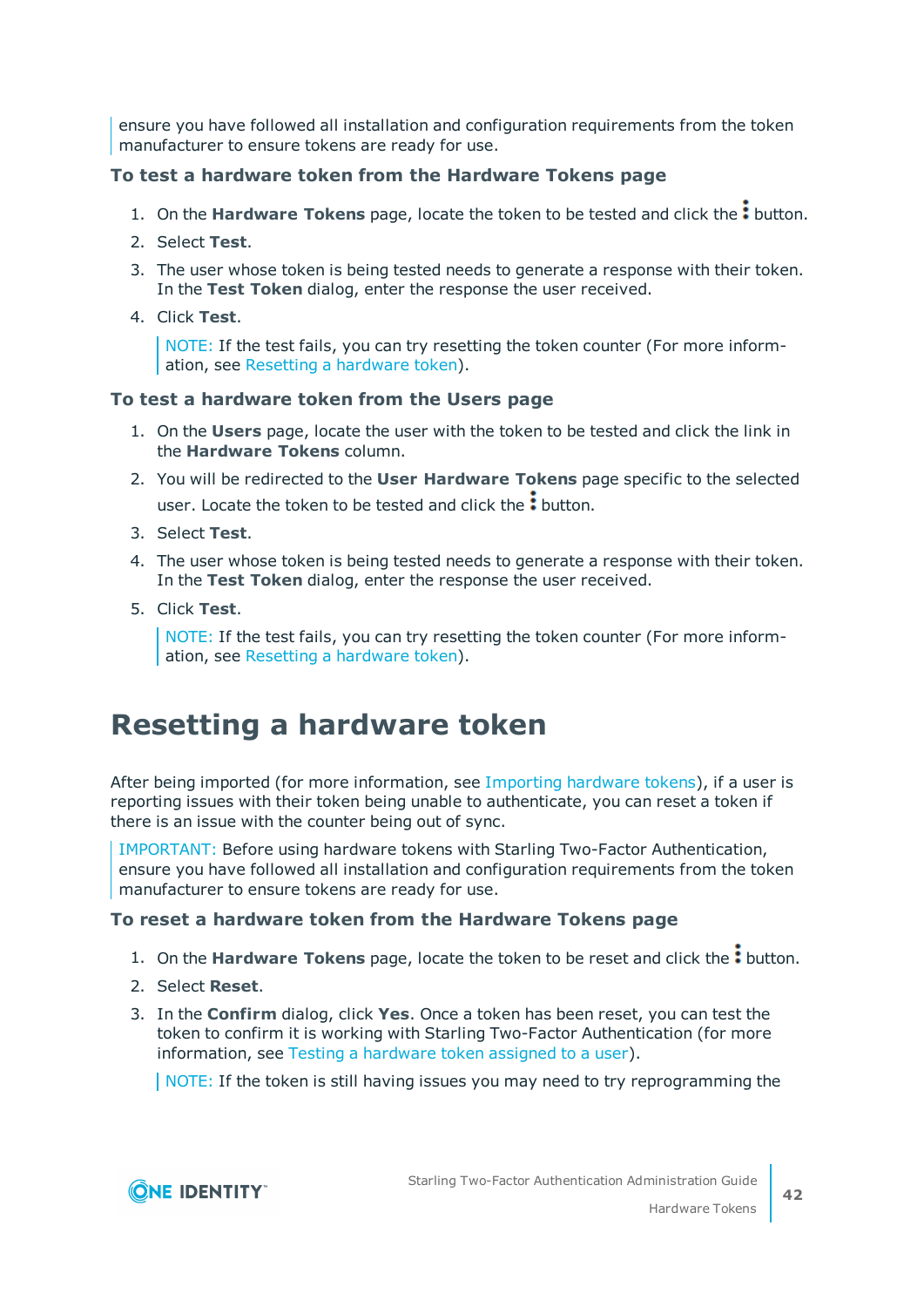ensure you have followed all installation and configuration requirements from the token manufacturer to ensure tokens are ready for use.

## **To test a hardware token from the Hardware Tokens page**

- 1. On the **Hardware Tokens** page, locate the token to be tested and click the: button.
- 2. Select **Test**.
- 3. The user whose token is being tested needs to generate a response with their token. In the **Test Token** dialog, enter the response the user received.
- 4. Click **Test**.

NOTE: If the test fails, you can try resetting the token counter (For more information, see Resetting a [hardware](#page-41-0) token).

## **To test a hardware token from the Users page**

- 1. On the **Users** page, locate the user with the token to be tested and click the link in the **Hardware Tokens** column.
- 2. You will be redirected to the **User Hardware Tokens** page specific to the selected user. Locate the token to be tested and click the: button.
- 3. Select **Test**.
- 4. The user whose token is being tested needs to generate a response with their token. In the **Test Token** dialog, enter the response the user received.
- 5. Click **Test**.

NOTE: If the test fails, you can try resetting the token counter (For more information, see Resetting a [hardware](#page-41-0) token).

## <span id="page-41-0"></span>**Resetting a hardware token**

After being imported (for more information, see [Importing](#page-39-1) hardware tokens), if a user is reporting issues with their token being unable to authenticate, you can reset a token if there is an issue with the counter being out of sync.

IMPORTANT: Before using hardware tokens with Starling Two-Factor Authentication, ensure you have followed all installation and configuration requirements from the token manufacturer to ensure tokens are ready for use.

### **To reset a hardware token from the Hardware Tokens page**

- 1. On the **Hardware Tokens** page, locate the token to be reset and click the: button.
- 2. Select **Reset**.
- 3. In the **Confirm** dialog, click **Yes**. Once a token has been reset, you can test the token to confirm it is working with Starling Two-Factor Authentication (for more information, see Testing a [hardware](#page-40-1) token assigned to a user).

NOTE: If the token is still having issues you may need to try reprogramming the

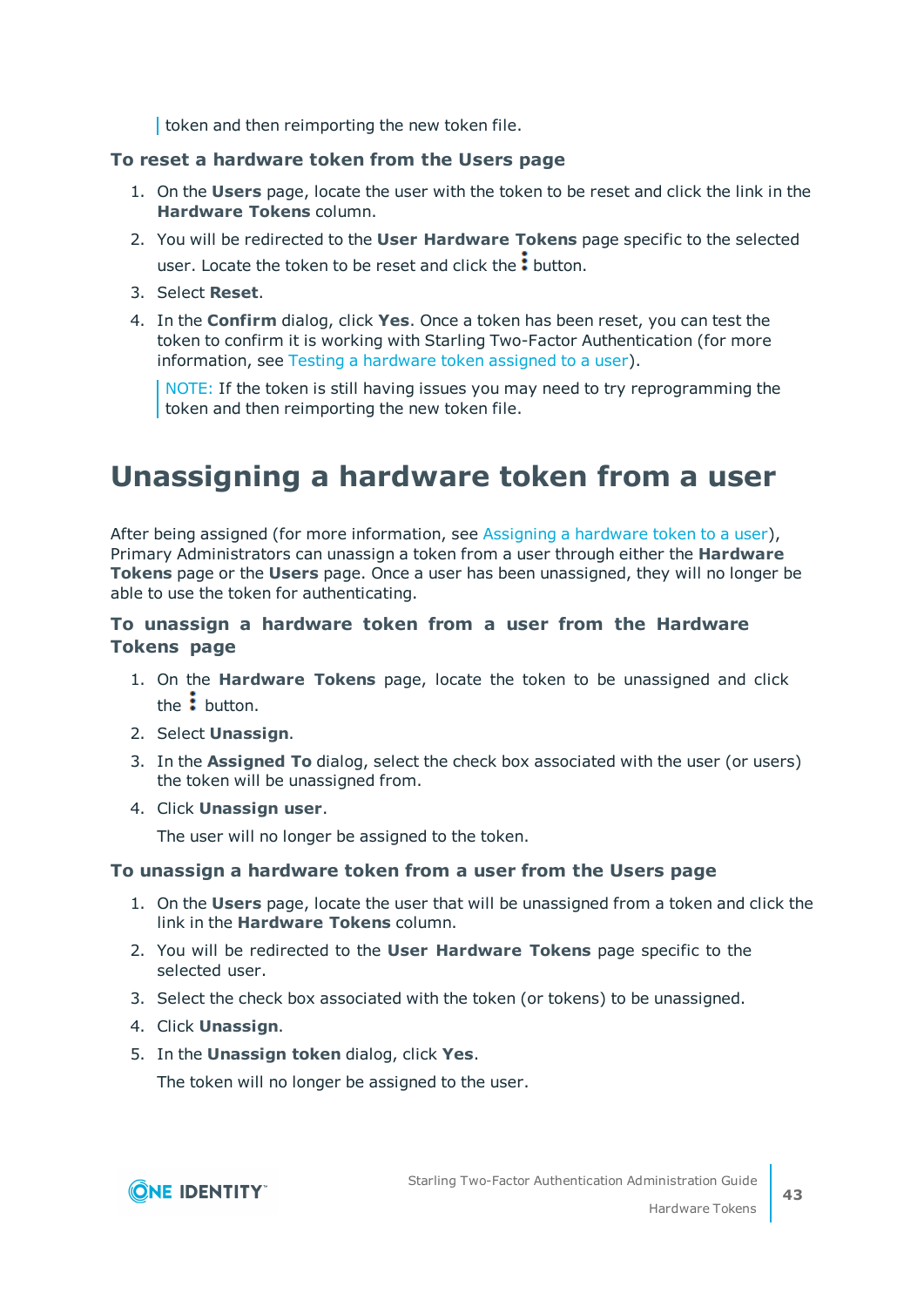token and then reimporting the new token file.

### **To reset a hardware token from the Users page**

- 1. On the **Users** page, locate the user with the token to be reset and click the link in the **Hardware Tokens** column.
- 2. You will be redirected to the **User Hardware Tokens** page specific to the selected user. Locate the token to be reset and click the: button.
- 3. Select **Reset**.
- 4. In the **Confirm** dialog, click **Yes**. Once a token has been reset, you can test the token to confirm it is working with Starling Two-Factor Authentication (for more information, see Testing a [hardware](#page-40-1) token assigned to a user).

NOTE: If the token is still having issues you may need to try reprogramming the token and then reimporting the new token file.

# <span id="page-42-0"></span>**Unassigning a hardware token from a user**

After being assigned (for more information, see [Assigning](#page-40-0) a hardware token to a user), Primary Administrators can unassign a token from a user through either the **Hardware Tokens** page or the **Users** page. Once a user has been unassigned, they will no longer be able to use the token for authenticating.

## **To unassign a hardware token from a user from the Hardware Tokens page**

- 1. On the **Hardware Tokens** page, locate the token to be unassigned and click the  $\frac{1}{2}$  button.
- 2. Select **Unassign**.
- 3. In the **Assigned To** dialog, select the check box associated with the user (or users) the token will be unassigned from.
- 4. Click **Unassign user**.

The user will no longer be assigned to the token.

### **To unassign a hardware token from a user from the Users page**

- 1. On the **Users** page, locate the user that will be unassigned from a token and click the link in the **Hardware Tokens** column.
- 2. You will be redirected to the **User Hardware Tokens** page specific to the selected user.
- 3. Select the check box associated with the token (or tokens) to be unassigned.
- 4. Click **Unassign**.
- 5. In the **Unassign token** dialog, click **Yes**.

The token will no longer be assigned to the user.

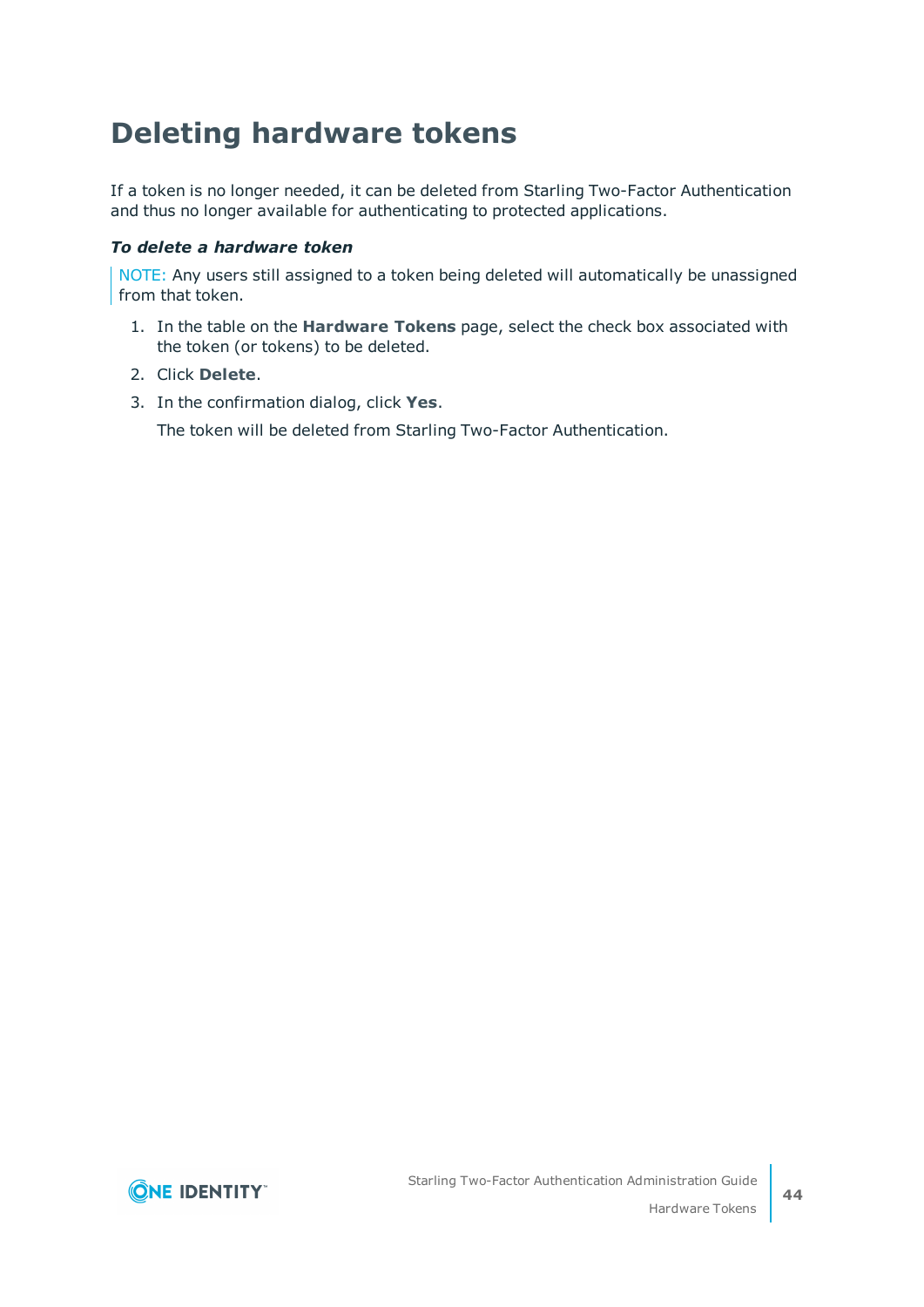# <span id="page-43-0"></span>**Deleting hardware tokens**

If a token is no longer needed, it can be deleted from Starling Two-Factor Authentication and thus no longer available for authenticating to protected applications.

#### *To delete a hardware token*

NOTE: Any users still assigned to a token being deleted will automatically be unassigned from that token.

- 1. In the table on the **Hardware Tokens** page, select the check box associated with the token (or tokens) to be deleted.
- 2. Click **Delete**.
- 3. In the confirmation dialog, click **Yes**.

The token will be deleted from Starling Two-Factor Authentication.

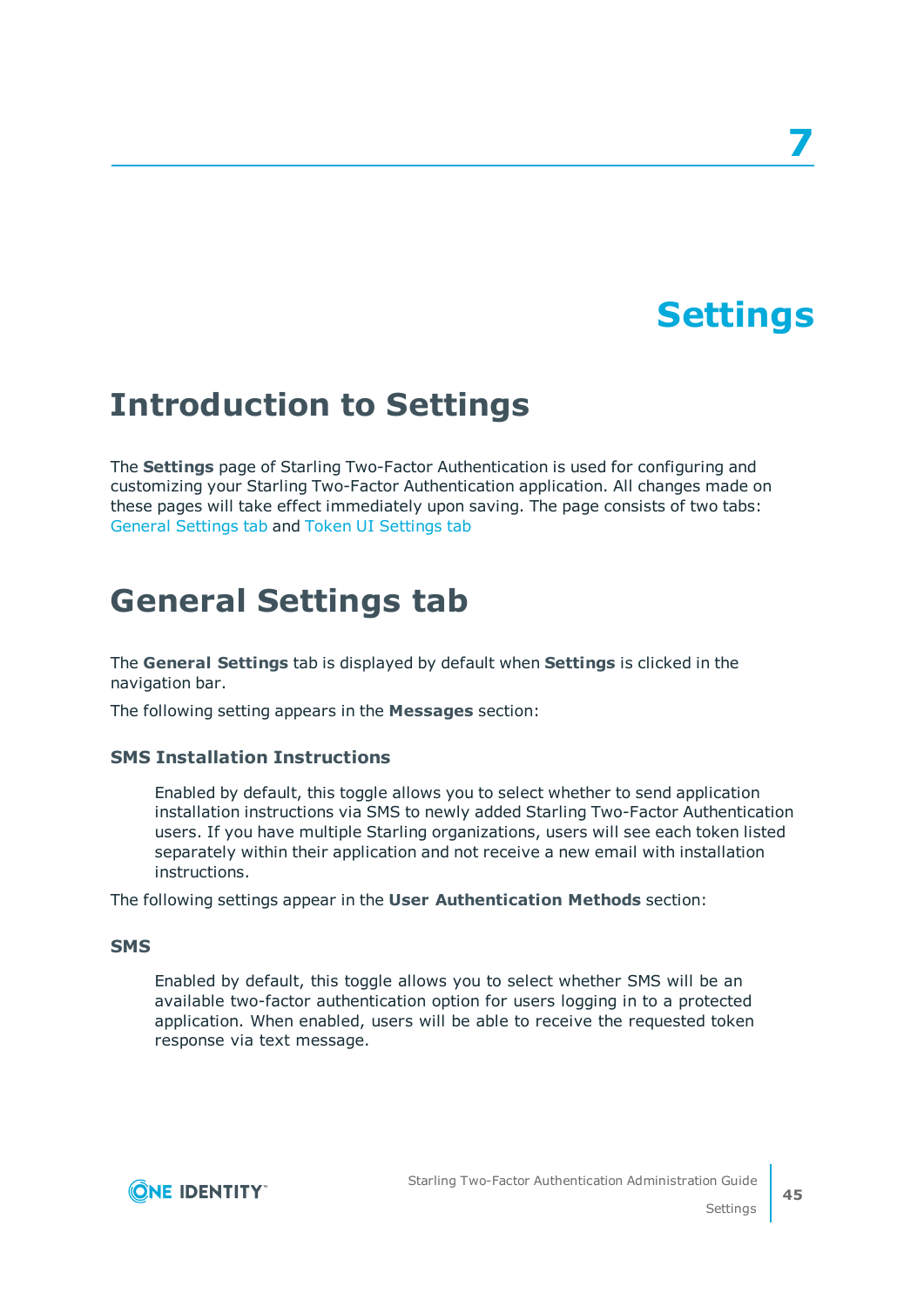# **Settings**

**7**

# <span id="page-44-1"></span><span id="page-44-0"></span>**Introduction to Settings**

The **Settings** page of Starling Two-Factor Authentication is used for configuring and customizing your Starling Two-Factor Authentication application. All changes made on these pages will take effect immediately upon saving. The page consists of two tabs: General [Settings](#page-44-2) tab and Token UI [Settings](#page-45-0) tab

# <span id="page-44-2"></span>**General Settings tab**

The **General Settings** tab is displayed by default when **Settings** is clicked in the navigation bar.

The following setting appears in the **Messages** section:

#### **SMS Installation Instructions**

Enabled by default, this toggle allows you to select whether to send application installation instructions via SMS to newly added Starling Two-Factor Authentication users. If you have multiple Starling organizations, users will see each token listed separately within their application and not receive a new email with installation instructions.

The following settings appear in the **User Authentication Methods** section:

#### **SMS**

Enabled by default, this toggle allows you to select whether SMS will be an available two-factor authentication option for users logging in to a protected application. When enabled, users will be able to receive the requested token response via text message.

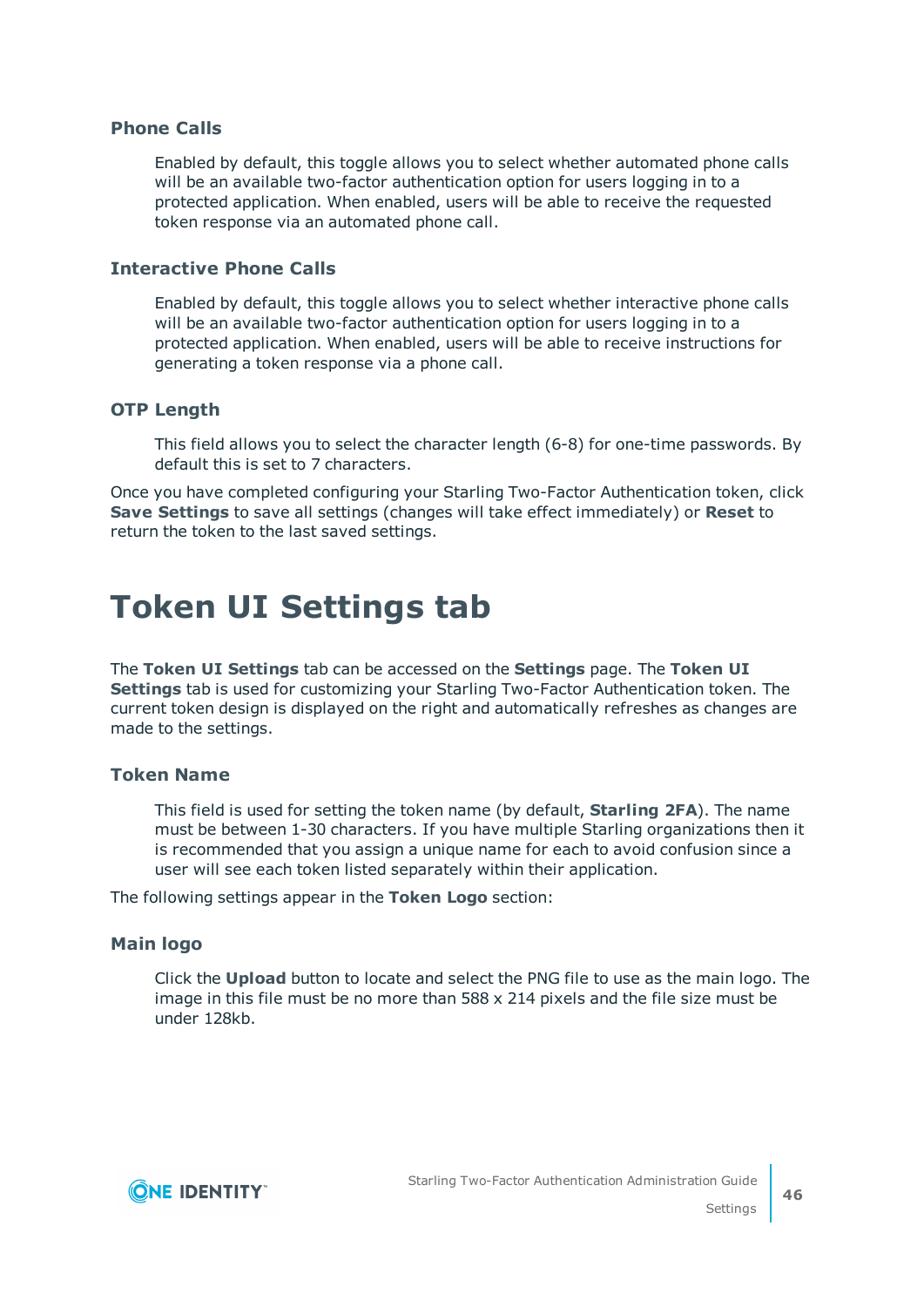### **Phone Calls**

Enabled by default, this toggle allows you to select whether automated phone calls will be an available two-factor authentication option for users logging in to a protected application. When enabled, users will be able to receive the requested token response via an automated phone call.

#### **Interactive Phone Calls**

Enabled by default, this toggle allows you to select whether interactive phone calls will be an available two-factor authentication option for users logging in to a protected application. When enabled, users will be able to receive instructions for generating a token response via a phone call.

#### **OTP Length**

This field allows you to select the character length (6-8) for one-time passwords. By default this is set to 7 characters.

Once you have completed configuring your Starling Two-Factor Authentication token, click **Save Settings** to save all settings (changes will take effect immediately) or **Reset** to return the token to the last saved settings.

# <span id="page-45-0"></span>**Token UI Settings tab**

The **Token UI Settings** tab can be accessed on the **Settings** page. The **Token UI Settings** tab is used for customizing your Starling Two-Factor Authentication token. The current token design is displayed on the right and automatically refreshes as changes are made to the settings.

### **Token Name**

This field is used for setting the token name (by default, **Starling 2FA**). The name must be between 1-30 characters. If you have multiple Starling organizations then it is recommended that you assign a unique name for each to avoid confusion since a user will see each token listed separately within their application.

The following settings appear in the **Token Logo** section:

#### **Main logo**

Click the **Upload** button to locate and select the PNG file to use as the main logo. The image in this file must be no more than 588 x 214 pixels and the file size must be under 128kb.

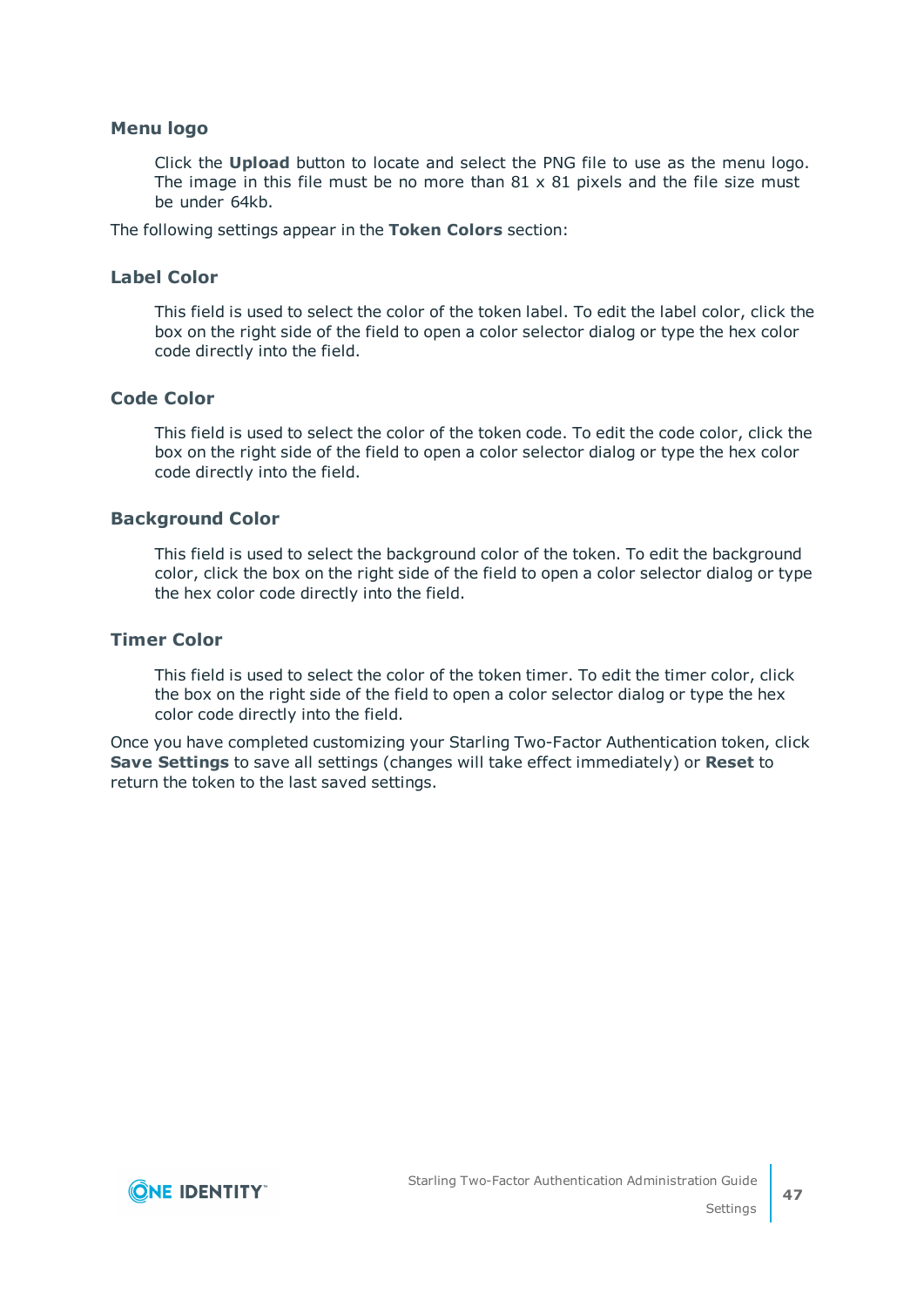#### **Menu logo**

Click the **Upload** button to locate and select the PNG file to use as the menu logo. The image in this file must be no more than  $81 \times 81$  pixels and the file size must be under 64kb.

The following settings appear in the **Token Colors** section:

### **Label Color**

This field is used to select the color of the token label. To edit the label color, click the box on the right side of the field to open a color selector dialog or type the hex color code directly into the field.

#### **Code Color**

This field is used to select the color of the token code. To edit the code color, click the box on the right side of the field to open a color selector dialog or type the hex color code directly into the field.

#### **Background Color**

This field is used to select the background color of the token. To edit the background color, click the box on the right side of the field to open a color selector dialog or type the hex color code directly into the field.

## **Timer Color**

This field is used to select the color of the token timer. To edit the timer color, click the box on the right side of the field to open a color selector dialog or type the hex color code directly into the field.

Once you have completed customizing your Starling Two-Factor Authentication token, click **Save Settings** to save all settings (changes will take effect immediately) or **Reset** to return the token to the last saved settings.

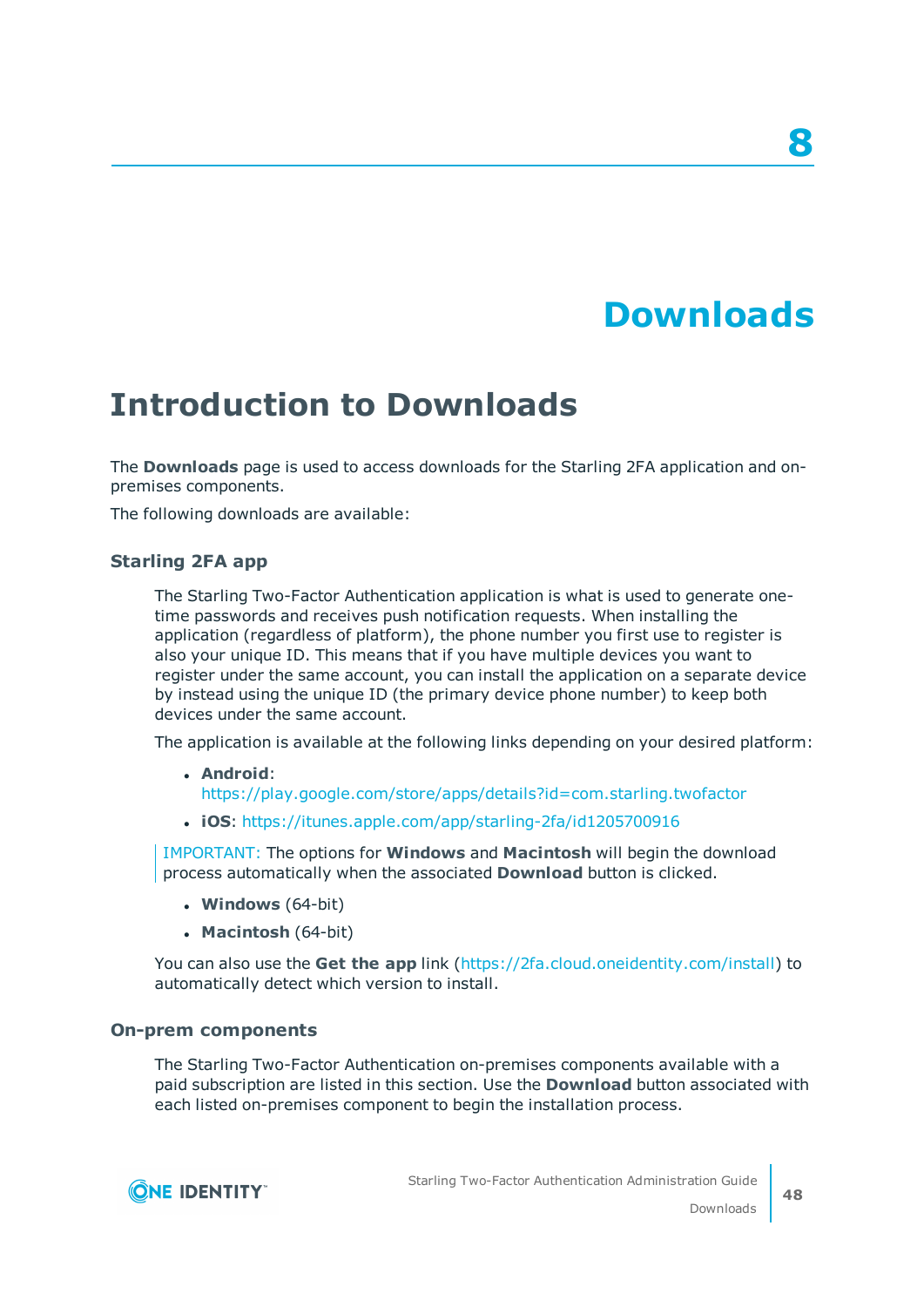# **Downloads**

**8**

# <span id="page-47-1"></span><span id="page-47-0"></span>**Introduction to Downloads**

The **Downloads** page is used to access downloads for the Starling 2FA application and onpremises components.

The following downloads are available:

#### **Starling 2FA app**

The Starling Two-Factor Authentication application is what is used to generate onetime passwords and receives push notification requests. When installing the application (regardless of platform), the phone number you first use to register is also your unique ID. This means that if you have multiple devices you want to register under the same account, you can install the application on a separate device by instead using the unique ID (the primary device phone number) to keep both devices under the same account.

The application is available at the following links depending on your desired platform:

- <sup>l</sup> **Android**: <https://play.google.com/store/apps/details?id=com.starling.twofactor>
- <sup>l</sup> **iOS**: <https://itunes.apple.com/app/starling-2fa/id1205700916>

IMPORTANT: The options for **Windows** and **Macintosh** will begin the download process automatically when the associated **Download** button is clicked.

- <sup>l</sup> **Windows** (64-bit)
- <sup>l</sup> **Macintosh** (64-bit)

You can also use the **Get the app** link [\(https://2fa.cloud.oneidentity.com/install\)](https://2fa.cloud.oneidentity.com/install) to automatically detect which version to install.

#### **On-prem components**

The Starling Two-Factor Authentication on-premises components available with a paid subscription are listed in this section. Use the **Download** button associated with each listed on-premises component to begin the installation process.

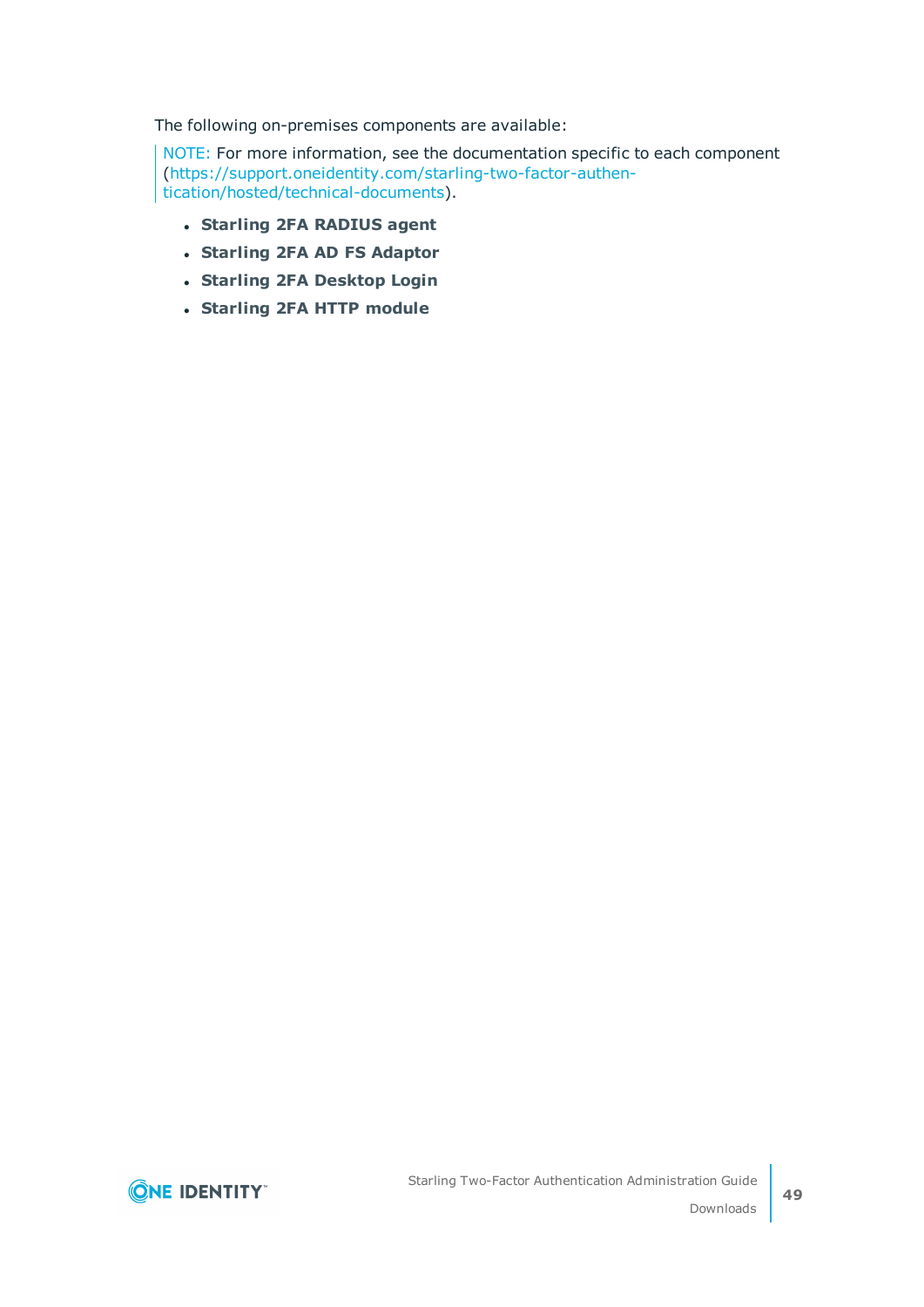The following on-premises components are available:

NOTE: For more information, see the documentation specific to each component ([https://support.oneidentity.com/starling-two-factor-authen](https://support.oneidentity.com/starling-two-factor-authentication/hosted/technical-documents)[tication/hosted/technical-documents](https://support.oneidentity.com/starling-two-factor-authentication/hosted/technical-documents)).

- <sup>l</sup> **Starling 2FA RADIUS agent**
- <sup>l</sup> **Starling 2FA AD FS Adaptor**
- <sup>l</sup> **Starling 2FA Desktop Login**
- <sup>l</sup> **Starling 2FA HTTP module**